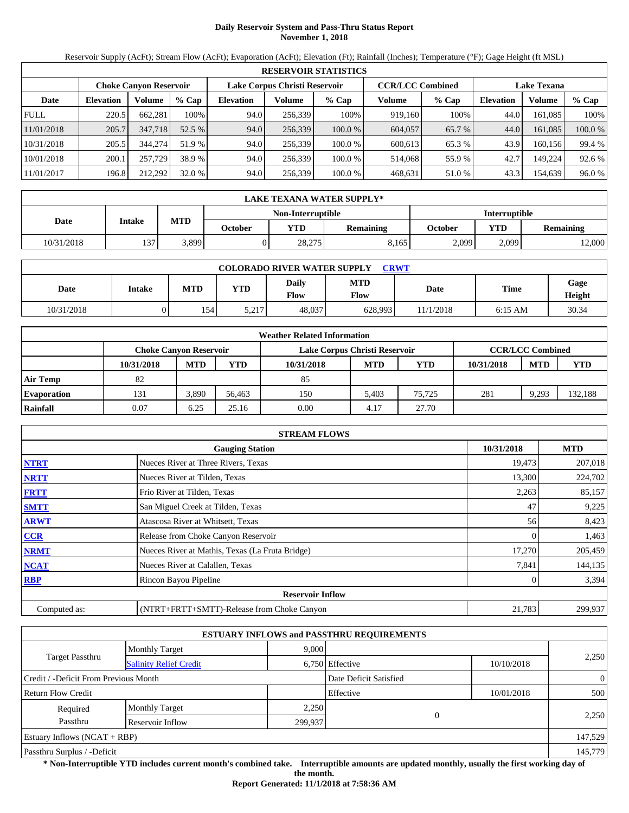# **Daily Reservoir System and Pass-Thru Status Report November 1, 2018**

Reservoir Supply (AcFt); Stream Flow (AcFt); Evaporation (AcFt); Elevation (Ft); Rainfall (Inches); Temperature (°F); Gage Height (ft MSL)

|             | <b>RESERVOIR STATISTICS</b> |                               |         |                  |                               |         |                         |        |                    |         |         |  |  |
|-------------|-----------------------------|-------------------------------|---------|------------------|-------------------------------|---------|-------------------------|--------|--------------------|---------|---------|--|--|
|             |                             | <b>Choke Canvon Reservoir</b> |         |                  | Lake Corpus Christi Reservoir |         | <b>CCR/LCC Combined</b> |        | <b>Lake Texana</b> |         |         |  |  |
| Date        | <b>Elevation</b>            | Volume                        | $%$ Cap | <b>Elevation</b> | Volume                        | $%$ Cap | Volume                  | % Cap  | <b>Elevation</b>   | Volume  | $%$ Cap |  |  |
| <b>FULL</b> | 220.5                       | 662.281                       | 100%    | 94.0             | 256,339                       | 100%    | 919,160                 | 100%   | 44.0               | 161.085 | 100%    |  |  |
| 11/01/2018  | 205.7                       | 347,718                       | 52.5 %  | 94.0             | 256,339                       | 100.0%  | 604,057                 | 65.7 % | 44.0               | 161.085 | 100.0 % |  |  |
| 10/31/2018  | 205.5                       | 344,274                       | 51.9 %  | 94.0             | 256,339                       | 100.0%  | 600.613                 | 65.3 % | 43.9               | 160.156 | 99.4 %  |  |  |
| 10/01/2018  | 200.1                       | 257,729                       | 38.9 %  | 94.0             | 256,339                       | 100.0%  | 514,068                 | 55.9 % | 42.7               | 149.224 | 92.6 %  |  |  |
| 11/01/2017  | 196.8                       | 212,292                       | 32.0%   | 94.0             | 256,339                       | 100.0%  | 468,631                 | 51.0 % | 43.3               | 154,639 | 96.0 %  |  |  |

|            | LAKE TEXANA WATER SUPPLY* |            |         |                                           |                  |         |       |                  |  |  |  |
|------------|---------------------------|------------|---------|-------------------------------------------|------------------|---------|-------|------------------|--|--|--|
|            |                           |            |         | Non-Interruptible<br><b>Interruptible</b> |                  |         |       |                  |  |  |  |
| Date       | Intake                    | <b>MTD</b> | October | <b>YTD</b>                                | <b>Remaining</b> | October | YTD   | <b>Remaining</b> |  |  |  |
| 10/31/2018 | 137                       | 3.899      |         | 28,275                                    | 8.165            | 2.099   | 2,099 | 12,000           |  |  |  |

| <b>COLORADO RIVER WATER SUPPLY</b><br><b>CRWT</b> |        |            |            |                      |                           |           |           |                |  |  |
|---------------------------------------------------|--------|------------|------------|----------------------|---------------------------|-----------|-----------|----------------|--|--|
| Date                                              | Intake | <b>MTD</b> | <b>YTD</b> | Daily<br><b>Flow</b> | <b>MTD</b><br><b>Flow</b> | Date      | Time      | Gage<br>Height |  |  |
| 10/31/2018                                        |        | 1541       | 5,217      | 48,037               | 628,993                   | 11/1/2018 | $6:15$ AM | 30.34          |  |  |

|                    | <b>Weather Related Information</b> |            |        |                               |            |            |            |                         |            |  |  |
|--------------------|------------------------------------|------------|--------|-------------------------------|------------|------------|------------|-------------------------|------------|--|--|
|                    | Choke Canvon Reservoir             |            |        | Lake Corpus Christi Reservoir |            |            |            | <b>CCR/LCC Combined</b> |            |  |  |
|                    | 10/31/2018                         | <b>MTD</b> | YTD    | 10/31/2018                    | <b>MTD</b> | <b>YTD</b> | 10/31/2018 | <b>MTD</b>              | <b>YTD</b> |  |  |
| <b>Air Temp</b>    | 82                                 |            |        | 85                            |            |            |            |                         |            |  |  |
| <b>Evaporation</b> | 131                                | 3,890      | 56.463 | 150                           | 5.403      | 75.725     | 281        | 9,293                   | 132,188    |  |  |
| Rainfall           | 0.07                               | 6.25       | 25.16  | 0.00                          | 4.17       | 27.70      |            |                         |            |  |  |

|              | <b>STREAM FLOWS</b>                             |            |            |
|--------------|-------------------------------------------------|------------|------------|
|              | <b>Gauging Station</b>                          | 10/31/2018 | <b>MTD</b> |
| <b>NTRT</b>  | Nueces River at Three Rivers, Texas             | 19,473     | 207,018    |
| <b>NRTT</b>  | Nueces River at Tilden, Texas                   | 13,300     | 224,702    |
| <b>FRTT</b>  | Frio River at Tilden, Texas                     | 2,263      | 85,157     |
| <b>SMTT</b>  | San Miguel Creek at Tilden, Texas               | 47         | 9,225      |
| <b>ARWT</b>  | Atascosa River at Whitsett, Texas               | 56         | 8,423      |
| <b>CCR</b>   | Release from Choke Canyon Reservoir             |            | 1,463      |
| <b>NRMT</b>  | Nueces River at Mathis, Texas (La Fruta Bridge) | 17,270     | 205,459    |
| <b>NCAT</b>  | Nueces River at Calallen, Texas                 | 7,841      | 144,135    |
| <b>RBP</b>   | Rincon Bayou Pipeline                           |            | 3,394      |
|              | <b>Reservoir Inflow</b>                         |            |            |
| Computed as: | (NTRT+FRTT+SMTT)-Release from Choke Canyon      | 21,783     | 299,937    |

|                                       |                               |         | <b>ESTUARY INFLOWS and PASSTHRU REQUIREMENTS</b> |            |                |
|---------------------------------------|-------------------------------|---------|--------------------------------------------------|------------|----------------|
|                                       | <b>Monthly Target</b>         | 9,000   |                                                  |            |                |
| <b>Target Passthru</b>                | <b>Salinity Relief Credit</b> |         | 6,750 Effective                                  | 10/10/2018 | 2,250          |
| Credit / -Deficit From Previous Month |                               |         | Date Deficit Satisfied                           |            | $\overline{0}$ |
| <b>Return Flow Credit</b>             |                               |         | Effective                                        | 10/01/2018 | 500            |
| Required                              | <b>Monthly Target</b>         | 2,250   |                                                  |            |                |
| Passthru                              | Reservoir Inflow              | 299,937 |                                                  |            | 2,250          |
| Estuary Inflows $(NCAT + RBP)$        |                               |         |                                                  |            | 147,529        |
| Passthru Surplus / -Deficit           |                               |         |                                                  |            | 145,779        |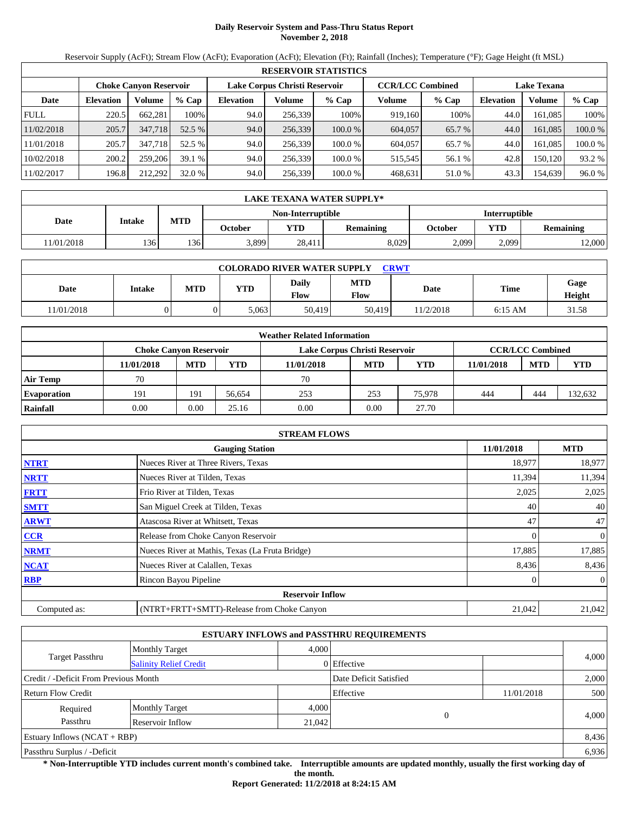# **Daily Reservoir System and Pass-Thru Status Report November 2, 2018**

Reservoir Supply (AcFt); Stream Flow (AcFt); Evaporation (AcFt); Elevation (Ft); Rainfall (Inches); Temperature (°F); Gage Height (ft MSL)

|             | <b>RESERVOIR STATISTICS</b> |                               |         |                  |                               |           |                         |         |                    |               |         |  |  |
|-------------|-----------------------------|-------------------------------|---------|------------------|-------------------------------|-----------|-------------------------|---------|--------------------|---------------|---------|--|--|
|             |                             | <b>Choke Canvon Reservoir</b> |         |                  | Lake Corpus Christi Reservoir |           | <b>CCR/LCC Combined</b> |         | <b>Lake Texana</b> |               |         |  |  |
| Date        | <b>Elevation</b>            | Volume                        | $%$ Cap | <b>Elevation</b> | Volume                        | $%$ Cap   | Volume                  | $%$ Cap | <b>Elevation</b>   | <b>Volume</b> | % Cap   |  |  |
| <b>FULL</b> | 220.5                       | 662.281                       | 100%    | 94.0             | 256,339                       | 100%      | 919,160                 | 100%    | 44.0               | 161.085       | 100%    |  |  |
| 11/02/2018  | 205.7                       | 347,718                       | 52.5 %  | 94.0             | 256,339                       | $100.0\%$ | 604,057                 | 65.7 %  | 44.0               | 161.085       | 100.0 % |  |  |
| 11/01/2018  | 205.7                       | 347.718                       | 52.5 %  | 94.0             | 256,339                       | 100.0%    | 604,057                 | 65.7 %  | 44.0               | 161.085       | 100.0%  |  |  |
| 10/02/2018  | 200.2                       | 259,206                       | 39.1 %  | 94.0             | 256,339                       | 100.0%    | 515.545                 | 56.1 %  | 42.8               | 150.120       | 93.2 %  |  |  |
| 11/02/2017  | 196.8                       | 212.292                       | 32.0 %  | 94.0             | 256,339                       | 100.0%    | 468,631                 | 51.0 %  | 43.3               | 154,639       | 96.0%   |  |  |

|            | LAKE TEXANA WATER SUPPLY* |            |         |                          |                  |                      |            |                  |  |  |  |
|------------|---------------------------|------------|---------|--------------------------|------------------|----------------------|------------|------------------|--|--|--|
|            |                           |            |         | <b>Non-Interruptible</b> |                  | <b>Interruptible</b> |            |                  |  |  |  |
| Date       | Intake                    | <b>MTD</b> | October | <b>YTD</b>               | <b>Remaining</b> | October              | <b>YTD</b> | <b>Remaining</b> |  |  |  |
| 11/01/2018 | 136                       | 136        | 3,899   | 28.411                   | 8.029            | 2,099                | 2.099      | 12,000           |  |  |  |

| <b>COLORADO RIVER WATER SUPPLY</b><br><b>CRWT</b> |        |            |            |                      |                    |          |           |                |  |  |
|---------------------------------------------------|--------|------------|------------|----------------------|--------------------|----------|-----------|----------------|--|--|
| Date                                              | Intake | <b>MTD</b> | <b>YTD</b> | Daily<br><b>Flow</b> | <b>MTD</b><br>Flow | Date     | Time      | Gage<br>Height |  |  |
| 11/01/2018                                        |        |            | 5.063      | 50.419               | 50,419             | 1/2/2018 | $6:15$ AM | 31.58          |  |  |

|                    |                               |            |        | <b>Weather Related Information</b> |            |            |            |                         |            |
|--------------------|-------------------------------|------------|--------|------------------------------------|------------|------------|------------|-------------------------|------------|
|                    | <b>Choke Canvon Reservoir</b> |            |        | Lake Corpus Christi Reservoir      |            |            |            | <b>CCR/LCC Combined</b> |            |
|                    | 11/01/2018                    | <b>MTD</b> | YTD    | 11/01/2018                         | <b>MTD</b> | <b>YTD</b> | 11/01/2018 | <b>MTD</b>              | <b>YTD</b> |
| <b>Air Temp</b>    | 70                            |            |        | 70                                 |            |            |            |                         |            |
| <b>Evaporation</b> | 191                           | 191        | 56.654 | 253                                | 253        | 75.978     | 444        | 444                     | 132,632    |
| Rainfall           | 0.00                          | 0.00       | 25.16  | 0.00                               | 0.00       | 27.70      |            |                         |            |

|              | <b>STREAM FLOWS</b>                             |            |                |
|--------------|-------------------------------------------------|------------|----------------|
|              | <b>Gauging Station</b>                          | 11/01/2018 | <b>MTD</b>     |
| <b>NTRT</b>  | Nueces River at Three Rivers, Texas             | 18,977     | 18,977         |
| <b>NRTT</b>  | Nueces River at Tilden, Texas                   | 11,394     | 11,394         |
| <b>FRTT</b>  | Frio River at Tilden, Texas                     | 2,025      | 2,025          |
| <b>SMTT</b>  | San Miguel Creek at Tilden, Texas               | 40         | 40             |
| <b>ARWT</b>  | Atascosa River at Whitsett, Texas               | 47         | 47             |
| CCR          | Release from Choke Canyon Reservoir             |            | $\overline{0}$ |
| <b>NRMT</b>  | Nueces River at Mathis, Texas (La Fruta Bridge) | 17,885     | 17,885         |
| <b>NCAT</b>  | Nueces River at Calallen, Texas                 | 8,436      | 8,436          |
| <b>RBP</b>   | Rincon Bayou Pipeline                           |            | $\overline{0}$ |
|              | <b>Reservoir Inflow</b>                         |            |                |
| Computed as: | (NTRT+FRTT+SMTT)-Release from Choke Canyon      | 21,042     | 21,042         |

|                                                  |                       |       | <b>ESTUARY INFLOWS and PASSTHRU REQUIREMENTS</b> |            |       |  |
|--------------------------------------------------|-----------------------|-------|--------------------------------------------------|------------|-------|--|
|                                                  | <b>Monthly Target</b> | 4.000 |                                                  |            |       |  |
| Target Passthru<br><b>Salinity Relief Credit</b> |                       |       | 0 Effective                                      |            | 4,000 |  |
| Credit / -Deficit From Previous Month            |                       |       | Date Deficit Satisfied                           |            | 2,000 |  |
| <b>Return Flow Credit</b>                        |                       |       | Effective                                        | 11/01/2018 | 500   |  |
| Required                                         | <b>Monthly Target</b> | 4,000 |                                                  |            |       |  |
| Passthru<br>Reservoir Inflow                     |                       |       | $\sqrt{ }$<br>21,042                             |            | 4,000 |  |
| Estuary Inflows $(NCAT + RBP)$                   |                       |       |                                                  |            | 8,436 |  |
| Passthru Surplus / -Deficit                      |                       |       |                                                  |            | 6,936 |  |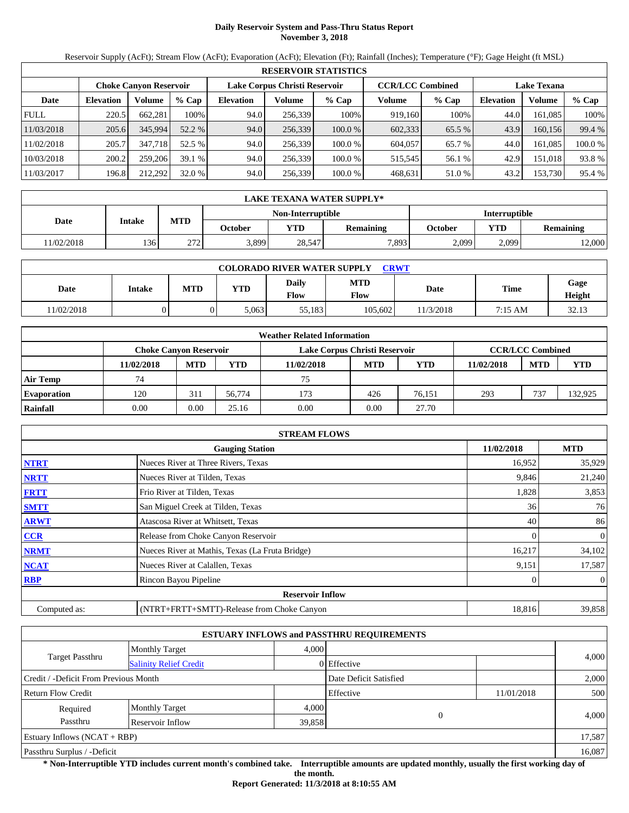# **Daily Reservoir System and Pass-Thru Status Report November 3, 2018**

Reservoir Supply (AcFt); Stream Flow (AcFt); Evaporation (AcFt); Elevation (Ft); Rainfall (Inches); Temperature (°F); Gage Height (ft MSL)

|             | <b>RESERVOIR STATISTICS</b> |                               |         |                               |         |           |                         |         |                    |               |        |  |  |
|-------------|-----------------------------|-------------------------------|---------|-------------------------------|---------|-----------|-------------------------|---------|--------------------|---------------|--------|--|--|
|             |                             | <b>Choke Canvon Reservoir</b> |         | Lake Corpus Christi Reservoir |         |           | <b>CCR/LCC Combined</b> |         | <b>Lake Texana</b> |               |        |  |  |
| Date        | <b>Elevation</b>            | Volume                        | $%$ Cap | <b>Elevation</b>              | Volume  | $%$ Cap   | Volume                  | $%$ Cap | <b>Elevation</b>   | <b>Volume</b> | % Cap  |  |  |
| <b>FULL</b> | 220.5                       | 662.281                       | 100%    | 94.0                          | 256,339 | 100%      | 919,160                 | 100%    | 44.0               | 161.085       | 100%   |  |  |
| 11/03/2018  | 205.6                       | 345,994                       | 52.2 %  | 94.0                          | 256,339 | $100.0\%$ | 602,333                 | 65.5 %  | 43.9               | 160.156       | 99.4 % |  |  |
| 11/02/2018  | 205.7                       | 347.718                       | 52.5 %  | 94.0                          | 256,339 | 100.0%    | 604,057                 | 65.7 %  | 44.0               | 161.085       | 100.0% |  |  |
| 10/03/2018  | 200.2                       | 259,206                       | 39.1 %  | 94.0                          | 256,339 | 100.0%    | 515.545                 | 56.1 %  | 42.9               | 151.018       | 93.8%  |  |  |
| 11/03/2017  | 196.8                       | 212.292                       | 32.0 %  | 94.0                          | 256,339 | 100.0%    | 468,631                 | 51.0 %  | 43.2               | 153,730       | 95.4 % |  |  |

|            | LAKE TEXANA WATER SUPPLY* |            |         |            |                  |         |                      |                  |  |  |
|------------|---------------------------|------------|---------|------------|------------------|---------|----------------------|------------------|--|--|
|            | Non-Interruptible         |            |         |            |                  |         | <b>Interruptible</b> |                  |  |  |
| Date       | Intake                    | <b>MTD</b> | October | <b>YTD</b> | <b>Remaining</b> | October | <b>YTD</b>           | <b>Remaining</b> |  |  |
| 11/02/2018 | 136                       | 272<br>212 | 3,899   | 28,547     | 7,893            | 2,099   | 2.099                | 12,000           |  |  |

| <b>COLORADO RIVER WATER SUPPLY</b><br><b>CRWT</b> |        |            |            |               |                    |           |         |                |  |  |
|---------------------------------------------------|--------|------------|------------|---------------|--------------------|-----------|---------|----------------|--|--|
| Date                                              | Intake | <b>MTD</b> | <b>YTD</b> | Daily<br>Flow | <b>MTD</b><br>Flow | Date      | Time    | Gage<br>Height |  |  |
| 11/02/2018                                        |        | 0          | 5.063      | 55.183        | 105,602            | 11/3/2018 | 7:15 AM | 32.13          |  |  |

|                    |                        |            |        | <b>Weather Related Information</b> |            |            |            |                         |            |
|--------------------|------------------------|------------|--------|------------------------------------|------------|------------|------------|-------------------------|------------|
|                    | Choke Canvon Reservoir |            |        | Lake Corpus Christi Reservoir      |            |            |            | <b>CCR/LCC Combined</b> |            |
|                    | 11/02/2018             | <b>MTD</b> | YTD    | 11/02/2018                         | <b>MTD</b> | <b>YTD</b> | 11/02/2018 | <b>MTD</b>              | <b>YTD</b> |
| <b>Air Temp</b>    | 74                     |            |        | 75                                 |            |            |            |                         |            |
| <b>Evaporation</b> | 120                    | 311        | 56,774 | 173                                | 426        | 76.151     | 293        | 737                     | 132,925    |
| Rainfall           | 0.00                   | 0.00       | 25.16  | 0.00                               | 0.00       | 27.70      |            |                         |            |

|              | <b>STREAM FLOWS</b>                             |            |                |
|--------------|-------------------------------------------------|------------|----------------|
|              | <b>Gauging Station</b>                          | 11/02/2018 | <b>MTD</b>     |
| <b>NTRT</b>  | Nueces River at Three Rivers, Texas             | 16,952     | 35,929         |
| <b>NRTT</b>  | Nueces River at Tilden, Texas                   | 9,846      | 21,240         |
| <b>FRTT</b>  | Frio River at Tilden, Texas                     | 1,828      | 3,853          |
| <b>SMTT</b>  | San Miguel Creek at Tilden, Texas               | 36         | 76             |
| <b>ARWT</b>  | Atascosa River at Whitsett, Texas               | 40         | 86             |
| <b>CCR</b>   | Release from Choke Canyon Reservoir             |            | 0              |
| <b>NRMT</b>  | Nueces River at Mathis, Texas (La Fruta Bridge) | 16,217     | 34,102         |
| <b>NCAT</b>  | Nueces River at Calallen, Texas                 | 9,151      | 17,587         |
| <b>RBP</b>   | Rincon Bayou Pipeline                           |            | $\overline{0}$ |
|              | <b>Reservoir Inflow</b>                         |            |                |
| Computed as: | (NTRT+FRTT+SMTT)-Release from Choke Canyon      | 18,816     | 39,858         |

|                                                  |                            |                        | <b>ESTUARY INFLOWS and PASSTHRU REQUIREMENTS</b> |            |       |
|--------------------------------------------------|----------------------------|------------------------|--------------------------------------------------|------------|-------|
|                                                  | <b>Monthly Target</b>      | 4.000                  |                                                  |            |       |
| Target Passthru<br><b>Salinity Relief Credit</b> |                            |                        | 0 Effective                                      |            | 4,000 |
| Credit / -Deficit From Previous Month            |                            | Date Deficit Satisfied |                                                  | 2,000      |       |
| <b>Return Flow Credit</b>                        |                            |                        | Effective                                        | 11/01/2018 | 500   |
| Required                                         | <b>Monthly Target</b>      | 4,000                  | $\Omega$                                         |            |       |
| Passthru                                         | Reservoir Inflow<br>39,858 |                        |                                                  |            | 4,000 |
| Estuary Inflows $(NCAT + RBP)$                   |                            |                        |                                                  | 17,587     |       |
| Passthru Surplus / -Deficit                      |                            | 16,087                 |                                                  |            |       |

**\* Non-Interruptible YTD includes current month's combined take. Interruptible amounts are updated monthly, usually the first working day of the month.** 

**Report Generated: 11/3/2018 at 8:10:55 AM**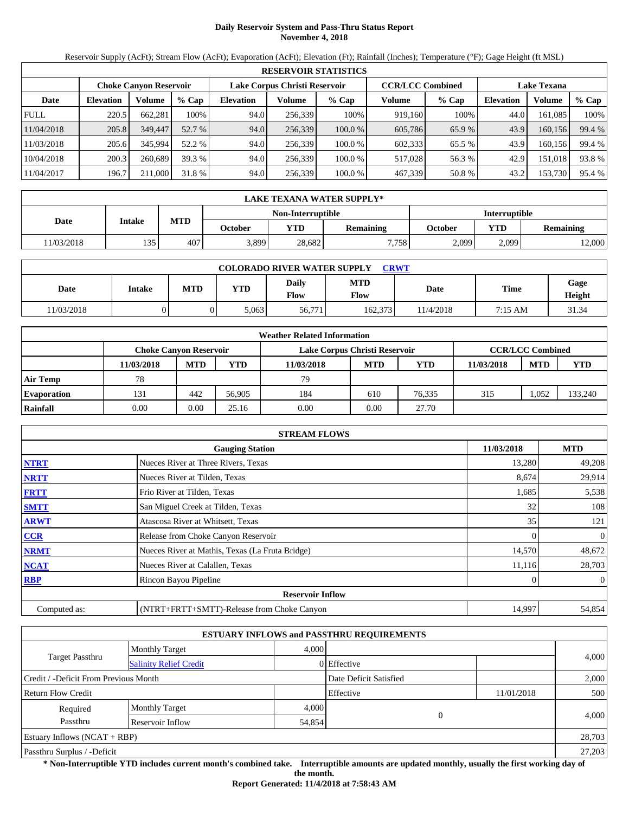# **Daily Reservoir System and Pass-Thru Status Report November 4, 2018**

Reservoir Supply (AcFt); Stream Flow (AcFt); Evaporation (AcFt); Elevation (Ft); Rainfall (Inches); Temperature (°F); Gage Height (ft MSL)

|             | <b>RESERVOIR STATISTICS</b> |                               |         |                               |         |         |                         |        |                    |         |        |  |
|-------------|-----------------------------|-------------------------------|---------|-------------------------------|---------|---------|-------------------------|--------|--------------------|---------|--------|--|
|             |                             | <b>Choke Canvon Reservoir</b> |         | Lake Corpus Christi Reservoir |         |         | <b>CCR/LCC Combined</b> |        | <b>Lake Texana</b> |         |        |  |
| Date        | <b>Elevation</b>            | Volume                        | $%$ Cap | <b>Elevation</b>              | Volume  | $%$ Cap | Volume                  | % Cap  | <b>Elevation</b>   | Volume  | % Cap  |  |
| <b>FULL</b> | 220.5                       | 662,281                       | 100%    | 94.0                          | 256.339 | 100%    | 919,160                 | 100%   | 44.0               | 161,085 | 100%   |  |
| 11/04/2018  | 205.8                       | 349,447                       | 52.7 %  | 94.0                          | 256,339 | 100.0%  | 605,786                 | 65.9 % | 43.9               | 160.156 | 99.4 % |  |
| 11/03/2018  | 205.6                       | 345,994                       | 52.2 %  | 94.0                          | 256.339 | 100.0%  | 602,333                 | 65.5 % | 43.9               | 160.156 | 99.4 % |  |
| 10/04/2018  | 200.3                       | 260.689                       | 39.3 %  | 94.0                          | 256.339 | 100.0 % | 517,028                 | 56.3 % | 42.9               | 151.018 | 93.8%  |  |
| 11/04/2017  | 196.7                       | 211,000                       | 31.8 %  | 94.0                          | 256,339 | 100.0%  | 467,339                 | 50.8%  | 43.2               | 153,730 | 95.4 % |  |

|            | LAKE TEXANA WATER SUPPLY* |            |         |                   |                  |                      |            |                  |  |  |
|------------|---------------------------|------------|---------|-------------------|------------------|----------------------|------------|------------------|--|--|
|            |                           |            |         | Non-Interruptible |                  | <b>Interruptible</b> |            |                  |  |  |
| Date       | Intake                    | <b>MTD</b> | October | <b>YTD</b>        | <b>Remaining</b> | October              | <b>YTD</b> | <b>Remaining</b> |  |  |
| 11/03/2018 | 135                       | 407        | 3,899   | 28,682            | 7.758            | 2,099                | 2.099      | 12,000           |  |  |

| <b>COLORADO RIVER WATER SUPPLY</b><br><b>CRWT</b> |        |            |            |               |                           |          |             |                |  |  |
|---------------------------------------------------|--------|------------|------------|---------------|---------------------------|----------|-------------|----------------|--|--|
| Date                                              | Intake | <b>MTD</b> | <b>YTD</b> | Daily<br>Flow | <b>MTD</b><br><b>Flow</b> | Date     | <b>Time</b> | Gage<br>Height |  |  |
| 11/03/2018                                        |        |            | 5,063      | 56,771        | 162.373                   | 1/4/2018 | 7:15 AM     | 31.34          |  |  |

|                    |            |                               |        | <b>Weather Related Information</b> |            |            |            |                         |            |
|--------------------|------------|-------------------------------|--------|------------------------------------|------------|------------|------------|-------------------------|------------|
|                    |            | <b>Choke Canvon Reservoir</b> |        | Lake Corpus Christi Reservoir      |            |            |            | <b>CCR/LCC Combined</b> |            |
|                    | 11/03/2018 | <b>MTD</b>                    | YTD    | 11/03/2018                         | <b>MTD</b> | <b>YTD</b> | 11/03/2018 | <b>MTD</b>              | <b>YTD</b> |
| <b>Air Temp</b>    | 78         |                               |        | 79                                 |            |            |            |                         |            |
| <b>Evaporation</b> | 131        | 442                           | 56,905 | 184                                | 610        | 76.335     | 315        | 1.052                   | 133,240    |
| Rainfall           | 0.00       | 0.00                          | 25.16  | 0.00                               | 0.00       | 27.70      |            |                         |            |

|              | <b>STREAM FLOWS</b>                             |            |                |
|--------------|-------------------------------------------------|------------|----------------|
|              | <b>Gauging Station</b>                          | 11/03/2018 | <b>MTD</b>     |
| <b>NTRT</b>  | Nueces River at Three Rivers, Texas             | 13,280     | 49,208         |
| <b>NRTT</b>  | Nueces River at Tilden, Texas                   | 8,674      | 29,914         |
| <b>FRTT</b>  | Frio River at Tilden, Texas                     | 1,685      | 5,538          |
| <b>SMTT</b>  | San Miguel Creek at Tilden, Texas               | 32         | 108            |
| <b>ARWT</b>  | Atascosa River at Whitsett, Texas               | 35         | 121            |
| <b>CCR</b>   | Release from Choke Canyon Reservoir             |            | $\mathbf{0}$   |
| <b>NRMT</b>  | Nueces River at Mathis, Texas (La Fruta Bridge) | 14,570     | 48,672         |
| <b>NCAT</b>  | Nueces River at Calallen, Texas                 | 11,116     | 28,703         |
| <b>RBP</b>   | Rincon Bayou Pipeline                           |            | $\overline{0}$ |
|              | <b>Reservoir Inflow</b>                         |            |                |
| Computed as: | (NTRT+FRTT+SMTT)-Release from Choke Canyon      | 14,997     | 54,854         |

|                                       |                               |                        | <b>ESTUARY INFLOWS and PASSTHRU REQUIREMENTS</b> |            |        |  |
|---------------------------------------|-------------------------------|------------------------|--------------------------------------------------|------------|--------|--|
|                                       | <b>Monthly Target</b>         | 4,000                  |                                                  |            |        |  |
| Target Passthru                       | <b>Salinity Relief Credit</b> |                        | 0 Effective                                      |            | 4,000  |  |
| Credit / -Deficit From Previous Month |                               | Date Deficit Satisfied |                                                  | 2,000      |        |  |
| Return Flow Credit                    |                               |                        | Effective                                        | 11/01/2018 | 500    |  |
| Required                              | <b>Monthly Target</b>         | 4,000                  |                                                  |            |        |  |
| Passthru                              | Reservoir Inflow              | 54,854                 | $\Omega$                                         |            | 4,000  |  |
| Estuary Inflows $(NCAT + RBP)$        |                               |                        |                                                  |            | 28,703 |  |
| Passthru Surplus / -Deficit           |                               |                        |                                                  |            |        |  |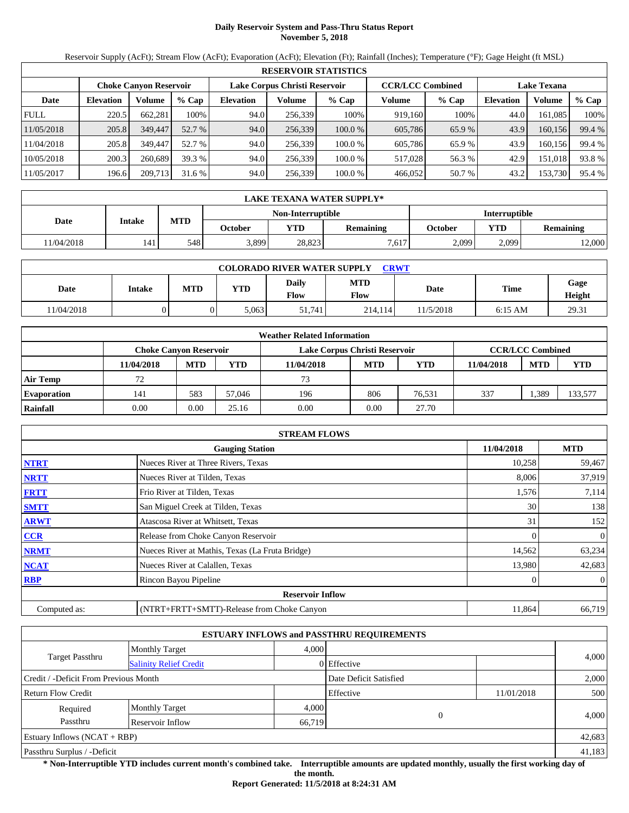# **Daily Reservoir System and Pass-Thru Status Report November 5, 2018**

Reservoir Supply (AcFt); Stream Flow (AcFt); Evaporation (AcFt); Elevation (Ft); Rainfall (Inches); Temperature (°F); Gage Height (ft MSL)

|             | <b>RESERVOIR STATISTICS</b> |                               |         |                               |         |         |                         |         |                    |         |        |  |
|-------------|-----------------------------|-------------------------------|---------|-------------------------------|---------|---------|-------------------------|---------|--------------------|---------|--------|--|
|             |                             | <b>Choke Canyon Reservoir</b> |         | Lake Corpus Christi Reservoir |         |         | <b>CCR/LCC Combined</b> |         | <b>Lake Texana</b> |         |        |  |
| Date        | <b>Elevation</b>            | Volume                        | $%$ Cap | <b>Elevation</b>              | Volume  | $%$ Cap | Volume                  | $%$ Cap | <b>Elevation</b>   | Volume  | % Cap  |  |
| <b>FULL</b> | 220.5                       | 662.281                       | 100%    | 94.0                          | 256,339 | 100%    | 919.160                 | 100%    | 44.0               | 161.085 | 100%   |  |
| 11/05/2018  | 205.8                       | 349,447                       | 52.7 %  | 94.0                          | 256,339 | 100.0%  | 605,786                 | 65.9 %  | 43.9               | 160,156 | 99.4 % |  |
| 11/04/2018  | 205.8                       | 349,447                       | 52.7 %  | 94.0                          | 256.339 | 100.0 % | 605.786                 | 65.9%   | 43.9               | 160.156 | 99.4 % |  |
| 10/05/2018  | 200.3                       | 260,689                       | 39.3 %  | 94.0                          | 256.339 | 100.0 % | 517,028                 | 56.3 %  | 42.9               | 151.018 | 93.8%  |  |
| 11/05/2017  | 196.6                       | 209,713                       | 31.6 %  | 94.0                          | 256,339 | 100.0 % | 466,052                 | 50.7 %  | 43.2               | 153,730 | 95.4 % |  |

|            |        |            |         |            | LAKE TEXANA WATER SUPPLY* |         |            |                      |  |
|------------|--------|------------|---------|------------|---------------------------|---------|------------|----------------------|--|
|            |        |            |         |            | Non-Interruptible         |         |            | <b>Interruptible</b> |  |
| Date       | Intake | <b>MTD</b> | October | <b>YTD</b> | <b>Remaining</b>          | October | <b>YTD</b> | <b>Remaining</b>     |  |
| 11/04/2018 | 141    | 548        | 3,899   | 28,823     | 7.617                     | 2,099   | 2.099      | 12,000               |  |

| <b>COLORADO RIVER WATER SUPPLY</b><br><b>CRWT</b> |        |            |            |               |                           |           |           |                |  |  |  |
|---------------------------------------------------|--------|------------|------------|---------------|---------------------------|-----------|-----------|----------------|--|--|--|
| Date                                              | Intake | <b>MTD</b> | <b>YTD</b> | Daily<br>Flow | <b>MTD</b><br><b>Flow</b> | Date      | Time      | Gage<br>Height |  |  |  |
| 11/04/2018                                        |        |            | 5.063      | 51.741        | 214,114                   | 11/5/2018 | $6:15$ AM | 29.31          |  |  |  |

|                    |                               |            |        | <b>Weather Related Information</b> |            |            |            |                         |            |
|--------------------|-------------------------------|------------|--------|------------------------------------|------------|------------|------------|-------------------------|------------|
|                    | <b>Choke Canvon Reservoir</b> |            |        | Lake Corpus Christi Reservoir      |            |            |            | <b>CCR/LCC Combined</b> |            |
|                    | 11/04/2018                    | <b>MTD</b> | YTD    | 11/04/2018                         | <b>MTD</b> | <b>YTD</b> | 11/04/2018 | <b>MTD</b>              | <b>YTD</b> |
| <b>Air Temp</b>    | 72                            |            |        | 73                                 |            |            |            |                         |            |
| <b>Evaporation</b> | 141                           | 583        | 57.046 | 196                                | 806        | 76.531     | 337        | .389                    | 133,577    |
| Rainfall           | 0.00                          | 0.00       | 25.16  | 0.00                               | 0.00       | 27.70      |            |                         |            |

|              | <b>STREAM FLOWS</b>                             |            |                |
|--------------|-------------------------------------------------|------------|----------------|
|              | <b>Gauging Station</b>                          | 11/04/2018 | <b>MTD</b>     |
| <b>NTRT</b>  | Nueces River at Three Rivers, Texas             | 10,258     | 59,467         |
| <b>NRTT</b>  | Nueces River at Tilden, Texas                   | 8,006      | 37,919         |
| <b>FRTT</b>  | Frio River at Tilden, Texas                     | 1,576      | 7,114          |
| <b>SMTT</b>  | San Miguel Creek at Tilden, Texas               | 30         | 138            |
| <b>ARWT</b>  | Atascosa River at Whitsett, Texas               | 31         | 152            |
| CCR          | Release from Choke Canyon Reservoir             |            | $\mathbf{0}$   |
| <b>NRMT</b>  | Nueces River at Mathis, Texas (La Fruta Bridge) | 14,562     | 63,234         |
| <b>NCAT</b>  | Nueces River at Calallen, Texas                 | 13,980     | 42,683         |
| <b>RBP</b>   | Rincon Bayou Pipeline                           |            | $\overline{0}$ |
|              | <b>Reservoir Inflow</b>                         |            |                |
| Computed as: | (NTRT+FRTT+SMTT)-Release from Choke Canyon      | 11,864     | 66,719         |

|                                       |                               |                        | <b>ESTUARY INFLOWS and PASSTHRU REQUIREMENTS</b> |          |            |        |  |
|---------------------------------------|-------------------------------|------------------------|--------------------------------------------------|----------|------------|--------|--|
|                                       | <b>Monthly Target</b>         | 4.000                  |                                                  |          |            |        |  |
| Target Passthru                       | <b>Salinity Relief Credit</b> |                        | 0 Effective                                      |          |            | 4,000  |  |
| Credit / -Deficit From Previous Month |                               | Date Deficit Satisfied |                                                  |          | 2,000      |        |  |
| <b>Return Flow Credit</b>             |                               |                        | Effective                                        |          | 11/01/2018 | 500    |  |
| Required                              | <b>Monthly Target</b>         | 4,000                  |                                                  |          |            |        |  |
| Passthru                              | Reservoir Inflow              | 66,719                 |                                                  | $\Omega$ |            | 4,000  |  |
| Estuary Inflows $(NCAT + RBP)$        |                               |                        |                                                  |          | 42,683     |        |  |
| Passthru Surplus / -Deficit           |                               |                        |                                                  |          |            | 41,183 |  |

**\* Non-Interruptible YTD includes current month's combined take. Interruptible amounts are updated monthly, usually the first working day of the month.** 

**Report Generated: 11/5/2018 at 8:24:31 AM**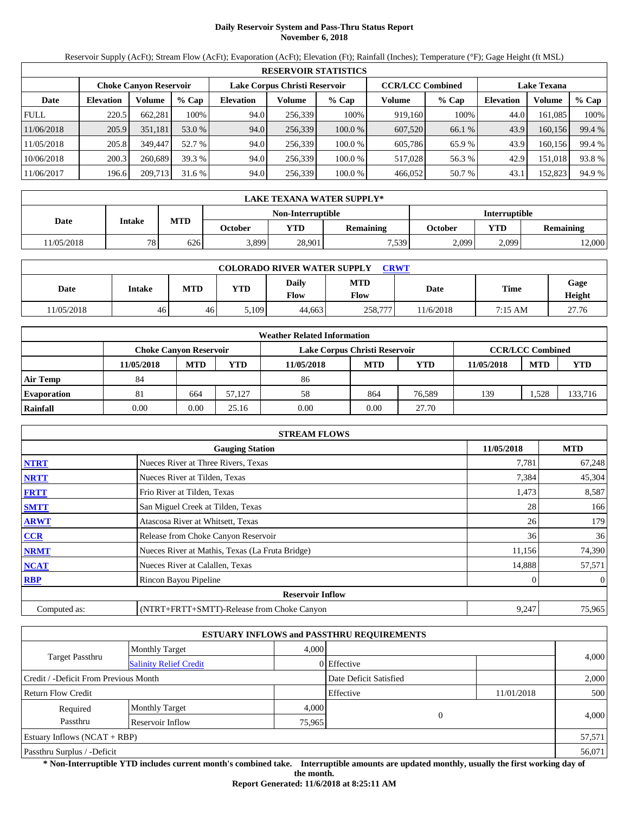# **Daily Reservoir System and Pass-Thru Status Report November 6, 2018**

Reservoir Supply (AcFt); Stream Flow (AcFt); Evaporation (AcFt); Elevation (Ft); Rainfall (Inches); Temperature (°F); Gage Height (ft MSL)

|             | <b>RESERVOIR STATISTICS</b> |                               |         |                               |         |         |                         |         |                    |         |        |  |
|-------------|-----------------------------|-------------------------------|---------|-------------------------------|---------|---------|-------------------------|---------|--------------------|---------|--------|--|
|             |                             | <b>Choke Canyon Reservoir</b> |         | Lake Corpus Christi Reservoir |         |         | <b>CCR/LCC Combined</b> |         | <b>Lake Texana</b> |         |        |  |
| Date        | <b>Elevation</b>            | Volume                        | $%$ Cap | <b>Elevation</b>              | Volume  | $%$ Cap | Volume                  | $%$ Cap | <b>Elevation</b>   | Volume  | % Cap  |  |
| <b>FULL</b> | 220.5                       | 662,281                       | 100%    | 94.0                          | 256,339 | 100%    | 919,160                 | 100%    | 44.0               | 161.085 | 100%   |  |
| 11/06/2018  | 205.9                       | 351,181                       | 53.0 %  | 94.0                          | 256,339 | 100.0%  | 607,520                 | 66.1 %  | 43.9               | 160,156 | 99.4 % |  |
| 11/05/2018  | 205.8                       | 349,447                       | 52.7 %  | 94.0                          | 256,339 | 100.0%  | 605,786                 | 65.9 %  | 43.9               | 160,156 | 99.4 % |  |
| 10/06/2018  | 200.3                       | 260,689                       | 39.3 %  | 94.0                          | 256.339 | 100.0 % | 517,028                 | 56.3 %  | 42.9               | 151,018 | 93.8%  |  |
| 11/06/2017  | 196.6                       | 209,713                       | 31.6 %  | 94.0                          | 256,339 | 100.0%  | 466,052                 | 50.7 %  | 43.1               | 152,823 | 94.9 % |  |

|            |        |            |                          |            | LAKE TEXANA WATER SUPPLY* |                      |            |                  |  |  |
|------------|--------|------------|--------------------------|------------|---------------------------|----------------------|------------|------------------|--|--|
|            |        |            | <b>Non-Interruptible</b> |            |                           | <b>Interruptible</b> |            |                  |  |  |
| Date       | Intake | <b>MTD</b> | October                  | <b>YTD</b> | <b>Remaining</b>          | October              | <b>YTD</b> | <b>Remaining</b> |  |  |
| 11/05/2018 | 78     | 626        | 3,899                    | 28.901     | 7.539                     | 2,099                | 2.099      | 12,000           |  |  |

| <b>COLORADO RIVER WATER SUPPLY</b><br><b>CRWT</b> |        |            |            |               |                           |          |             |                |  |  |  |
|---------------------------------------------------|--------|------------|------------|---------------|---------------------------|----------|-------------|----------------|--|--|--|
| Date                                              | Intake | <b>MTD</b> | <b>YTD</b> | Daily<br>Flow | <b>MTD</b><br><b>Flow</b> | Date     | <b>Time</b> | Gage<br>Height |  |  |  |
| 11/05/2018                                        | 46'    | 46         | 5,109      | 44.663        | 258,777                   | 1/6/2018 | 7:15 AM     | 27.76          |  |  |  |

|                    |                               |            |        | <b>Weather Related Information</b> |            |            |            |                         |            |
|--------------------|-------------------------------|------------|--------|------------------------------------|------------|------------|------------|-------------------------|------------|
|                    | <b>Choke Canvon Reservoir</b> |            |        | Lake Corpus Christi Reservoir      |            |            |            | <b>CCR/LCC Combined</b> |            |
|                    | 11/05/2018                    | <b>MTD</b> | YTD    | 11/05/2018                         | <b>MTD</b> | <b>YTD</b> | 11/05/2018 | <b>MTD</b>              | <b>YTD</b> |
| <b>Air Temp</b>    | 84                            |            |        | 86                                 |            |            |            |                         |            |
| <b>Evaporation</b> | 81                            | 664        | 57.127 | 58                                 | 864        | 76.589     | 139        | .528                    | 133,716    |
| Rainfall           | 0.00                          | 0.00       | 25.16  | 0.00                               | 0.00       | 27.70      |            |                         |            |

|              | <b>STREAM FLOWS</b>                             |            |                |
|--------------|-------------------------------------------------|------------|----------------|
|              | <b>Gauging Station</b>                          | 11/05/2018 | <b>MTD</b>     |
| <b>NTRT</b>  | Nueces River at Three Rivers, Texas             | 7,781      | 67,248         |
| <b>NRTT</b>  | Nueces River at Tilden, Texas                   | 7,384      | 45,304         |
| <b>FRTT</b>  | Frio River at Tilden, Texas                     | 1,473      | 8,587          |
| <b>SMTT</b>  | San Miguel Creek at Tilden, Texas               | 28         | 166            |
| <b>ARWT</b>  | Atascosa River at Whitsett, Texas               | 26         | 179            |
| <b>CCR</b>   | Release from Choke Canyon Reservoir             | 36         | 36             |
| <b>NRMT</b>  | Nueces River at Mathis, Texas (La Fruta Bridge) | 11,156     | 74,390         |
| <b>NCAT</b>  | Nueces River at Calallen, Texas                 | 14,888     | 57,571         |
| <b>RBP</b>   | Rincon Bayou Pipeline                           |            | $\overline{0}$ |
|              | <b>Reservoir Inflow</b>                         |            |                |
| Computed as: | (NTRT+FRTT+SMTT)-Release from Choke Canyon      | 9,247      | 75,965         |

|                                       |                               |        | <b>ESTUARY INFLOWS and PASSTHRU REQUIREMENTS</b> |            |        |  |
|---------------------------------------|-------------------------------|--------|--------------------------------------------------|------------|--------|--|
|                                       | <b>Monthly Target</b>         | 4,000  |                                                  |            |        |  |
| Target Passthru                       | <b>Salinity Relief Credit</b> |        | 0 Effective                                      |            | 4,000  |  |
| Credit / -Deficit From Previous Month |                               |        | Date Deficit Satisfied                           |            | 2,000  |  |
| <b>Return Flow Credit</b>             |                               |        | Effective                                        | 11/01/2018 | 500    |  |
| Required                              | <b>Monthly Target</b>         | 4,000  |                                                  |            |        |  |
| Passthru                              | Reservoir Inflow              | 75,965 |                                                  | $\Omega$   | 4.000  |  |
| Estuary Inflows $(NCAT + RBP)$        |                               |        |                                                  |            | 57,571 |  |
| Passthru Surplus / -Deficit           |                               |        |                                                  |            | 56,071 |  |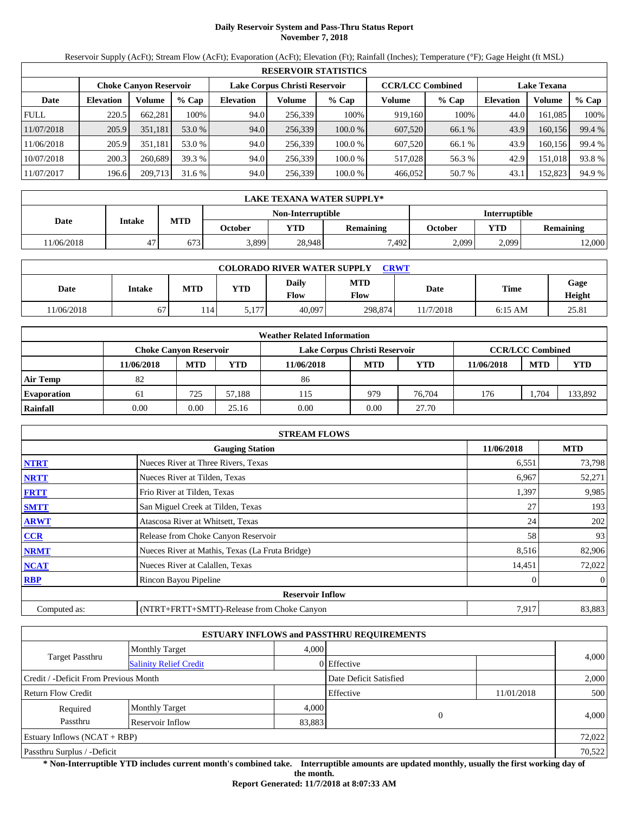# **Daily Reservoir System and Pass-Thru Status Report November 7, 2018**

Reservoir Supply (AcFt); Stream Flow (AcFt); Evaporation (AcFt); Elevation (Ft); Rainfall (Inches); Temperature (°F); Gage Height (ft MSL)

|             | <b>RESERVOIR STATISTICS</b> |                               |         |                               |         |         |                         |         |                    |         |        |  |  |
|-------------|-----------------------------|-------------------------------|---------|-------------------------------|---------|---------|-------------------------|---------|--------------------|---------|--------|--|--|
|             |                             | <b>Choke Canyon Reservoir</b> |         | Lake Corpus Christi Reservoir |         |         | <b>CCR/LCC Combined</b> |         | <b>Lake Texana</b> |         |        |  |  |
| Date        | <b>Elevation</b>            | Volume                        | $%$ Cap | <b>Elevation</b>              | Volume  | $%$ Cap | Volume                  | $%$ Cap | <b>Elevation</b>   | Volume  | % Cap  |  |  |
| <b>FULL</b> | 220.5                       | 662.281                       | 100%    | 94.0                          | 256,339 | 100%    | 919.160                 | 100%    | 44.0               | 161.085 | 100%   |  |  |
| 11/07/2018  | 205.9                       | 351,181                       | 53.0 %  | 94.0                          | 256,339 | 100.0%  | 607,520                 | 66.1 %  | 43.9               | 160,156 | 99.4 % |  |  |
| 11/06/2018  | 205.9                       | 351.181                       | 53.0 %  | 94.0                          | 256.339 | 100.0 % | 607.520                 | 66.1 %  | 43.9               | 160.156 | 99.4 % |  |  |
| 10/07/2018  | 200.3                       | 260,689                       | 39.3 %  | 94.0                          | 256.339 | 100.0 % | 517,028                 | 56.3 %  | 42.9               | 151.018 | 93.8%  |  |  |
| 11/07/2017  | 196.6                       | 209,713                       | 31.6 %  | 94.0                          | 256,339 | 100.0 % | 466,052                 | 50.7 %  | 43.1               | 152,823 | 94.9 % |  |  |

|            | <b>LAKE TEXANA WATER SUPPLY*</b> |            |                          |                      |                  |         |       |                  |  |  |
|------------|----------------------------------|------------|--------------------------|----------------------|------------------|---------|-------|------------------|--|--|
|            |                                  |            | <b>Non-Interruptible</b> | <b>Interruptible</b> |                  |         |       |                  |  |  |
| Date       | Intake                           | <b>MTD</b> | October                  | <b>YTD</b>           | <b>Remaining</b> | October | YTD   | <b>Remaining</b> |  |  |
| 11/06/2018 | 47                               | 673        | 3,899                    | 28,948               | 7,492            | 2.099   | 2,099 | 12,000           |  |  |

| <b>COLORADO RIVER WATER SUPPLY</b><br><b>CRWT</b> |        |            |            |               |                           |           |           |                |  |  |
|---------------------------------------------------|--------|------------|------------|---------------|---------------------------|-----------|-----------|----------------|--|--|
| Date                                              | Intake | <b>MTD</b> | <b>YTD</b> | Daily<br>Flow | <b>MTD</b><br><b>Flow</b> | Date      | Time      | Gage<br>Height |  |  |
| 1/06/2018                                         | 67     | .14        | 5,177      | 40.097        | 298,874                   | 11/7/2018 | $6:15$ AM | 25.81          |  |  |

|                    | <b>Weather Related Information</b> |                               |        |                               |            |            |            |                         |            |  |  |  |
|--------------------|------------------------------------|-------------------------------|--------|-------------------------------|------------|------------|------------|-------------------------|------------|--|--|--|
|                    |                                    | <b>Choke Canvon Reservoir</b> |        | Lake Corpus Christi Reservoir |            |            |            | <b>CCR/LCC Combined</b> |            |  |  |  |
|                    | 11/06/2018                         | <b>MTD</b>                    | YTD    | 11/06/2018                    | <b>MTD</b> | <b>YTD</b> | 11/06/2018 | <b>MTD</b>              | <b>YTD</b> |  |  |  |
| <b>Air Temp</b>    | 82                                 |                               |        | 86                            |            |            |            |                         |            |  |  |  |
| <b>Evaporation</b> | 61                                 | 725                           | 57.188 | 115                           | 979        | 76,704     | 176        | . .704                  | 133,892    |  |  |  |
| Rainfall           | 0.00                               | 0.00                          | 25.16  | 0.00                          | 0.00       | 27.70      |            |                         |            |  |  |  |

|              | <b>STREAM FLOWS</b>                             |        |                |  |  |  |  |
|--------------|-------------------------------------------------|--------|----------------|--|--|--|--|
|              | <b>Gauging Station</b>                          |        |                |  |  |  |  |
| <b>NTRT</b>  | Nueces River at Three Rivers, Texas             | 6,551  | 73,798         |  |  |  |  |
| <b>NRTT</b>  | Nueces River at Tilden, Texas                   | 6,967  | 52,271         |  |  |  |  |
| <b>FRTT</b>  | Frio River at Tilden, Texas                     | 1,397  | 9,985          |  |  |  |  |
| <b>SMTT</b>  | San Miguel Creek at Tilden, Texas               | 27     | 193            |  |  |  |  |
| <b>ARWT</b>  | Atascosa River at Whitsett, Texas               | 24     | 202            |  |  |  |  |
| <b>CCR</b>   | Release from Choke Canyon Reservoir             | 58     | 93             |  |  |  |  |
| <b>NRMT</b>  | Nueces River at Mathis, Texas (La Fruta Bridge) | 8,516  | 82,906         |  |  |  |  |
| <b>NCAT</b>  | Nueces River at Calallen, Texas                 | 14,451 | 72,022         |  |  |  |  |
| <b>RBP</b>   | Rincon Bayou Pipeline                           |        | $\overline{0}$ |  |  |  |  |
|              | <b>Reservoir Inflow</b>                         |        |                |  |  |  |  |
| Computed as: | (NTRT+FRTT+SMTT)-Release from Choke Canyon      | 7,917  | 83,883         |  |  |  |  |

|                                       |                               |                        | <b>ESTUARY INFLOWS and PASSTHRU REQUIREMENTS</b> |            |       |  |
|---------------------------------------|-------------------------------|------------------------|--------------------------------------------------|------------|-------|--|
|                                       | <b>Monthly Target</b>         | 4.000                  |                                                  |            |       |  |
| Target Passthru                       | <b>Salinity Relief Credit</b> |                        | 0 Effective                                      |            | 4,000 |  |
| Credit / -Deficit From Previous Month |                               | Date Deficit Satisfied |                                                  | 2,000      |       |  |
| <b>Return Flow Credit</b>             |                               |                        | Effective                                        | 11/01/2018 | 500   |  |
| Required                              | <b>Monthly Target</b>         | 4,000                  |                                                  |            |       |  |
| Passthru                              | Reservoir Inflow              | 83,883                 | $\Omega$                                         |            | 4,000 |  |
| Estuary Inflows $(NCAT + RBP)$        |                               |                        |                                                  | 72,022     |       |  |
| Passthru Surplus / -Deficit           |                               |                        |                                                  | 70,522     |       |  |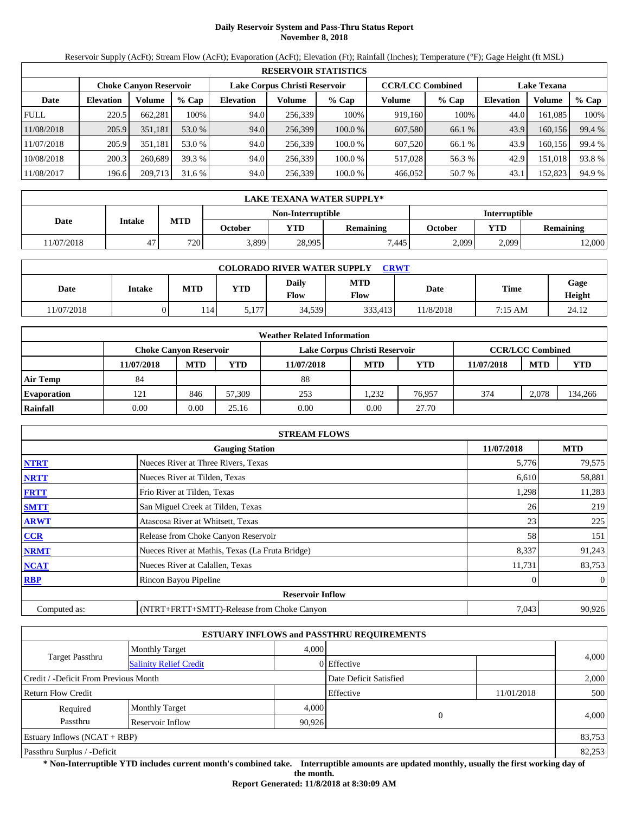# **Daily Reservoir System and Pass-Thru Status Report November 8, 2018**

Reservoir Supply (AcFt); Stream Flow (AcFt); Evaporation (AcFt); Elevation (Ft); Rainfall (Inches); Temperature (°F); Gage Height (ft MSL)

|             | <b>RESERVOIR STATISTICS</b> |                               |         |                               |         |         |                         |         |                    |         |        |  |  |
|-------------|-----------------------------|-------------------------------|---------|-------------------------------|---------|---------|-------------------------|---------|--------------------|---------|--------|--|--|
|             |                             | <b>Choke Canyon Reservoir</b> |         | Lake Corpus Christi Reservoir |         |         | <b>CCR/LCC Combined</b> |         | <b>Lake Texana</b> |         |        |  |  |
| Date        | <b>Elevation</b>            | Volume                        | $%$ Cap | <b>Elevation</b>              | Volume  | $%$ Cap | Volume                  | $%$ Cap | <b>Elevation</b>   | Volume  | % Cap  |  |  |
| <b>FULL</b> | 220.5                       | 662.281                       | 100%    | 94.0                          | 256.339 | 100%    | 919.160                 | 100%    | 44.0               | 161.085 | 100%   |  |  |
| 11/08/2018  | 205.9                       | 351.181                       | 53.0 %  | 94.0                          | 256,399 | 100.0%  | 607,580                 | 66.1 %  | 43.9               | 160.156 | 99.4 % |  |  |
| 11/07/2018  | 205.9                       | 351.181                       | 53.0 %  | 94.0                          | 256.339 | 100.0 % | 607.520                 | 66.1 %  | 43.9               | 160.156 | 99.4 % |  |  |
| 10/08/2018  | 200.3                       | 260,689                       | 39.3 %  | 94.0                          | 256.339 | 100.0 % | 517.028                 | 56.3 %  | 42.9               | 151.018 | 93.8%  |  |  |
| 11/08/2017  | 196.6                       | 209,713                       | 31.6 %  | 94.0                          | 256,339 | 100.0 % | 466,052                 | 50.7 %  | 43.1               | 152,823 | 94.9 % |  |  |

|            | LAKE TEXANA WATER SUPPLY* |            |         |                   |                  |                      |                         |        |  |  |
|------------|---------------------------|------------|---------|-------------------|------------------|----------------------|-------------------------|--------|--|--|
|            |                           |            |         | Non-Interruptible |                  | <b>Interruptible</b> |                         |        |  |  |
| Date       | Intake                    | <b>MTD</b> | October | <b>YTD</b>        | <b>Remaining</b> | October              | YTD<br><b>Remaining</b> |        |  |  |
| 11/07/2018 | 47                        | 720        | 3,899   | 28.995            | 7.445            | 2,099                | 2,099                   | 12,000 |  |  |

| <b>COLORADO RIVER WATER SUPPLY</b><br><b>CRWT</b> |        |            |            |               |                    |          |         |                |  |  |
|---------------------------------------------------|--------|------------|------------|---------------|--------------------|----------|---------|----------------|--|--|
| Date                                              | Intake | <b>MTD</b> | <b>YTD</b> | Daily<br>Flow | <b>MTD</b><br>Flow | Date     | Time    | Gage<br>Height |  |  |
| 11/07/2018                                        |        | 14         | 5.177      | 34,539        | 333.413            | 1/8/2018 | 7:15 AM | 24.12          |  |  |

|                    | <b>Weather Related Information</b> |            |        |                               |                         |            |            |            |            |  |  |
|--------------------|------------------------------------|------------|--------|-------------------------------|-------------------------|------------|------------|------------|------------|--|--|
|                    | Choke Canvon Reservoir             |            |        | Lake Corpus Christi Reservoir | <b>CCR/LCC Combined</b> |            |            |            |            |  |  |
|                    | 11/07/2018                         | <b>MTD</b> | YTD    | 11/07/2018                    | <b>MTD</b>              | <b>YTD</b> | 11/07/2018 | <b>MTD</b> | <b>YTD</b> |  |  |
| <b>Air Temp</b>    | 84                                 |            |        | 88                            |                         |            |            |            |            |  |  |
| <b>Evaporation</b> | 121                                | 846        | 57,309 | 253                           | .232                    | 76.957     | 374        | 2,078      | 134,266    |  |  |
| Rainfall           | 0.00                               | 0.00       | 25.16  | 0.00                          | 0.00                    | 27.70      |            |            |            |  |  |

|              | <b>STREAM FLOWS</b>                             |        |                |  |  |  |  |
|--------------|-------------------------------------------------|--------|----------------|--|--|--|--|
|              | <b>Gauging Station</b>                          |        |                |  |  |  |  |
| <b>NTRT</b>  | Nueces River at Three Rivers, Texas             | 5,776  | 79,575         |  |  |  |  |
| <b>NRTT</b>  | Nueces River at Tilden, Texas                   | 6,610  | 58,881         |  |  |  |  |
| <b>FRTT</b>  | Frio River at Tilden, Texas                     | 1,298  | 11,283         |  |  |  |  |
| <b>SMTT</b>  | San Miguel Creek at Tilden, Texas               | 26     | 219            |  |  |  |  |
| <b>ARWT</b>  | Atascosa River at Whitsett, Texas               | 23     | 225            |  |  |  |  |
| <b>CCR</b>   | Release from Choke Canyon Reservoir             | 58     | 151            |  |  |  |  |
| <b>NRMT</b>  | Nueces River at Mathis, Texas (La Fruta Bridge) | 8,337  | 91,243         |  |  |  |  |
| <b>NCAT</b>  | Nueces River at Calallen, Texas                 | 11,731 | 83,753         |  |  |  |  |
| <b>RBP</b>   | Rincon Bayou Pipeline                           |        | $\overline{0}$ |  |  |  |  |
|              | <b>Reservoir Inflow</b>                         |        |                |  |  |  |  |
| Computed as: | (NTRT+FRTT+SMTT)-Release from Choke Canyon      | 7,043  | 90,926         |  |  |  |  |

|                                       |                               |       | <b>ESTUARY INFLOWS and PASSTHRU REQUIREMENTS</b> |            |        |  |
|---------------------------------------|-------------------------------|-------|--------------------------------------------------|------------|--------|--|
|                                       | <b>Monthly Target</b>         | 4,000 |                                                  |            |        |  |
| <b>Target Passthru</b>                | <b>Salinity Relief Credit</b> |       | 0 Effective                                      |            | 4,000  |  |
| Credit / -Deficit From Previous Month |                               |       | Date Deficit Satisfied                           |            | 2,000  |  |
| Return Flow Credit                    |                               |       | Effective                                        | 11/01/2018 | 500    |  |
| Required                              | <b>Monthly Target</b>         | 4,000 | $\theta$                                         |            |        |  |
| Passthru                              | Reservoir Inflow<br>90,926    |       |                                                  |            | 4,000  |  |
| Estuary Inflows $(NCAT + RBP)$        |                               |       |                                                  |            | 83,753 |  |
| Passthru Surplus / -Deficit           |                               |       |                                                  |            |        |  |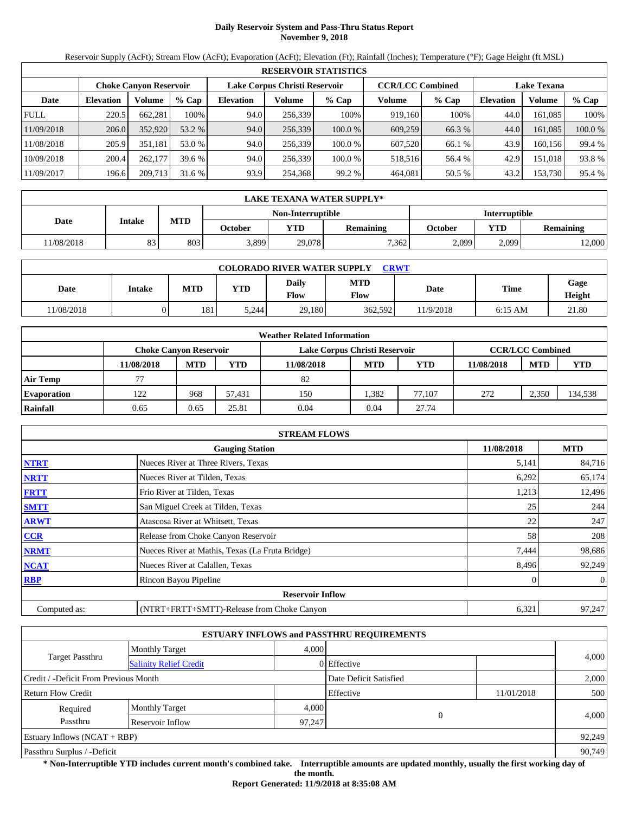# **Daily Reservoir System and Pass-Thru Status Report November 9, 2018**

Reservoir Supply (AcFt); Stream Flow (AcFt); Evaporation (AcFt); Elevation (Ft); Rainfall (Inches); Temperature (°F); Gage Height (ft MSL)

|             | <b>RESERVOIR STATISTICS</b> |                               |         |                  |                               |           |                         |         |                    |         |         |  |  |
|-------------|-----------------------------|-------------------------------|---------|------------------|-------------------------------|-----------|-------------------------|---------|--------------------|---------|---------|--|--|
|             |                             | <b>Choke Canvon Reservoir</b> |         |                  | Lake Corpus Christi Reservoir |           | <b>CCR/LCC Combined</b> |         | <b>Lake Texana</b> |         |         |  |  |
| Date        | <b>Elevation</b>            | Volume                        | $%$ Cap | <b>Elevation</b> | Volume                        | $%$ Cap   | Volume                  | $%$ Cap | <b>Elevation</b>   | Volume  | $%$ Cap |  |  |
| <b>FULL</b> | 220.5                       | 662.281                       | 100%    | 94.0             | 256,339                       | 100%      | 919.160                 | 100%    | 44.0               | 161.085 | 100%    |  |  |
| 11/09/2018  | 206.0                       | 352,920                       | 53.2 %  | 94.0             | 256,339                       | $100.0\%$ | 609,259                 | 66.3 %  | 44.0               | 161.085 | 100.0 % |  |  |
| 11/08/2018  | 205.9                       | 351.181                       | 53.0 %  | 94.0             | 256.339                       | 100.0%    | 607,520                 | 66.1 %  | 43.9               | 160.156 | 99.4 %  |  |  |
| 10/09/2018  | 200.4                       | 262,177                       | 39.6 %  | 94.0             | 256,339                       | 100.0%    | 518.516                 | 56.4 %  | 42.9               | 151.018 | 93.8 %  |  |  |
| 11/09/2017  | 196.6                       | 209,713                       | 31.6 %  | 93.9             | 254,368                       | 99.2%     | 464,081                 | 50.5 %  | 43.2               | 153,730 | 95.4 %  |  |  |

|           | LAKE TEXANA WATER SUPPLY* |            |         |                   |                  |                      |            |                  |  |  |  |
|-----------|---------------------------|------------|---------|-------------------|------------------|----------------------|------------|------------------|--|--|--|
|           |                           |            |         | Non-Interruptible |                  | <b>Interruptible</b> |            |                  |  |  |  |
| Date      | Intake                    | <b>MTD</b> | October | <b>YTD</b>        | <b>Remaining</b> | October              | <b>YTD</b> | <b>Remaining</b> |  |  |  |
| 1/08/2018 | 83                        | 803        | 3,899   | 29,078            | 7.362            | 2,099                | 2.099      | 2,000            |  |  |  |

| <b>COLORADO RIVER WATER SUPPLY</b><br><b>CRWT</b> |        |            |            |               |                           |          |           |                |  |  |
|---------------------------------------------------|--------|------------|------------|---------------|---------------------------|----------|-----------|----------------|--|--|
| Date                                              | Intake | <b>MTD</b> | <b>YTD</b> | Daily<br>Flow | <b>MTD</b><br><b>Flow</b> | Date     | Time      | Gage<br>Height |  |  |
| 1/08/2018                                         |        | 181        | 5.244      | 29.180        | 362.592                   | 1/9/2018 | $6:15$ AM | 21.80          |  |  |

|                    | <b>Weather Related Information</b> |                               |        |                               |            |            |            |                         |            |  |  |
|--------------------|------------------------------------|-------------------------------|--------|-------------------------------|------------|------------|------------|-------------------------|------------|--|--|
|                    |                                    | <b>Choke Canvon Reservoir</b> |        | Lake Corpus Christi Reservoir |            |            |            | <b>CCR/LCC Combined</b> |            |  |  |
|                    | 11/08/2018                         | <b>MTD</b>                    | YTD    | 11/08/2018                    | <b>MTD</b> | <b>YTD</b> | 11/08/2018 | <b>MTD</b>              | <b>YTD</b> |  |  |
| <b>Air Temp</b>    |                                    |                               |        | 82                            |            |            |            |                         |            |  |  |
| <b>Evaporation</b> | 122                                | 968                           | 57.431 | 150                           | .382       | 77.107     | 272        | 2,350                   | 134,538    |  |  |
| Rainfall           | 0.65                               | 0.65                          | 25.81  | 0.04                          | 0.04       | 27.74      |            |                         |            |  |  |

|              | <b>STREAM FLOWS</b>                             |            |                |
|--------------|-------------------------------------------------|------------|----------------|
|              | <b>Gauging Station</b>                          | 11/08/2018 | <b>MTD</b>     |
| <b>NTRT</b>  | Nueces River at Three Rivers, Texas             | 5,141      | 84,716         |
| <b>NRTT</b>  | Nueces River at Tilden, Texas                   | 6,292      | 65,174         |
| <b>FRTT</b>  | Frio River at Tilden, Texas                     | 1,213      | 12,496         |
| <b>SMTT</b>  | San Miguel Creek at Tilden, Texas               | 25         | 244            |
| <b>ARWT</b>  | Atascosa River at Whitsett, Texas               | 22         | 247            |
| <b>CCR</b>   | Release from Choke Canyon Reservoir             | 58         | 208            |
| <b>NRMT</b>  | Nueces River at Mathis, Texas (La Fruta Bridge) | 7,444      | 98,686         |
| <b>NCAT</b>  | Nueces River at Calallen, Texas                 | 8,496      | 92,249         |
| <b>RBP</b>   | Rincon Bayou Pipeline                           |            | $\overline{0}$ |
|              | <b>Reservoir Inflow</b>                         |            |                |
| Computed as: | (NTRT+FRTT+SMTT)-Release from Choke Canyon      | 6,321      | 97,247         |

|                                                  |                       |       | <b>ESTUARY INFLOWS and PASSTHRU REQUIREMENTS</b> |            |        |  |  |
|--------------------------------------------------|-----------------------|-------|--------------------------------------------------|------------|--------|--|--|
|                                                  | <b>Monthly Target</b> | 4,000 |                                                  |            |        |  |  |
| Target Passthru<br><b>Salinity Relief Credit</b> |                       |       | 0 Effective                                      |            | 4,000  |  |  |
| Credit / -Deficit From Previous Month            |                       |       | Date Deficit Satisfied                           |            | 2,000  |  |  |
| Return Flow Credit                               |                       |       | Effective                                        | 11/01/2018 | 500    |  |  |
| Required                                         | <b>Monthly Target</b> | 4,000 |                                                  |            |        |  |  |
| Passthru<br>Reservoir Inflow<br>97,247           |                       |       | $\Omega$                                         |            | 4,000  |  |  |
| Estuary Inflows $(NCAT + RBP)$                   |                       |       |                                                  |            | 92,249 |  |  |
| Passthru Surplus / -Deficit                      |                       |       |                                                  |            |        |  |  |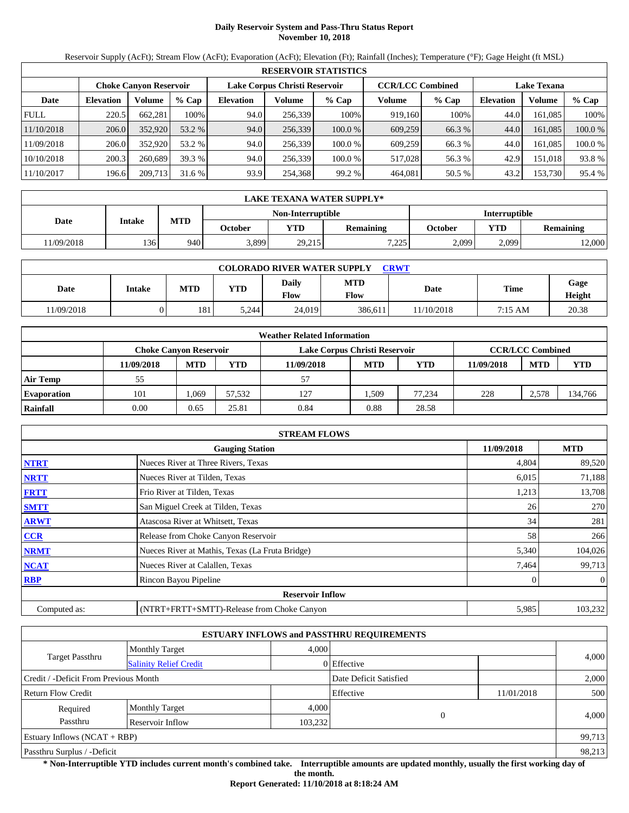# **Daily Reservoir System and Pass-Thru Status Report November 10, 2018**

Reservoir Supply (AcFt); Stream Flow (AcFt); Evaporation (AcFt); Elevation (Ft); Rainfall (Inches); Temperature (°F); Gage Height (ft MSL)

|             | <b>RESERVOIR STATISTICS</b> |                               |         |                  |                               |           |                         |         |                    |         |         |  |  |
|-------------|-----------------------------|-------------------------------|---------|------------------|-------------------------------|-----------|-------------------------|---------|--------------------|---------|---------|--|--|
|             |                             | <b>Choke Canvon Reservoir</b> |         |                  | Lake Corpus Christi Reservoir |           | <b>CCR/LCC Combined</b> |         | <b>Lake Texana</b> |         |         |  |  |
| Date        | <b>Elevation</b>            | Volume                        | $%$ Cap | <b>Elevation</b> | Volume                        | $%$ Cap   | Volume                  | $%$ Cap | <b>Elevation</b>   | Volume  | $%$ Cap |  |  |
| <b>FULL</b> | 220.5                       | 662.281                       | 100%    | 94.0             | 256,339                       | 100%      | 919,160                 | 100%    | 44.0               | 161.085 | 100%    |  |  |
| 11/10/2018  | 206.0                       | 352,920                       | 53.2 %  | 94.0             | 256,339                       | $100.0\%$ | 609,259                 | 66.3 %  | 44.0               | 161.085 | 100.0 % |  |  |
| 11/09/2018  | 206.0                       | 352,920                       | 53.2 %  | 94.0             | 256.339                       | 100.0%    | 609.259                 | 66.3 %  | 44.0               | 161.085 | 100.0 % |  |  |
| 10/10/2018  | 200.3                       | 260,689                       | 39.3 %  | 94.0             | 256,339                       | 100.0%    | 517,028                 | 56.3 %  | 42.9               | 151.018 | 93.8 %  |  |  |
| 11/10/2017  | 196.6                       | 209,713                       | 31.6 %  | 93.9             | 254,368                       | 99.2%     | 464,081                 | 50.5 %  | 43.2               | 153,730 | 95.4 %  |  |  |

|           | LAKE TEXANA WATER SUPPLY* |            |         |                          |                  |                      |            |                  |  |  |  |
|-----------|---------------------------|------------|---------|--------------------------|------------------|----------------------|------------|------------------|--|--|--|
|           |                           |            |         | <b>Non-Interruptible</b> |                  | <b>Interruptible</b> |            |                  |  |  |  |
| Date      | Intake                    | <b>MTD</b> | October | YTD                      | <b>Remaining</b> | October              | <b>YTD</b> | <b>Remaining</b> |  |  |  |
| 1/09/2018 | 136                       | 940        | 3,899   | 29,215                   | 7,225            | 2,099                | 2.099      | 12,000           |  |  |  |

| <b>COLORADO RIVER WATER SUPPLY</b><br><b>CRWT</b> |               |            |       |               |                           |            |             |                |  |  |  |
|---------------------------------------------------|---------------|------------|-------|---------------|---------------------------|------------|-------------|----------------|--|--|--|
| Date                                              | <b>Intake</b> | <b>MTD</b> | YTD   | Daily<br>Flow | <b>MTD</b><br><b>Flow</b> | Date       | <b>Time</b> | Gage<br>Height |  |  |  |
| 11/09/2018                                        |               | 181        | 5.244 | 24,019        | 386.611                   | 11/10/2018 | 7:15 AM     | 20.38          |  |  |  |

|                    | <b>Weather Related Information</b>                                                 |            |        |            |            |            |            |            |            |  |  |  |
|--------------------|------------------------------------------------------------------------------------|------------|--------|------------|------------|------------|------------|------------|------------|--|--|--|
|                    | <b>CCR/LCC Combined</b><br>Lake Corpus Christi Reservoir<br>Choke Canvon Reservoir |            |        |            |            |            |            |            |            |  |  |  |
|                    | 11/09/2018                                                                         | <b>MTD</b> | YTD    | 11/09/2018 | <b>MTD</b> | <b>YTD</b> | 11/09/2018 | <b>MTD</b> | <b>YTD</b> |  |  |  |
| <b>Air Temp</b>    | 55                                                                                 |            |        | 57         |            |            |            |            |            |  |  |  |
| <b>Evaporation</b> | 101                                                                                | .069       | 57.532 | 127        | .509       | 77.234     | 228        | 2,578      | 134,766    |  |  |  |
| Rainfall           | 0.00                                                                               | 0.65       | 25.81  | 0.84       | 0.88       | 28.58      |            |            |            |  |  |  |

|              | <b>STREAM FLOWS</b>                             |            |                |
|--------------|-------------------------------------------------|------------|----------------|
|              | <b>Gauging Station</b>                          | 11/09/2018 | <b>MTD</b>     |
| <b>NTRT</b>  | Nueces River at Three Rivers, Texas             | 4,804      | 89,520         |
| <b>NRTT</b>  | Nueces River at Tilden, Texas                   | 6,015      | 71,188         |
| <b>FRTT</b>  | Frio River at Tilden, Texas                     | 1,213      | 13,708         |
| <b>SMTT</b>  | San Miguel Creek at Tilden, Texas               | 26         | 270            |
| <b>ARWT</b>  | Atascosa River at Whitsett, Texas               | 34         | 281            |
| <b>CCR</b>   | Release from Choke Canyon Reservoir             | 58         | 266            |
| <b>NRMT</b>  | Nueces River at Mathis, Texas (La Fruta Bridge) | 5,340      | 104,026        |
| <b>NCAT</b>  | Nueces River at Calallen, Texas                 | 7,464      | 99,713         |
| <b>RBP</b>   | Rincon Bayou Pipeline                           |            | $\overline{0}$ |
|              | <b>Reservoir Inflow</b>                         |            |                |
| Computed as: | (NTRT+FRTT+SMTT)-Release from Choke Canyon      | 5,985      | 103,232        |

|                                                         |                       |         | <b>ESTUARY INFLOWS and PASSTHRU REQUIREMENTS</b> |            |        |  |  |
|---------------------------------------------------------|-----------------------|---------|--------------------------------------------------|------------|--------|--|--|
|                                                         | <b>Monthly Target</b> | 4.000   |                                                  |            |        |  |  |
| <b>Target Passthru</b><br><b>Salinity Relief Credit</b> |                       |         | 0 Effective                                      |            | 4,000  |  |  |
| Credit / -Deficit From Previous Month                   |                       |         | Date Deficit Satisfied                           |            | 2,000  |  |  |
| <b>Return Flow Credit</b>                               |                       |         | Effective                                        | 11/01/2018 | 500    |  |  |
| Required                                                | <b>Monthly Target</b> | 4,000   |                                                  |            |        |  |  |
| Passthru                                                | Reservoir Inflow      | 103,232 | $\Omega$                                         |            | 4,000  |  |  |
| Estuary Inflows $(NCAT + RBP)$                          |                       |         |                                                  |            | 99,713 |  |  |
| Passthru Surplus / -Deficit                             |                       |         |                                                  |            |        |  |  |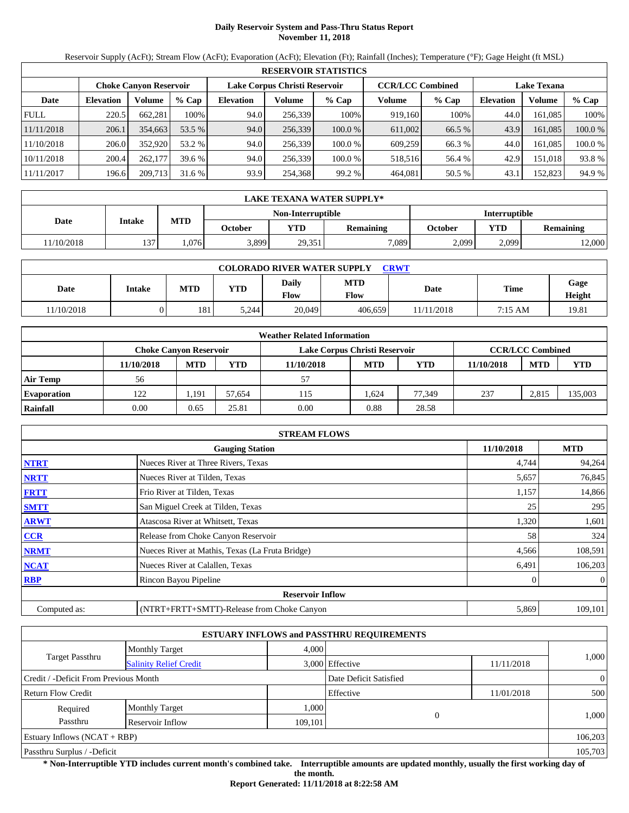# **Daily Reservoir System and Pass-Thru Status Report November 11, 2018**

Reservoir Supply (AcFt); Stream Flow (AcFt); Evaporation (AcFt); Elevation (Ft); Rainfall (Inches); Temperature (°F); Gage Height (ft MSL)

|             |                        |         |         |           |                               | <b>RESERVOIR STATISTICS</b> |                         |         |                    |         |         |
|-------------|------------------------|---------|---------|-----------|-------------------------------|-----------------------------|-------------------------|---------|--------------------|---------|---------|
|             | Choke Canvon Reservoir |         |         |           | Lake Corpus Christi Reservoir |                             | <b>CCR/LCC Combined</b> |         | <b>Lake Texana</b> |         |         |
| Date        | <b>Elevation</b>       | Volume  | $%$ Cap | Elevation | Volume                        | $%$ Cap                     | Volume                  | $%$ Cap | <b>Elevation</b>   | Volume  | $%$ Cap |
| <b>FULL</b> | 220.5                  | 662.281 | 100%    | 94.0      | 256.339                       | 100%                        | 919.160                 | 100%    | 44.0               | 161.085 | 100%    |
| 11/11/2018  | 206.1                  | 354,663 | 53.5 %  | 94.0      | 256,339                       | 100.0%                      | 611,002                 | 66.5 %  | 43.9               | 161.085 | 100.0 % |
| 11/10/2018  | 206.0                  | 352,920 | 53.2 %  | 94.0      | 256.339                       | 100.0 %                     | 609.259                 | 66.3 %  | 44.0               | 161.085 | 100.0 % |
| 10/11/2018  | 200.4                  | 262,177 | 39.6 %  | 94.0      | 256,339                       | 100.0 %                     | 518,516                 | 56.4 %  | 42.9               | 151.018 | 93.8 %  |
| 11/11/2017  | 196.6                  | 209,713 | 31.6 %  | 93.9      | 254,368                       | 99.2 %                      | 464.081                 | 50.5 %  | 43.                | 152,823 | 94.9 %  |

|            | LAKE TEXANA WATER SUPPLY* |            |         |                   |                  |         |                      |                  |  |  |
|------------|---------------------------|------------|---------|-------------------|------------------|---------|----------------------|------------------|--|--|
|            |                           |            |         | Non-Interruptible |                  |         | <b>Interruptible</b> |                  |  |  |
| Date       | Intake                    | <b>MTD</b> | October | <b>YTD</b>        | <b>Remaining</b> | October | <b>YTD</b>           | <b>Remaining</b> |  |  |
| 11/10/2018 | 137                       | .076       | 3,899   | 29,351            | 7.089            | 2,099   | 2,099                | 12,000           |  |  |

| <b>COLORADO RIVER WATER SUPPLY</b><br><b>CRWT</b> |               |            |            |               |                    |            |             |                |  |  |
|---------------------------------------------------|---------------|------------|------------|---------------|--------------------|------------|-------------|----------------|--|--|
| Date                                              | <b>Intake</b> | <b>MTD</b> | <b>YTD</b> | Daily<br>Flow | <b>MTD</b><br>Flow | Date       | <b>Time</b> | Gage<br>Height |  |  |
| 11/10/2018                                        | )             | 181        | 5,244      | 20,049        | 406.659            | 11/11/2018 | 7:15 AM     | 19.81          |  |  |

|                    |                        |            |        | <b>Weather Related Information</b> |            |            |            |                         |            |
|--------------------|------------------------|------------|--------|------------------------------------|------------|------------|------------|-------------------------|------------|
|                    | Choke Canvon Reservoir |            |        | Lake Corpus Christi Reservoir      |            |            |            | <b>CCR/LCC Combined</b> |            |
|                    | 11/10/2018             | <b>MTD</b> | YTD    | 11/10/2018                         | <b>MTD</b> | <b>YTD</b> | 11/10/2018 | <b>MTD</b>              | <b>YTD</b> |
| <b>Air Temp</b>    | 56                     |            |        | 57                                 |            |            |            |                         |            |
| <b>Evaporation</b> | 122                    | 1,191      | 57.654 | 115                                | .624       | 77.349     | 237        | 2,815                   | 135,003    |
| Rainfall           | 0.00                   | 0.65       | 25.81  | 0.00                               | 0.88       | 28.58      |            |                         |            |

|              | <b>STREAM FLOWS</b>                             |            |                |
|--------------|-------------------------------------------------|------------|----------------|
|              | <b>Gauging Station</b>                          | 11/10/2018 | <b>MTD</b>     |
| <b>NTRT</b>  | Nueces River at Three Rivers, Texas             | 4,744      | 94,264         |
| <b>NRTT</b>  | Nueces River at Tilden, Texas                   | 5,657      | 76,845         |
| <b>FRTT</b>  | Frio River at Tilden, Texas                     | 1,157      | 14,866         |
| <b>SMTT</b>  | San Miguel Creek at Tilden, Texas               | 25         | 295            |
| <b>ARWT</b>  | Atascosa River at Whitsett, Texas               | 1,320      | 1,601          |
| <b>CCR</b>   | Release from Choke Canyon Reservoir             | 58         | 324            |
| <b>NRMT</b>  | Nueces River at Mathis, Texas (La Fruta Bridge) | 4,566      | 108,591        |
| <b>NCAT</b>  | Nueces River at Calallen, Texas                 | 6,491      | 106,203        |
| <b>RBP</b>   | Rincon Bayou Pipeline                           |            | $\overline{0}$ |
|              | <b>Reservoir Inflow</b>                         |            |                |
| Computed as: | (NTRT+FRTT+SMTT)-Release from Choke Canyon      | 5,869      | 109,101        |

|                                       |                               |         | <b>ESTUARY INFLOWS and PASSTHRU REQUIREMENTS</b> |            |                |
|---------------------------------------|-------------------------------|---------|--------------------------------------------------|------------|----------------|
|                                       | <b>Monthly Target</b>         | 4,000   |                                                  |            |                |
| <b>Target Passthru</b>                | <b>Salinity Relief Credit</b> |         | 3,000 Effective                                  | 11/11/2018 | 1,000          |
| Credit / -Deficit From Previous Month |                               |         | Date Deficit Satisfied                           |            | $\overline{0}$ |
| <b>Return Flow Credit</b>             |                               |         | Effective                                        | 11/01/2018 | 500            |
| Required                              | <b>Monthly Target</b>         | 1,000   |                                                  |            |                |
| Passthru                              | Reservoir Inflow              | 109,101 |                                                  |            | 1,000          |
| Estuary Inflows $(NCAT + RBP)$        |                               |         |                                                  |            | 106,203        |
| Passthru Surplus / -Deficit           |                               |         |                                                  |            | 105,703        |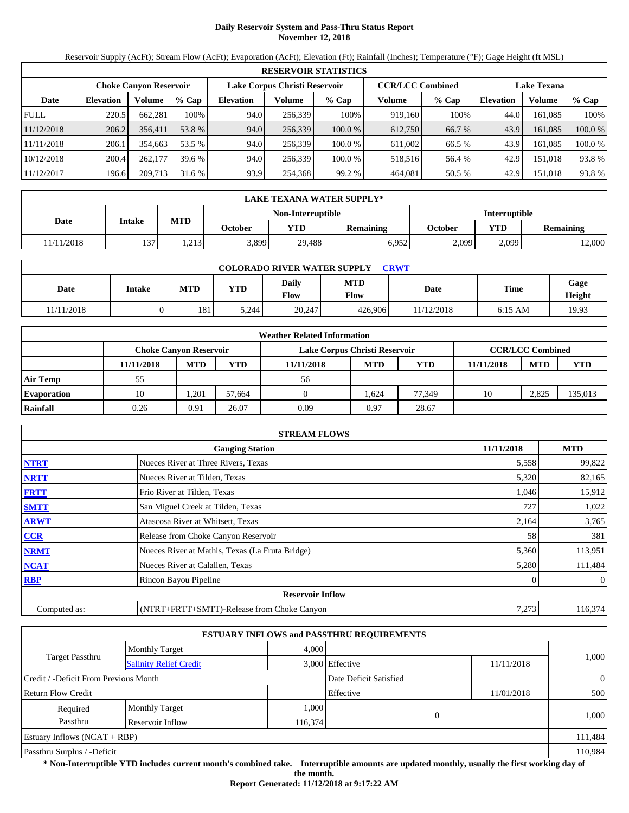# **Daily Reservoir System and Pass-Thru Status Report November 12, 2018**

Reservoir Supply (AcFt); Stream Flow (AcFt); Evaporation (AcFt); Elevation (Ft); Rainfall (Inches); Temperature (°F); Gage Height (ft MSL)

|             |                        |         |         |           |                               | <b>RESERVOIR STATISTICS</b> |                         |         |                    |         |         |
|-------------|------------------------|---------|---------|-----------|-------------------------------|-----------------------------|-------------------------|---------|--------------------|---------|---------|
|             | Choke Canvon Reservoir |         |         |           | Lake Corpus Christi Reservoir |                             | <b>CCR/LCC Combined</b> |         | <b>Lake Texana</b> |         |         |
| Date        | <b>Elevation</b>       | Volume  | $%$ Cap | Elevation | Volume                        | $%$ Cap                     | Volume                  | $%$ Cap | <b>Elevation</b>   | Volume  | $%$ Cap |
| <b>FULL</b> | 220.5                  | 662.281 | 100%    | 94.0      | 256.339                       | 100%                        | 919.160                 | 100%    | 44.0               | 161.085 | 100%    |
| 11/12/2018  | 206.2                  | 356,411 | 53.8 %  | 94.0      | 256,339                       | 100.0%                      | 612,750                 | 66.7 %  | 43.9               | 161.085 | 100.0 % |
| 11/11/2018  | 206.1                  | 354,663 | 53.5 %  | 94.0      | 256.339                       | 100.0 %                     | 611,002                 | 66.5 %  | 43.9               | 161.085 | 100.0 % |
| 10/12/2018  | 200.4                  | 262,177 | 39.6 %  | 94.0      | 256,339                       | 100.0 %                     | 518,516                 | 56.4 %  | 42.9               | 151.018 | 93.8 %  |
| 11/12/2017  | 196.6                  | 209,713 | 31.6 %  | 93.9      | 254,368                       | 99.2 %                      | 464.081                 | 50.5 %  | 42.9               | 151,018 | 93.8 %  |

|            | LAKE TEXANA WATER SUPPLY* |            |         |                   |                  |                      |       |                  |  |  |
|------------|---------------------------|------------|---------|-------------------|------------------|----------------------|-------|------------------|--|--|
|            |                           |            |         | Non-Interruptible |                  | <b>Interruptible</b> |       |                  |  |  |
| Date       | Intake                    | <b>MTD</b> | October | <b>YTD</b>        | <b>Remaining</b> | October              | YTD   | <b>Remaining</b> |  |  |
| 11/11/2018 | 137                       | 1,213      | 3,899   | 29.488            | 6.952            | 2,099                | 2,099 | 12,000           |  |  |

| <b>COLORADO RIVER WATER SUPPLY</b><br>CRWT |        |            |       |                             |                           |            |           |                |  |  |
|--------------------------------------------|--------|------------|-------|-----------------------------|---------------------------|------------|-----------|----------------|--|--|
| Date                                       | Intake | <b>MTD</b> | YTD   | <b>Daily</b><br><b>Flow</b> | <b>MTD</b><br><b>Flow</b> | Date       | Time      | Gage<br>Height |  |  |
| 11/11/2018                                 |        | 181        | 5.244 | 20,247                      | 426,906                   | 11/12/2018 | $6:15$ AM | 19.93          |  |  |

|                    |                        |            |        | <b>Weather Related Information</b> |            |            |            |                         |            |
|--------------------|------------------------|------------|--------|------------------------------------|------------|------------|------------|-------------------------|------------|
|                    | Choke Canvon Reservoir |            |        | Lake Corpus Christi Reservoir      |            |            |            | <b>CCR/LCC Combined</b> |            |
|                    | 11/11/2018             | <b>MTD</b> | YTD    | 11/11/2018                         | <b>MTD</b> | <b>YTD</b> | 11/11/2018 | <b>MTD</b>              | <b>YTD</b> |
| <b>Air Temp</b>    | 55                     |            |        | 56                                 |            |            |            |                         |            |
| <b>Evaporation</b> | 10                     | ,201       | 57.664 |                                    | .624       | 77.349     | 10         | 2,825                   | 135,013    |
| Rainfall           | 0.26                   | 0.91       | 26.07  | 0.09                               | 0.97       | 28.67      |            |                         |            |

|              | <b>STREAM FLOWS</b>                             |            |                |
|--------------|-------------------------------------------------|------------|----------------|
|              | <b>Gauging Station</b>                          | 11/11/2018 | <b>MTD</b>     |
| <b>NTRT</b>  | Nueces River at Three Rivers, Texas             | 5,558      | 99,822         |
| <b>NRTT</b>  | Nueces River at Tilden, Texas                   | 5,320      | 82,165         |
| <b>FRTT</b>  | Frio River at Tilden, Texas                     | 1,046      | 15,912         |
| <b>SMTT</b>  | San Miguel Creek at Tilden, Texas               | 727        | 1,022          |
| <b>ARWT</b>  | Atascosa River at Whitsett, Texas               | 2,164      | 3,765          |
| <b>CCR</b>   | Release from Choke Canyon Reservoir             | 58         | 381            |
| <b>NRMT</b>  | Nueces River at Mathis, Texas (La Fruta Bridge) | 5,360      | 113,951        |
| <b>NCAT</b>  | Nueces River at Calallen, Texas                 | 5,280      | 111,484        |
| <b>RBP</b>   | Rincon Bayou Pipeline                           |            | $\overline{0}$ |
|              | <b>Reservoir Inflow</b>                         |            |                |
| Computed as: | (NTRT+FRTT+SMTT)-Release from Choke Canyon      | 7,273      | 116,374        |

|                                       |                               |         | <b>ESTUARY INFLOWS and PASSTHRU REQUIREMENTS</b> |            |                |
|---------------------------------------|-------------------------------|---------|--------------------------------------------------|------------|----------------|
|                                       | <b>Monthly Target</b>         | 4,000   |                                                  |            |                |
| <b>Target Passthru</b>                | <b>Salinity Relief Credit</b> |         | 3,000 Effective                                  | 11/11/2018 | 1,000          |
| Credit / -Deficit From Previous Month |                               |         | Date Deficit Satisfied                           |            | $\overline{0}$ |
| <b>Return Flow Credit</b>             |                               |         | Effective                                        | 11/01/2018 | 500            |
| Required                              | <b>Monthly Target</b>         | 1,000   |                                                  |            |                |
| Passthru                              | Reservoir Inflow              | 116,374 | $\overline{0}$                                   |            | 1,000          |
| Estuary Inflows $(NCAT + RBP)$        |                               |         |                                                  |            | 111,484        |
| Passthru Surplus / -Deficit           |                               |         |                                                  |            | 110,984        |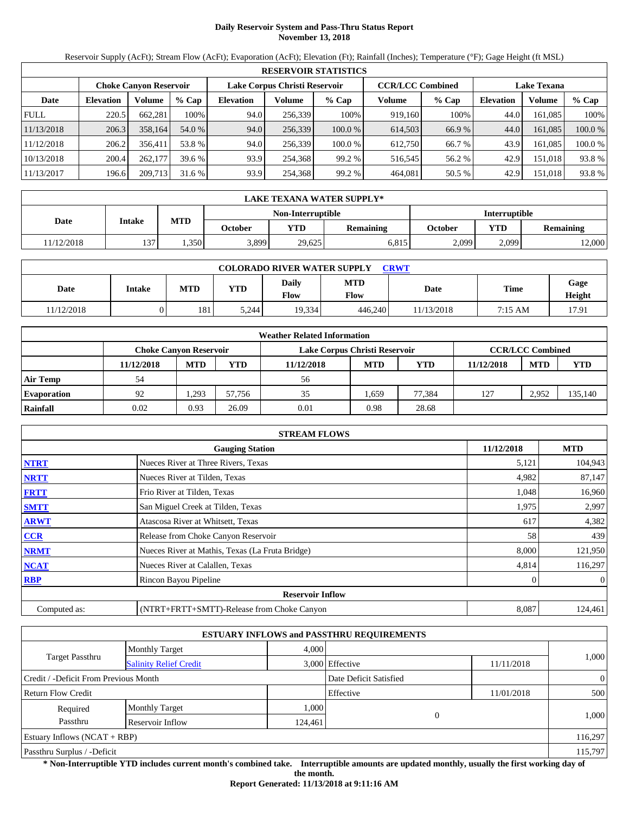# **Daily Reservoir System and Pass-Thru Status Report November 13, 2018**

Reservoir Supply (AcFt); Stream Flow (AcFt); Evaporation (AcFt); Elevation (Ft); Rainfall (Inches); Temperature (°F); Gage Height (ft MSL)

|             | <b>RESERVOIR STATISTICS</b>   |         |         |                  |                               |         |         |                         |                    |         |         |  |  |
|-------------|-------------------------------|---------|---------|------------------|-------------------------------|---------|---------|-------------------------|--------------------|---------|---------|--|--|
|             | <b>Choke Canvon Reservoir</b> |         |         |                  | Lake Corpus Christi Reservoir |         |         | <b>CCR/LCC Combined</b> | <b>Lake Texana</b> |         |         |  |  |
| Date        | <b>Elevation</b>              | Volume  | $%$ Cap | <b>Elevation</b> | Volume                        | $%$ Cap | Volume  | % Cap                   | <b>Elevation</b>   | Volume  | $%$ Cap |  |  |
| <b>FULL</b> | 220.5                         | 662.281 | 100%    | 94.0             | 256,339                       | 100%    | 919,160 | 100%                    | 44.0               | 161.085 | 100%    |  |  |
| 11/13/2018  | 206.3                         | 358,164 | 54.0 %  | 94.0             | 256,339                       | 100.0%  | 614.503 | 66.9 %                  | 44.0               | 161.085 | 100.0 % |  |  |
| 11/12/2018  | 206.2                         | 356.411 | 53.8 %  | 94.0             | 256,339                       | 100.0%  | 612.750 | 66.7 %                  | 43.9               | 161.085 | 100.0 % |  |  |
| 10/13/2018  | 200.4                         | 262,177 | 39.6 %  | 93.9             | 254.368                       | 99.2%   | 516,545 | 56.2 %                  | 42.9               | 151,018 | 93.8 %  |  |  |
| 11/13/2017  | 196.6                         | 209,713 | 31.6%   | 93.9             | 254,368                       | 99.2%   | 464,081 | 50.5 %                  | 42.9               | 151,018 | 93.8 %  |  |  |

|            | LAKE TEXANA WATER SUPPLY* |            |         |                   |                  |                      |       |                  |  |  |
|------------|---------------------------|------------|---------|-------------------|------------------|----------------------|-------|------------------|--|--|
|            |                           |            |         | Non-Interruptible |                  | <b>Interruptible</b> |       |                  |  |  |
| Date       | Intake                    | <b>MTD</b> | October | <b>YTD</b>        | <b>Remaining</b> | October              | YTD   | <b>Remaining</b> |  |  |
| 11/12/2018 | 137                       | 1.350      | 3,899   | 29,625            | 6.815            | 2.099                | 2,099 | 12,000           |  |  |

| <b>COLORADO RIVER WATER SUPPLY</b><br><b>CRWT</b> |               |            |       |               |                           |            |             |                |  |  |  |
|---------------------------------------------------|---------------|------------|-------|---------------|---------------------------|------------|-------------|----------------|--|--|--|
| Date                                              | <b>Intake</b> | <b>MTD</b> | YTD   | Daily<br>Flow | <b>MTD</b><br><b>Flow</b> | Date       | <b>Time</b> | Gage<br>Height |  |  |  |
| 11/12/2018                                        |               | 181        | 5.244 | 19,334        | 446,240                   | 11/13/2018 | 7:15 AM     | 17.91          |  |  |  |

|                    |                        |            |        | <b>Weather Related Information</b> |            |            |            |                         |            |
|--------------------|------------------------|------------|--------|------------------------------------|------------|------------|------------|-------------------------|------------|
|                    | Choke Canvon Reservoir |            |        | Lake Corpus Christi Reservoir      |            |            |            | <b>CCR/LCC Combined</b> |            |
|                    | 11/12/2018             | <b>MTD</b> | YTD    | 11/12/2018                         | <b>MTD</b> | <b>YTD</b> | 11/12/2018 | <b>MTD</b>              | <b>YTD</b> |
| <b>Air Temp</b>    | 54                     |            |        | 56                                 |            |            |            |                         |            |
| <b>Evaporation</b> | 92                     | .293       | 57.756 | 35                                 | .659       | 77.384     | 127        | 2,952                   | 135,140    |
| Rainfall           | 0.02                   | 0.93       | 26.09  | 0.01                               | 0.98       | 28.68      |            |                         |            |

|              | <b>STREAM FLOWS</b>                             |            |                |
|--------------|-------------------------------------------------|------------|----------------|
|              | <b>Gauging Station</b>                          | 11/12/2018 | <b>MTD</b>     |
| <b>NTRT</b>  | Nueces River at Three Rivers, Texas             | 5,121      | 104,943        |
| <b>NRTT</b>  | Nueces River at Tilden, Texas                   | 4,982      | 87,147         |
| <b>FRTT</b>  | Frio River at Tilden, Texas                     | 1,048      | 16,960         |
| <b>SMTT</b>  | San Miguel Creek at Tilden, Texas               | 1,975      | 2,997          |
| <b>ARWT</b>  | Atascosa River at Whitsett, Texas               | 617        | 4,382          |
| CCR          | Release from Choke Canyon Reservoir             | 58         | 439            |
| <b>NRMT</b>  | Nueces River at Mathis, Texas (La Fruta Bridge) | 8,000      | 121,950        |
| <b>NCAT</b>  | Nueces River at Calallen, Texas                 | 4,814      | 116,297        |
| <b>RBP</b>   | Rincon Bayou Pipeline                           |            | $\overline{0}$ |
|              | <b>Reservoir Inflow</b>                         |            |                |
| Computed as: | (NTRT+FRTT+SMTT)-Release from Choke Canyon      | 8,087      | 124,461        |

|                                       |                               |         | <b>ESTUARY INFLOWS and PASSTHRU REQUIREMENTS</b> |            |                |  |  |  |
|---------------------------------------|-------------------------------|---------|--------------------------------------------------|------------|----------------|--|--|--|
|                                       | <b>Monthly Target</b>         | 4,000   |                                                  |            | 1,000          |  |  |  |
| <b>Target Passthru</b>                | <b>Salinity Relief Credit</b> |         | 3,000 Effective                                  | 11/11/2018 |                |  |  |  |
| Credit / -Deficit From Previous Month |                               |         | Date Deficit Satisfied                           |            | $\overline{0}$ |  |  |  |
| <b>Return Flow Credit</b>             |                               |         | Effective                                        | 11/01/2018 | 500            |  |  |  |
| Required                              | <b>Monthly Target</b>         | 1,000   |                                                  |            |                |  |  |  |
| Passthru                              | Reservoir Inflow              | 124,461 | $\theta$                                         |            | 1,000          |  |  |  |
| Estuary Inflows $(NCAT + RBP)$        |                               |         |                                                  |            | 116,297        |  |  |  |
| Passthru Surplus / -Deficit           |                               |         |                                                  |            |                |  |  |  |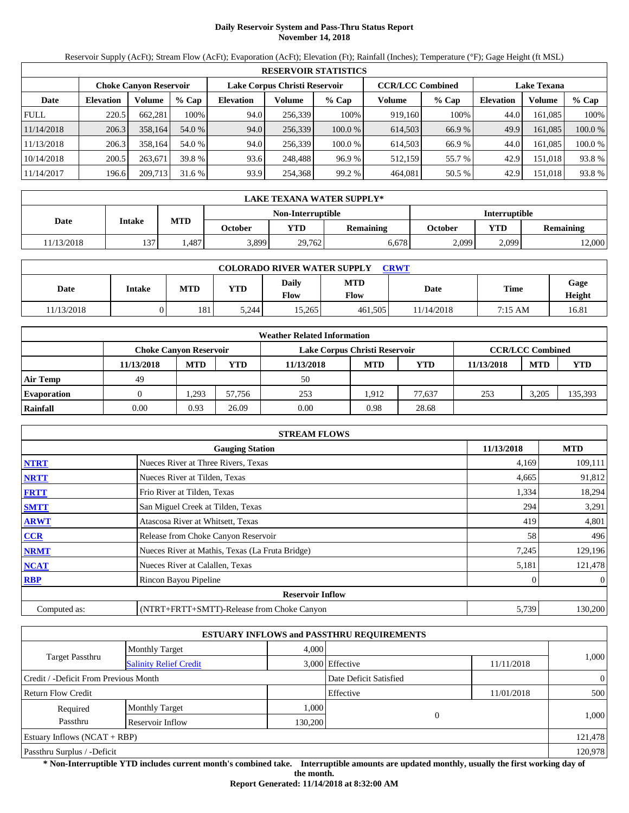# **Daily Reservoir System and Pass-Thru Status Report November 14, 2018**

Reservoir Supply (AcFt); Stream Flow (AcFt); Evaporation (AcFt); Elevation (Ft); Rainfall (Inches); Temperature (°F); Gage Height (ft MSL)

|             | <b>RESERVOIR STATISTICS</b>   |         |         |                  |                               |         |         |                         |                    |         |         |  |  |
|-------------|-------------------------------|---------|---------|------------------|-------------------------------|---------|---------|-------------------------|--------------------|---------|---------|--|--|
|             | <b>Choke Canvon Reservoir</b> |         |         |                  | Lake Corpus Christi Reservoir |         |         | <b>CCR/LCC Combined</b> | <b>Lake Texana</b> |         |         |  |  |
| Date        | <b>Elevation</b>              | Volume  | $%$ Cap | <b>Elevation</b> | Volume                        | $%$ Cap | Volume  | % Cap                   | <b>Elevation</b>   | Volume  | $%$ Cap |  |  |
| <b>FULL</b> | 220.5                         | 662.281 | 100%    | 94.0             | 256,339                       | 100%    | 919,160 | 100%                    | 44.0               | 161.085 | 100%    |  |  |
| 11/14/2018  | 206.3                         | 358,164 | 54.0 %  | 94.0             | 256,339                       | 100.0%  | 614.503 | 66.9 %                  | 49.9               | 161.085 | 100.0 % |  |  |
| 11/13/2018  | 206.3                         | 358,164 | 54.0 %  | 94.0             | 256,339                       | 100.0%  | 614.503 | 66.9 %                  | 44.0               | 161.085 | 100.0 % |  |  |
| 10/14/2018  | 200.5                         | 263,671 | 39.8 %  | 93.6             | 248,488                       | 96.9%   | 512,159 | 55.7 %                  | 42.9               | 151,018 | 93.8 %  |  |  |
| 11/14/2017  | 196.6                         | 209,713 | 31.6%   | 93.9             | 254,368                       | 99.2%   | 464,081 | 50.5 %                  | 42.9               | 151,018 | 93.8 %  |  |  |

|            | LAKE TEXANA WATER SUPPLY* |            |         |                   |           |                      |            |                  |  |  |
|------------|---------------------------|------------|---------|-------------------|-----------|----------------------|------------|------------------|--|--|
|            |                           | <b>MTD</b> |         | Non-Interruptible |           | <b>Interruptible</b> |            |                  |  |  |
| Date       | Intake                    |            | October | <b>YTD</b>        | Remaining | October              | <b>VTD</b> | <b>Remaining</b> |  |  |
| 11/13/2018 | 137                       | .487       | 3,899   | 29.762            | 6.678     | 2,099                | 2,099      | 2,000            |  |  |

| <b>COLORADO RIVER WATER SUPPLY</b><br><b>CRWT</b> |        |            |       |               |                           |            |             |                |  |  |  |
|---------------------------------------------------|--------|------------|-------|---------------|---------------------------|------------|-------------|----------------|--|--|--|
| Date                                              | Intake | <b>MTD</b> | YTD   | Daily<br>Flow | <b>MTD</b><br><b>Flow</b> | Date       | <b>Time</b> | Gage<br>Height |  |  |  |
| 11/13/2018                                        |        | 181        | 5.244 | 15.265        | 461.505                   | 11/14/2018 | 7:15 AM     | 16.81          |  |  |  |

|                    |                        |            |        | <b>Weather Related Information</b> |            |            |            |                         |            |
|--------------------|------------------------|------------|--------|------------------------------------|------------|------------|------------|-------------------------|------------|
|                    | Choke Canvon Reservoir |            |        | Lake Corpus Christi Reservoir      |            |            |            | <b>CCR/LCC Combined</b> |            |
|                    | 11/13/2018             | <b>MTD</b> | YTD    | 11/13/2018                         | <b>MTD</b> | <b>YTD</b> | 11/13/2018 | <b>MTD</b>              | <b>YTD</b> |
| <b>Air Temp</b>    | 49                     |            |        | 50                                 |            |            |            |                         |            |
| <b>Evaporation</b> |                        | .293       | 57.756 | 253                                | 1.912      | 77.637     | 253        | 3,205                   | 135,393    |
| Rainfall           | 0.00                   | 0.93       | 26.09  | 0.00                               | 0.98       | 28.68      |            |                         |            |

|              | <b>STREAM FLOWS</b>                             |            |                |
|--------------|-------------------------------------------------|------------|----------------|
|              | <b>Gauging Station</b>                          | 11/13/2018 | <b>MTD</b>     |
| <b>NTRT</b>  | Nueces River at Three Rivers, Texas             | 4,169      | 109,111        |
| <b>NRTT</b>  | Nueces River at Tilden, Texas                   | 4,665      | 91,812         |
| <b>FRTT</b>  | Frio River at Tilden, Texas                     | 1,334      | 18,294         |
| <b>SMTT</b>  | San Miguel Creek at Tilden, Texas               | 294        | 3,291          |
| <b>ARWT</b>  | Atascosa River at Whitsett, Texas               | 419        | 4,801          |
| <b>CCR</b>   | Release from Choke Canyon Reservoir             | 58         | 496            |
| <b>NRMT</b>  | Nueces River at Mathis, Texas (La Fruta Bridge) | 7,245      | 129,196        |
| <b>NCAT</b>  | Nueces River at Calallen, Texas                 | 5,181      | 121,478        |
| <b>RBP</b>   | Rincon Bayou Pipeline                           |            | $\overline{0}$ |
|              | <b>Reservoir Inflow</b>                         |            |                |
| Computed as: | (NTRT+FRTT+SMTT)-Release from Choke Canyon      | 5,739      | 130,200        |

|                                       |                               |         | <b>ESTUARY INFLOWS and PASSTHRU REQUIREMENTS</b> |            |                |
|---------------------------------------|-------------------------------|---------|--------------------------------------------------|------------|----------------|
|                                       | <b>Monthly Target</b>         | 4,000   |                                                  |            |                |
| <b>Target Passthru</b>                | <b>Salinity Relief Credit</b> |         | 3,000 Effective                                  | 11/11/2018 | 1,000          |
| Credit / -Deficit From Previous Month |                               |         | Date Deficit Satisfied                           |            | $\overline{0}$ |
| Return Flow Credit                    |                               |         | Effective                                        | 11/01/2018 | 500            |
| Required                              | <b>Monthly Target</b>         | 1,000   |                                                  |            |                |
| Passthru                              | Reservoir Inflow              | 130,200 | 0                                                |            | 1,000          |
| Estuary Inflows $(NCAT + RBP)$        |                               |         |                                                  |            | 121,478        |
| Passthru Surplus / -Deficit           |                               |         |                                                  |            | 120,978        |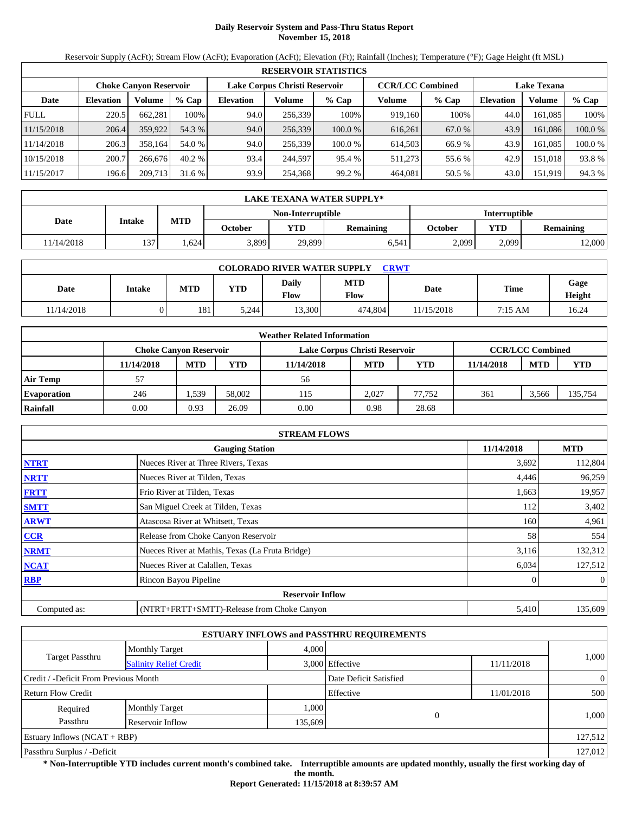# **Daily Reservoir System and Pass-Thru Status Report November 15, 2018**

Reservoir Supply (AcFt); Stream Flow (AcFt); Evaporation (AcFt); Elevation (Ft); Rainfall (Inches); Temperature (°F); Gage Height (ft MSL)

|             |                  |                        |         |           |                               | <b>RESERVOIR STATISTICS</b> |                         |         |                  |                    |         |
|-------------|------------------|------------------------|---------|-----------|-------------------------------|-----------------------------|-------------------------|---------|------------------|--------------------|---------|
|             |                  | Choke Canvon Reservoir |         |           | Lake Corpus Christi Reservoir |                             | <b>CCR/LCC Combined</b> |         |                  | <b>Lake Texana</b> |         |
| Date        | <b>Elevation</b> | Volume                 | $%$ Cap | Elevation | Volume                        | $%$ Cap                     | Volume                  | $%$ Cap | <b>Elevation</b> | Volume             | $%$ Cap |
| <b>FULL</b> | 220.5            | 662.281                | 100%    | 94.0      | 256.339                       | 100%                        | 919.160                 | 100%    | 44.0             | 161.085            | 100%    |
| 11/15/2018  | 206.4            | 359,922                | 54.3 %  | 94.0      | 256,339                       | 100.0%                      | 616,261                 | 67.0 %  | 43.9             | 161.086            | 100.0 % |
| 11/14/2018  | 206.3            | 358.164                | 54.0 %  | 94.0      | 256.339                       | 100.0 %                     | 614.503                 | 66.9 %  | 43.9             | 161.085            | 100.0 % |
| 10/15/2018  | 200.7            | 266,676                | 40.2%   | 93.4      | 244,597                       | 95.4 %                      | 511.273                 | 55.6 %  | 42.9             | 151.018            | 93.8 %  |
| 11/15/2017  | 196.6            | 209,713                | 31.6 %  | 93.9      | 254,368                       | 99.2 %                      | 464.081                 | 50.5 %  | 43.0             | 151,919            | 94.3 %  |

|            | LAKE TEXANA WATER SUPPLY* |            |         |                   |                  |         |                      |                  |  |  |
|------------|---------------------------|------------|---------|-------------------|------------------|---------|----------------------|------------------|--|--|
|            |                           |            |         | Non-Interruptible |                  |         | <b>Interruptible</b> |                  |  |  |
| Date       | Intake                    | <b>MTD</b> | October | <b>YTD</b>        | <b>Remaining</b> | October | YTD                  | <b>Remaining</b> |  |  |
| 11/14/2018 | 137                       | .624       | 3,899   | 29,899            | 6.541            | 2.099   | 2,099                | 12,000           |  |  |

| <b>COLORADO RIVER WATER SUPPLY</b><br><b>CRWT</b> |               |            |       |               |                           |            |             |                |  |  |  |
|---------------------------------------------------|---------------|------------|-------|---------------|---------------------------|------------|-------------|----------------|--|--|--|
| Date                                              | <b>Intake</b> | <b>MTD</b> | YTD   | Daily<br>Flow | <b>MTD</b><br><b>Flow</b> | Date       | <b>Time</b> | Gage<br>Height |  |  |  |
| 11/14/2018                                        |               | 181        | 5.244 | 13,300        | 474,804                   | 11/15/2018 | 7:15 AM     | 16.24          |  |  |  |

|                    |                        |            |        | <b>Weather Related Information</b> |            |            |            |                         |            |
|--------------------|------------------------|------------|--------|------------------------------------|------------|------------|------------|-------------------------|------------|
|                    | Choke Canvon Reservoir |            |        | Lake Corpus Christi Reservoir      |            |            |            | <b>CCR/LCC Combined</b> |            |
|                    | 11/14/2018             | <b>MTD</b> | YTD    | 11/14/2018                         | <b>MTD</b> | <b>YTD</b> | 11/14/2018 | <b>MTD</b>              | <b>YTD</b> |
| <b>Air Temp</b>    | 57                     |            |        | 56                                 |            |            |            |                         |            |
| <b>Evaporation</b> | 246                    | . 539      | 58,002 | 115                                | 2.027      | 77.752     | 361        | 3.566                   | 135,754    |
| Rainfall           | 0.00                   | 0.93       | 26.09  | 0.00                               | 0.98       | 28.68      |            |                         |            |

|              | <b>STREAM FLOWS</b>                             |            |                |
|--------------|-------------------------------------------------|------------|----------------|
|              | <b>Gauging Station</b>                          | 11/14/2018 | <b>MTD</b>     |
| <b>NTRT</b>  | Nueces River at Three Rivers, Texas             | 3,692      | 112,804        |
| <b>NRTT</b>  | Nueces River at Tilden, Texas                   | 4,446      | 96,259         |
| <b>FRTT</b>  | Frio River at Tilden, Texas                     | 1,663      | 19,957         |
| <b>SMTT</b>  | San Miguel Creek at Tilden, Texas               | 112        | 3,402          |
| <b>ARWT</b>  | Atascosa River at Whitsett, Texas               | 160        | 4,961          |
| <b>CCR</b>   | Release from Choke Canyon Reservoir             | 58         | 554            |
| <b>NRMT</b>  | Nueces River at Mathis, Texas (La Fruta Bridge) | 3,116      | 132,312        |
| <b>NCAT</b>  | Nueces River at Calallen, Texas                 | 6,034      | 127,512        |
| <b>RBP</b>   | Rincon Bayou Pipeline                           |            | $\overline{0}$ |
|              | <b>Reservoir Inflow</b>                         |            |                |
| Computed as: | (NTRT+FRTT+SMTT)-Release from Choke Canyon      | 5,410      | 135,609        |

|                                       |                               |         | <b>ESTUARY INFLOWS and PASSTHRU REQUIREMENTS</b> |            |                |
|---------------------------------------|-------------------------------|---------|--------------------------------------------------|------------|----------------|
|                                       | <b>Monthly Target</b>         | 4,000   |                                                  |            |                |
| <b>Target Passthru</b>                | <b>Salinity Relief Credit</b> |         | 3,000 Effective                                  | 11/11/2018 | 1,000          |
| Credit / -Deficit From Previous Month |                               |         | Date Deficit Satisfied                           |            | $\overline{0}$ |
| <b>Return Flow Credit</b>             |                               |         | Effective                                        | 11/01/2018 | 500            |
| Required                              | <b>Monthly Target</b>         | 1,000   |                                                  |            |                |
| Passthru                              | Reservoir Inflow              | 135,609 |                                                  |            | 1,000          |
| Estuary Inflows $(NCAT + RBP)$        |                               |         |                                                  |            | 127,512        |
| Passthru Surplus / -Deficit           |                               |         |                                                  |            | 127,012        |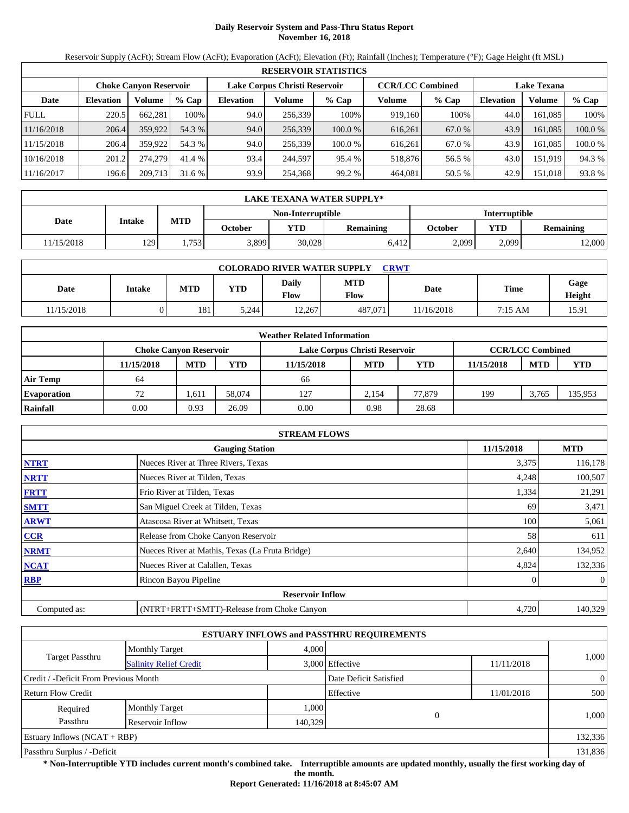# **Daily Reservoir System and Pass-Thru Status Report November 16, 2018**

Reservoir Supply (AcFt); Stream Flow (AcFt); Evaporation (AcFt); Elevation (Ft); Rainfall (Inches); Temperature (°F); Gage Height (ft MSL)

|             |                  |                               |         |                  |                               | <b>RESERVOIR STATISTICS</b> |                         |         |                  |                    |         |
|-------------|------------------|-------------------------------|---------|------------------|-------------------------------|-----------------------------|-------------------------|---------|------------------|--------------------|---------|
|             |                  | <b>Choke Canvon Reservoir</b> |         |                  | Lake Corpus Christi Reservoir |                             | <b>CCR/LCC Combined</b> |         |                  | <b>Lake Texana</b> |         |
| Date        | <b>Elevation</b> | Volume                        | $%$ Cap | <b>Elevation</b> | Volume                        | $%$ Cap                     | Volume                  | $%$ Cap | <b>Elevation</b> | Volume             | $%$ Cap |
| <b>FULL</b> | 220.5            | 662.281                       | 100%    | 94.0             | 256.339                       | 100%                        | 919.160                 | 100%    | 44.0             | 161.085            | 100%    |
| 11/16/2018  | 206.4            | 359,922                       | 54.3 %  | 94.0             | 256,339                       | 100.0%                      | 616.261                 | 67.0 %  | 43.9             | 161.085            | 100.0 % |
| 11/15/2018  | 206.4            | 359.922                       | 54.3 %  | 94.0             | 256,339                       | 100.0 %                     | 616.261                 | 67.0 %  | 43.9             | 161.085            | 100.0 % |
| 10/16/2018  | 201.2            | 274,279                       | 41.4 %  | 93.4             | 244,597                       | 95.4 %                      | 518,876                 | 56.5 %  | 43.0             | 151,919            | 94.3 %  |
| 11/16/2017  | 196.6            | 209,713                       | 31.6 %  | 93.9             | 254,368                       | 99.2 %                      | 464,081                 | 50.5 %  | 42.9             | 151,018            | 93.8 %  |

|            | <b>LAKE TEXANA WATER SUPPLY*</b> |            |         |                   |                  |         |                      |                  |  |  |
|------------|----------------------------------|------------|---------|-------------------|------------------|---------|----------------------|------------------|--|--|
|            |                                  |            |         | Non-Interruptible |                  |         | <b>Interruptible</b> |                  |  |  |
| Date       | Intake                           | <b>MTD</b> | October | <b>YTD</b>        | <b>Remaining</b> | October | VTD                  | <b>Remaining</b> |  |  |
| 11/15/2018 | 129                              | 1.753      | 3,899   | 30,028            | 6.412            | 2.099   | 2.099                | 2,000            |  |  |

| <b>COLORADO RIVER WATER SUPPLY</b><br>CRWT |        |            |       |               |                           |            |             |                |  |  |  |
|--------------------------------------------|--------|------------|-------|---------------|---------------------------|------------|-------------|----------------|--|--|--|
| Date                                       | Intake | <b>MTD</b> | YTD   | Daily<br>Flow | <b>MTD</b><br><b>Flow</b> | Date       | <b>Time</b> | Gage<br>Height |  |  |  |
| 11/15/2018                                 |        | 181        | 5.244 | 12.267        | 487.071                   | 11/16/2018 | 7:15 AM     | 15.91          |  |  |  |

|                    |                        |            |        | <b>Weather Related Information</b> |            |            |            |                         |            |
|--------------------|------------------------|------------|--------|------------------------------------|------------|------------|------------|-------------------------|------------|
|                    | Choke Canvon Reservoir |            |        | Lake Corpus Christi Reservoir      |            |            |            | <b>CCR/LCC Combined</b> |            |
|                    | 11/15/2018             | <b>MTD</b> | YTD    | 11/15/2018                         | <b>MTD</b> | <b>YTD</b> | 11/15/2018 | <b>MTD</b>              | <b>YTD</b> |
| <b>Air Temp</b>    | 64                     |            |        | 66                                 |            |            |            |                         |            |
| <b>Evaporation</b> | 72                     | .611       | 58,074 | 127                                | 2.154      | 77,879     | 199        | 3.765                   | 135,953    |
| Rainfall           | 0.00                   | 0.93       | 26.09  | 0.00                               | 0.98       | 28.68      |            |                         |            |

|              | <b>STREAM FLOWS</b>                             |            |                |
|--------------|-------------------------------------------------|------------|----------------|
|              | <b>Gauging Station</b>                          | 11/15/2018 | <b>MTD</b>     |
| <b>NTRT</b>  | Nueces River at Three Rivers, Texas             | 3,375      | 116,178        |
| <b>NRTT</b>  | Nueces River at Tilden, Texas                   | 4,248      | 100,507        |
| <b>FRTT</b>  | Frio River at Tilden, Texas                     | 1,334      | 21,291         |
| <b>SMTT</b>  | San Miguel Creek at Tilden, Texas               | 69         | 3,471          |
| <b>ARWT</b>  | Atascosa River at Whitsett, Texas               | 100        | 5,061          |
| CCR          | Release from Choke Canyon Reservoir             | 58         | 611            |
| <b>NRMT</b>  | Nueces River at Mathis, Texas (La Fruta Bridge) | 2,640      | 134,952        |
| <b>NCAT</b>  | Nueces River at Calallen, Texas                 | 4,824      | 132,336        |
| <b>RBP</b>   | Rincon Bayou Pipeline                           |            | $\overline{0}$ |
|              | <b>Reservoir Inflow</b>                         |            |                |
| Computed as: | (NTRT+FRTT+SMTT)-Release from Choke Canyon      | 4,720      | 140,329        |

|                                       |                               |         | <b>ESTUARY INFLOWS and PASSTHRU REQUIREMENTS</b> |            |                |
|---------------------------------------|-------------------------------|---------|--------------------------------------------------|------------|----------------|
|                                       | <b>Monthly Target</b>         | 4.000   |                                                  |            |                |
| <b>Target Passthru</b>                | <b>Salinity Relief Credit</b> |         | 3,000 Effective                                  | 11/11/2018 | 1,000          |
| Credit / -Deficit From Previous Month |                               |         | Date Deficit Satisfied                           |            | $\overline{0}$ |
| <b>Return Flow Credit</b>             |                               |         | Effective                                        | 11/01/2018 | 500            |
| Required                              | <b>Monthly Target</b>         | 1,000   |                                                  |            |                |
| Passthru                              | Reservoir Inflow              | 140,329 | $\overline{0}$                                   |            | 1,000          |
| Estuary Inflows $(NCAT + RBP)$        |                               |         |                                                  |            | 132,336        |
| Passthru Surplus / -Deficit           |                               |         |                                                  |            | 131,836        |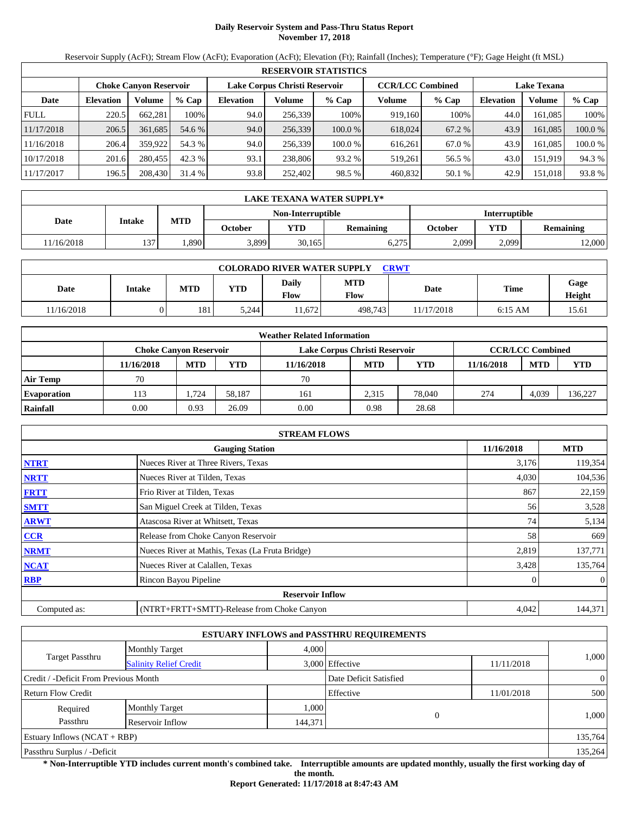# **Daily Reservoir System and Pass-Thru Status Report November 17, 2018**

Reservoir Supply (AcFt); Stream Flow (AcFt); Evaporation (AcFt); Elevation (Ft); Rainfall (Inches); Temperature (°F); Gage Height (ft MSL)

|             | <b>RESERVOIR STATISTICS</b>   |         |         |                               |         |         |                         |         |                    |         |         |  |
|-------------|-------------------------------|---------|---------|-------------------------------|---------|---------|-------------------------|---------|--------------------|---------|---------|--|
|             | <b>Choke Canvon Reservoir</b> |         |         | Lake Corpus Christi Reservoir |         |         | <b>CCR/LCC Combined</b> |         | <b>Lake Texana</b> |         |         |  |
| Date        | <b>Elevation</b>              | Volume  | $%$ Cap | <b>Elevation</b>              | Volume  | $%$ Cap | Volume                  | $%$ Cap | <b>Elevation</b>   | Volume  | $%$ Cap |  |
| <b>FULL</b> | 220.5                         | 662.281 | 100%    | 94.0                          | 256.339 | 100%    | 919.160                 | 100%    | 44.0               | 161.085 | 100%    |  |
| 11/17/2018  | 206.5                         | 361.685 | 54.6 %  | 94.0                          | 256,339 | 100.0%  | 618,024                 | 67.2 %  | 43.9               | 161.085 | 100.0 % |  |
| 11/16/2018  | 206.4                         | 359.922 | 54.3 %  | 94.0                          | 256,339 | 100.0 % | 616.261                 | 67.0 %  | 43.9               | 161.085 | 100.0 % |  |
| 10/17/2018  | 201.6                         | 280,455 | 42.3 %  | 93.1                          | 238,806 | 93.2 %  | 519,261                 | 56.5 %  | 43.0               | 151,919 | 94.3 %  |  |
| 11/17/2017  | 196.5                         | 208,430 | 31.4 %  | 93.8                          | 252,402 | 98.5 %  | 460,832                 | 50.1 %  | 42.9               | 151,018 | 93.8 %  |  |

|            | LAKE TEXANA WATER SUPPLY* |            |         |                   |           |                      |            |                  |  |  |  |
|------------|---------------------------|------------|---------|-------------------|-----------|----------------------|------------|------------------|--|--|--|
|            | Intake                    |            |         | Non-Interruptible |           | <b>Interruptible</b> |            |                  |  |  |  |
| Date       |                           | <b>MTD</b> | October | <b>YTD</b>        | Remaining | October              | <b>VTD</b> | <b>Remaining</b> |  |  |  |
| 11/16/2018 | 137                       | .890       | 3,899   | 30,165            | 6,275     | 2,099                | 2,099      | 2,000            |  |  |  |

| <b>COLORADO RIVER WATER SUPPLY</b><br><b>CRWT</b> |               |            |       |               |                    |            |             |                |  |  |  |
|---------------------------------------------------|---------------|------------|-------|---------------|--------------------|------------|-------------|----------------|--|--|--|
| Date                                              | <b>Intake</b> | <b>MTD</b> | YTD   | Daily<br>Flow | <b>MTD</b><br>Flow | Date       | <b>Time</b> | Gage<br>Height |  |  |  |
| 11/16/2018                                        | )             | 181        | 5.244 | 1.672         | 498.743            | 11/17/2018 | $6:15$ AM   | 15.61          |  |  |  |

|                    |                        |            |        | <b>Weather Related Information</b> |            |            |            |                         |            |
|--------------------|------------------------|------------|--------|------------------------------------|------------|------------|------------|-------------------------|------------|
|                    | Choke Canvon Reservoir |            |        | Lake Corpus Christi Reservoir      |            |            |            | <b>CCR/LCC Combined</b> |            |
|                    | 11/16/2018             | <b>MTD</b> | YTD    | 11/16/2018                         | <b>MTD</b> | <b>YTD</b> | 11/16/2018 | <b>MTD</b>              | <b>YTD</b> |
| <b>Air Temp</b>    | 70                     |            |        | 70                                 |            |            |            |                         |            |
| <b>Evaporation</b> | 113                    | . .724     | 58.187 | 161                                | 2.315      | 78,040     | 274        | 4,039                   | 136,227    |
| Rainfall           | 0.00                   | 0.93       | 26.09  | 0.00                               | 0.98       | 28.68      |            |                         |            |

|              | <b>STREAM FLOWS</b>                             |            |                |
|--------------|-------------------------------------------------|------------|----------------|
|              | <b>Gauging Station</b>                          | 11/16/2018 | <b>MTD</b>     |
| <b>NTRT</b>  | Nueces River at Three Rivers, Texas             | 3,176      | 119,354        |
| <b>NRTT</b>  | Nueces River at Tilden, Texas                   | 4,030      | 104,536        |
| <b>FRTT</b>  | Frio River at Tilden, Texas                     | 867        | 22,159         |
| <b>SMTT</b>  | San Miguel Creek at Tilden, Texas               | 56         | 3,528          |
| <b>ARWT</b>  | Atascosa River at Whitsett, Texas               | 74         | 5,134          |
| <b>CCR</b>   | Release from Choke Canyon Reservoir             | 58         | 669            |
| <b>NRMT</b>  | Nueces River at Mathis, Texas (La Fruta Bridge) | 2,819      | 137,771        |
| <b>NCAT</b>  | Nueces River at Calallen, Texas                 | 3,428      | 135,764        |
| <b>RBP</b>   | Rincon Bayou Pipeline                           |            | $\overline{0}$ |
|              | <b>Reservoir Inflow</b>                         |            |                |
| Computed as: | (NTRT+FRTT+SMTT)-Release from Choke Canyon      | 4,042      | 144,371        |

|                                       |                               |         | <b>ESTUARY INFLOWS and PASSTHRU REQUIREMENTS</b> |            |                |  |
|---------------------------------------|-------------------------------|---------|--------------------------------------------------|------------|----------------|--|
|                                       | <b>Monthly Target</b>         | 4,000   |                                                  |            |                |  |
| <b>Target Passthru</b>                | <b>Salinity Relief Credit</b> |         | 3,000 Effective                                  | 11/11/2018 | 1,000          |  |
| Credit / -Deficit From Previous Month |                               |         | Date Deficit Satisfied                           |            | $\overline{0}$ |  |
| <b>Return Flow Credit</b>             |                               |         | Effective                                        | 11/01/2018 | 500            |  |
| Required                              | <b>Monthly Target</b>         | 1,000   |                                                  |            |                |  |
| Passthru                              | Reservoir Inflow              | 144,371 | $\theta$                                         |            | 1,000          |  |
| Estuary Inflows $(NCAT + RBP)$        |                               |         |                                                  |            | 135,764        |  |
| Passthru Surplus / -Deficit           |                               |         |                                                  |            |                |  |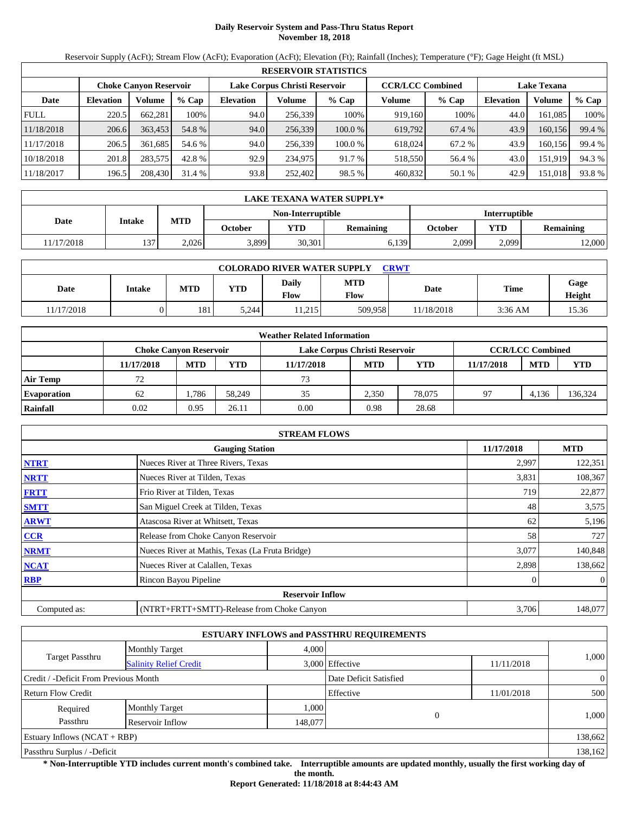# **Daily Reservoir System and Pass-Thru Status Report November 18, 2018**

Reservoir Supply (AcFt); Stream Flow (AcFt); Evaporation (AcFt); Elevation (Ft); Rainfall (Inches); Temperature (°F); Gage Height (ft MSL)

|             | <b>RESERVOIR STATISTICS</b>   |         |         |                  |                               |         |         |                         |                    |         |        |  |
|-------------|-------------------------------|---------|---------|------------------|-------------------------------|---------|---------|-------------------------|--------------------|---------|--------|--|
|             | <b>Choke Canyon Reservoir</b> |         |         |                  | Lake Corpus Christi Reservoir |         |         | <b>CCR/LCC Combined</b> | <b>Lake Texana</b> |         |        |  |
| Date        | <b>Elevation</b>              | Volume  | $%$ Cap | <b>Elevation</b> | Volume                        | $%$ Cap | Volume  | $%$ Cap                 | <b>Elevation</b>   | Volume  | % Cap  |  |
| <b>FULL</b> | 220.5                         | 662.281 | 100%    | 94.0             | 256,339                       | 100%    | 919,160 | 100%                    | 44.0               | 161.085 | 100%   |  |
| 11/18/2018  | 206.6                         | 363,453 | 54.8 %  | 94.0             | 256,339                       | 100.0%  | 619,792 | 67.4 %                  | 43.9               | 160.156 | 99.4 % |  |
| 11/17/2018  | 206.5                         | 361.685 | 54.6 %  | 94.0             | 256,339                       | 100.0 % | 618,024 | 67.2 %                  | 43.9               | 160.156 | 99.4 % |  |
| 10/18/2018  | 201.8                         | 283,575 | 42.8 %  | 92.9             | 234,975                       | 91.7 %  | 518,550 | 56.4 %                  | 43.0               | 151,919 | 94.3 % |  |
| 11/18/2017  | 196.5                         | 208,430 | 31.4 %  | 93.8             | 252,402                       | 98.5 %  | 460,832 | 50.1 %                  | 42.9               | 151,018 | 93.8%  |  |

|            | <b>LAKE TEXANA WATER SUPPLY*</b> |            |         |                   |           |                |       |                  |  |  |  |
|------------|----------------------------------|------------|---------|-------------------|-----------|----------------|-------|------------------|--|--|--|
|            | Intake                           |            |         | Non-Interruptible |           | Interruptible  |       |                  |  |  |  |
| Date       |                                  | <b>MTD</b> | October | YTD.              | Remaining | <b>October</b> | YTD   | <b>Remaining</b> |  |  |  |
| 11/17/2018 | 137                              | 2.026      | 3,899   | 30,301            | 6.139     | 2.099          | 2,099 | 12,000           |  |  |  |

| <b>COLORADO RIVER WATER SUPPLY</b><br><b>CRWT</b> |        |            |       |               |                           |            |                   |                |  |  |  |
|---------------------------------------------------|--------|------------|-------|---------------|---------------------------|------------|-------------------|----------------|--|--|--|
| Date                                              | Intake | <b>MTD</b> | YTD   | Daily<br>Flow | <b>MTD</b><br><b>Flow</b> | Date       | <b>Time</b>       | Gage<br>Height |  |  |  |
| 11/17/2018                                        |        | 181        | 5.244 | 11.215        | 509.958                   | 11/18/2018 | $3:36 \text{ AM}$ | 15.36          |  |  |  |

|                    |            |                               |        | <b>Weather Related Information</b> |            |            |            |                         |            |
|--------------------|------------|-------------------------------|--------|------------------------------------|------------|------------|------------|-------------------------|------------|
|                    |            | <b>Choke Canvon Reservoir</b> |        | Lake Corpus Christi Reservoir      |            |            |            | <b>CCR/LCC Combined</b> |            |
|                    | 11/17/2018 | <b>MTD</b>                    | YTD    | 11/17/2018                         | <b>MTD</b> | <b>YTD</b> | 11/17/2018 | <b>MTD</b>              | <b>YTD</b> |
| <b>Air Temp</b>    | 72         |                               |        | 73                                 |            |            |            |                         |            |
| <b>Evaporation</b> | 62         | 1.786                         | 58.249 | 35                                 | 2.350      | 78,075     | 97         | 4.136                   | 136,324    |
| Rainfall           | 0.02       | 0.95                          | 26.11  | 0.00                               | 0.98       | 28.68      |            |                         |            |

|              | <b>STREAM FLOWS</b>                             |            |                |
|--------------|-------------------------------------------------|------------|----------------|
|              | <b>Gauging Station</b>                          | 11/17/2018 | <b>MTD</b>     |
| <b>NTRT</b>  | Nueces River at Three Rivers, Texas             | 2,997      | 122,351        |
| <b>NRTT</b>  | Nueces River at Tilden, Texas                   | 3,831      | 108,367        |
| <b>FRTT</b>  | Frio River at Tilden, Texas                     | 719        | 22,877         |
| <b>SMTT</b>  | San Miguel Creek at Tilden, Texas               | 48         | 3,575          |
| <b>ARWT</b>  | Atascosa River at Whitsett, Texas               | 62         | 5,196          |
| <b>CCR</b>   | Release from Choke Canyon Reservoir             | 58         | 727            |
| <b>NRMT</b>  | Nueces River at Mathis, Texas (La Fruta Bridge) | 3,077      | 140,848        |
| <b>NCAT</b>  | Nueces River at Calallen, Texas                 | 2,898      | 138,662        |
| <b>RBP</b>   | Rincon Bayou Pipeline                           |            | $\overline{0}$ |
|              | <b>Reservoir Inflow</b>                         |            |                |
| Computed as: | (NTRT+FRTT+SMTT)-Release from Choke Canyon      | 3,706      | 148,077        |

|                                       |                               |         | <b>ESTUARY INFLOWS and PASSTHRU REQUIREMENTS</b> |            |                |  |
|---------------------------------------|-------------------------------|---------|--------------------------------------------------|------------|----------------|--|
|                                       | <b>Monthly Target</b>         | 4,000   |                                                  |            |                |  |
| <b>Target Passthru</b>                | <b>Salinity Relief Credit</b> |         | 3,000 Effective                                  | 11/11/2018 | 1,000          |  |
| Credit / -Deficit From Previous Month |                               |         | Date Deficit Satisfied                           |            | $\overline{0}$ |  |
| <b>Return Flow Credit</b>             |                               |         | Effective                                        | 11/01/2018 | 500            |  |
| Required                              | <b>Monthly Target</b>         | 1,000   |                                                  |            |                |  |
| Passthru                              | Reservoir Inflow              | 148,077 | $\theta$                                         |            | 1,000          |  |
| Estuary Inflows $(NCAT + RBP)$        |                               |         |                                                  |            | 138,662        |  |
| Passthru Surplus / -Deficit           |                               |         |                                                  |            |                |  |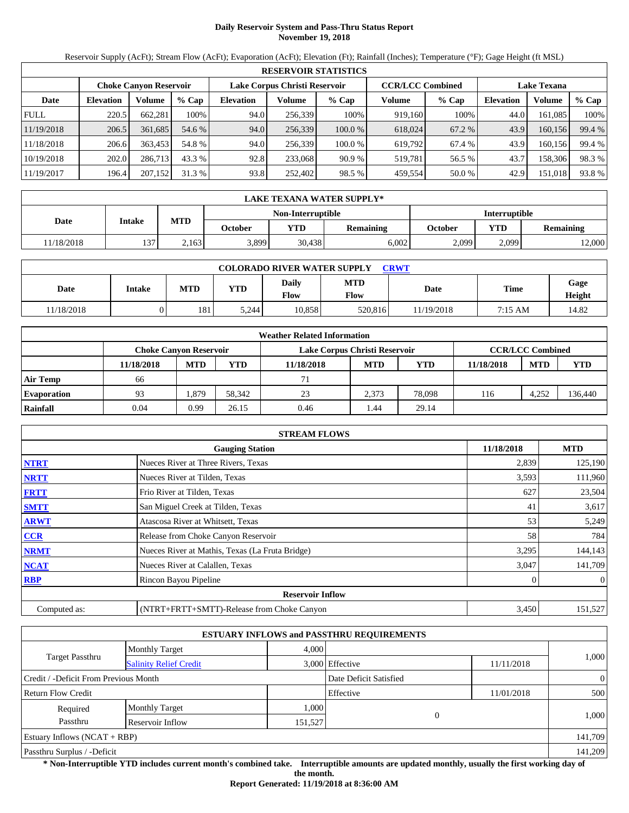# **Daily Reservoir System and Pass-Thru Status Report November 19, 2018**

Reservoir Supply (AcFt); Stream Flow (AcFt); Evaporation (AcFt); Elevation (Ft); Rainfall (Inches); Temperature (°F); Gage Height (ft MSL)

|             | <b>RESERVOIR STATISTICS</b> |                               |                                                          |                  |         |         |                    |         |                  |         |        |  |
|-------------|-----------------------------|-------------------------------|----------------------------------------------------------|------------------|---------|---------|--------------------|---------|------------------|---------|--------|--|
|             |                             | <b>Choke Canyon Reservoir</b> | <b>CCR/LCC Combined</b><br>Lake Corpus Christi Reservoir |                  |         |         | <b>Lake Texana</b> |         |                  |         |        |  |
| Date        | <b>Elevation</b>            | Volume                        | $%$ Cap                                                  | <b>Elevation</b> | Volume  | $%$ Cap | Volume             | $%$ Cap | <b>Elevation</b> | Volume  | % Cap  |  |
| <b>FULL</b> | 220.5                       | 662.281                       | 100%                                                     | 94.0             | 256.339 | 100%    | 919.160            | 100%    | 44.0             | 161.085 | 100%   |  |
| 11/19/2018  | 206.5                       | 361,685                       | 54.6 %                                                   | 94.0             | 256,339 | 100.0%  | 618,024            | 67.2 %  | 43.9             | 160,156 | 99.4 % |  |
| 11/18/2018  | 206.6                       | 363,453                       | 54.8 %                                                   | 94.0             | 256,339 | 100.0%  | 619,792            | 67.4 %  | 43.9             | 160.156 | 99.4 % |  |
| 10/19/2018  | 202.0                       | 286,713                       | 43.3 %                                                   | 92.8             | 233,068 | 90.9%   | 519.781            | 56.5 %  | 43.7             | 158,306 | 98.3%  |  |
| 11/19/2017  | 196.4                       | 207,152                       | 31.3 %                                                   | 93.8             | 252,402 | 98.5 %  | 459,554            | 50.0 %  | 42.9             | 151,018 | 93.8%  |  |

|            | LAKE TEXANA WATER SUPPLY* |            |         |                   |           |         |                      |                  |  |  |
|------------|---------------------------|------------|---------|-------------------|-----------|---------|----------------------|------------------|--|--|
|            |                           |            |         | Non-Interruptible |           |         | <b>Interruptible</b> |                  |  |  |
| Date       | Intake                    | <b>MTD</b> | October | YTD               | Remaining | October | VTD                  | <b>Remaining</b> |  |  |
| 11/18/2018 | 137                       | 2.163      | 3,899   | 30,438            | 6.002     | 2.099   | 2,099                | 12,000           |  |  |

| <b>COLORADO RIVER WATER SUPPLY</b><br>CRWT |        |            |       |               |                           |            |             |                |  |  |
|--------------------------------------------|--------|------------|-------|---------------|---------------------------|------------|-------------|----------------|--|--|
| Date                                       | Intake | <b>MTD</b> | YTD   | Daily<br>Flow | <b>MTD</b><br><b>Flow</b> | Date       | <b>Time</b> | Gage<br>Height |  |  |
| 11/18/2018                                 |        | 181        | 5.244 | 10.858        | 520.816                   | 11/19/2018 | 7:15 AM     | 14.82          |  |  |

|                    | <b>Weather Related Information</b> |            |        |                               |            |            |            |                         |            |  |  |  |
|--------------------|------------------------------------|------------|--------|-------------------------------|------------|------------|------------|-------------------------|------------|--|--|--|
|                    | Choke Canvon Reservoir             |            |        | Lake Corpus Christi Reservoir |            |            |            | <b>CCR/LCC Combined</b> |            |  |  |  |
|                    | 11/18/2018                         | <b>MTD</b> | YTD    | 11/18/2018                    | <b>MTD</b> | <b>YTD</b> | 11/18/2018 | <b>MTD</b>              | <b>YTD</b> |  |  |  |
| <b>Air Temp</b>    | 66                                 |            |        | 71                            |            |            |            |                         |            |  |  |  |
| <b>Evaporation</b> | 93                                 | .379       | 58.342 | 23                            | 2.373      | 78,098     | 116        | 4,252                   | 136,440    |  |  |  |
| Rainfall           | 0.04                               | 0.99       | 26.15  | 0.46                          | . 44       | 29.14      |            |                         |            |  |  |  |

|              | <b>STREAM FLOWS</b>                             |            |                |
|--------------|-------------------------------------------------|------------|----------------|
|              | <b>Gauging Station</b>                          | 11/18/2018 | <b>MTD</b>     |
| <b>NTRT</b>  | Nueces River at Three Rivers, Texas             | 2,839      | 125,190        |
| <b>NRTT</b>  | Nueces River at Tilden, Texas                   | 3,593      | 111,960        |
| <b>FRTT</b>  | Frio River at Tilden, Texas                     | 627        | 23,504         |
| <b>SMTT</b>  | San Miguel Creek at Tilden, Texas               | 41         | 3,617          |
| <b>ARWT</b>  | Atascosa River at Whitsett, Texas               | 53         | 5,249          |
| <b>CCR</b>   | Release from Choke Canyon Reservoir             | 58         | 784            |
| <b>NRMT</b>  | Nueces River at Mathis, Texas (La Fruta Bridge) | 3,295      | 144,143        |
| <b>NCAT</b>  | Nueces River at Calallen, Texas                 | 3,047      | 141,709        |
| <b>RBP</b>   | Rincon Bayou Pipeline                           |            | $\overline{0}$ |
|              | <b>Reservoir Inflow</b>                         |            |                |
| Computed as: | (NTRT+FRTT+SMTT)-Release from Choke Canyon      | 3,450      | 151,527        |

|                                                         |                       |         | <b>ESTUARY INFLOWS and PASSTHRU REQUIREMENTS</b> |            |                |  |
|---------------------------------------------------------|-----------------------|---------|--------------------------------------------------|------------|----------------|--|
|                                                         | <b>Monthly Target</b> | 4.000   |                                                  |            |                |  |
| <b>Target Passthru</b><br><b>Salinity Relief Credit</b> |                       |         | 3,000 Effective                                  | 11/11/2018 | 1,000          |  |
| Credit / -Deficit From Previous Month                   |                       |         | Date Deficit Satisfied                           |            | $\overline{0}$ |  |
| <b>Return Flow Credit</b>                               |                       |         | Effective                                        | 11/01/2018 | 500            |  |
| Required                                                | <b>Monthly Target</b> | 1,000   |                                                  |            |                |  |
| Passthru                                                | Reservoir Inflow      | 151,527 | $\overline{0}$                                   |            | 1,000          |  |
| Estuary Inflows $(NCAT + RBP)$                          |                       |         |                                                  |            | 141,709        |  |
| Passthru Surplus / -Deficit                             |                       |         |                                                  |            | 141.209        |  |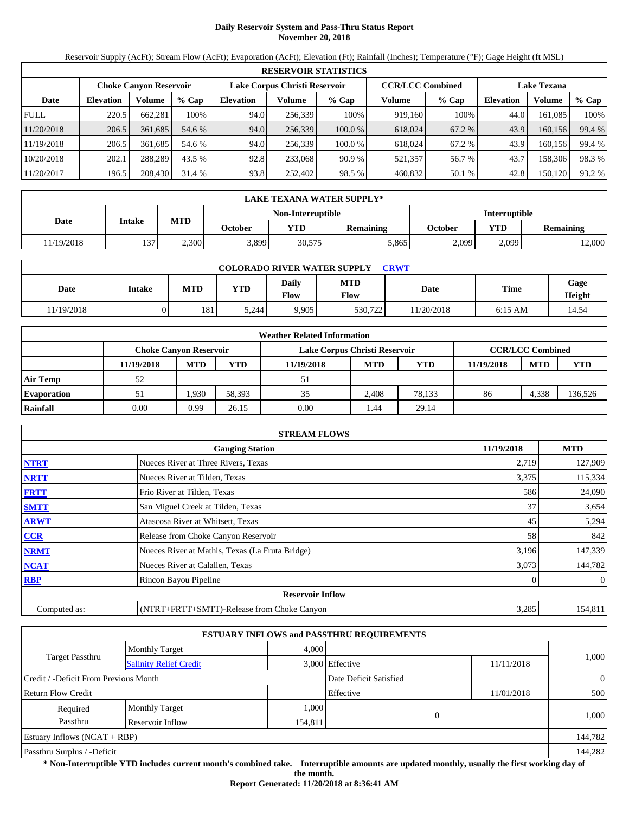# **Daily Reservoir System and Pass-Thru Status Report November 20, 2018**

Reservoir Supply (AcFt); Stream Flow (AcFt); Evaporation (AcFt); Elevation (Ft); Rainfall (Inches); Temperature (°F); Gage Height (ft MSL)

|             | <b>RESERVOIR STATISTICS</b> |                               |         |                                                          |         |         |         |                    |                  |         |        |  |
|-------------|-----------------------------|-------------------------------|---------|----------------------------------------------------------|---------|---------|---------|--------------------|------------------|---------|--------|--|
|             |                             | <b>Choke Canyon Reservoir</b> |         | <b>CCR/LCC Combined</b><br>Lake Corpus Christi Reservoir |         |         |         | <b>Lake Texana</b> |                  |         |        |  |
| Date        | <b>Elevation</b>            | Volume                        | $%$ Cap | <b>Elevation</b>                                         | Volume  | $%$ Cap | Volume  | $%$ Cap            | <b>Elevation</b> | Volume  | % Cap  |  |
| <b>FULL</b> | 220.5                       | 662.281                       | 100%    | 94.0                                                     | 256.339 | 100%    | 919.160 | 100%               | 44.0             | 161.085 | 100%   |  |
| 11/20/2018  | 206.5                       | 361.685                       | 54.6 %  | 94.0                                                     | 256,339 | 100.0%  | 618,024 | 67.2 %             | 43.9             | 160,156 | 99.4 % |  |
| 11/19/2018  | 206.5                       | 361.685                       | 54.6 %  | 94.0                                                     | 256,339 | 100.0%  | 618.024 | 67.2 %             | 43.9             | 160.156 | 99.4 % |  |
| 10/20/2018  | 202.1                       | 288.289                       | 43.5 %  | 92.8                                                     | 233,068 | 90.9%   | 521,357 | 56.7 %             | 43.7             | 158,306 | 98.3%  |  |
| 11/20/2017  | 196.5                       | 208,430                       | 31.4 %  | 93.8                                                     | 252,402 | 98.5 %  | 460,832 | 50.1 %             | 42.8             | 150,120 | 93.2 % |  |

|            | LAKE TEXANA WATER SUPPLY* |            |         |                   |           |         |                      |                  |  |  |
|------------|---------------------------|------------|---------|-------------------|-----------|---------|----------------------|------------------|--|--|
|            |                           |            |         | Non-Interruptible |           |         | <b>Interruptible</b> |                  |  |  |
| Date       | Intake                    | <b>MTD</b> | October | YTD               | Remaining | October | <b>VTD</b>           | <b>Remaining</b> |  |  |
| 11/19/2018 | 137                       | 2.300      | 3,899   | 30,575            | 5,865     | 2.099   | 2,099                | 12,000           |  |  |

| <b>COLORADO RIVER WATER SUPPLY</b><br>CRWT |        |            |            |               |                    |            |             |                |  |  |  |
|--------------------------------------------|--------|------------|------------|---------------|--------------------|------------|-------------|----------------|--|--|--|
| Date                                       | Intake | <b>MTD</b> | <b>YTD</b> | Daily<br>Flow | <b>MTD</b><br>Flow | Date       | <b>Time</b> | Gage<br>Height |  |  |  |
| 11/19/2018                                 |        | 181        | 5.244      | 9.905         | 530,722            | 11/20/2018 | $6:15$ AM   | 14.54          |  |  |  |

|                    |                               |            |        | <b>Weather Related Information</b> |            |            |            |                         |            |
|--------------------|-------------------------------|------------|--------|------------------------------------|------------|------------|------------|-------------------------|------------|
|                    | <b>Choke Canvon Reservoir</b> |            |        | Lake Corpus Christi Reservoir      |            |            |            | <b>CCR/LCC Combined</b> |            |
|                    | 11/19/2018                    | <b>MTD</b> | YTD    | 11/19/2018                         | <b>MTD</b> | <b>YTD</b> | 11/19/2018 | <b>MTD</b>              | <b>YTD</b> |
| <b>Air Temp</b>    | 52                            |            |        | 51                                 |            |            |            |                         |            |
| <b>Evaporation</b> | 51                            | .930       | 58.393 | 35                                 | 2.408      | 78.133     | 86         | 4.338                   | 136,526    |
| Rainfall           | 0.00                          | 0.99       | 26.15  | 0.00                               | 44.ء       | 29.14      |            |                         |            |

|              | <b>STREAM FLOWS</b>                             |       |                |  |  |  |  |  |
|--------------|-------------------------------------------------|-------|----------------|--|--|--|--|--|
|              | <b>Gauging Station</b>                          |       |                |  |  |  |  |  |
| <b>NTRT</b>  | Nueces River at Three Rivers, Texas             | 2,719 | 127,909        |  |  |  |  |  |
| <b>NRTT</b>  | Nueces River at Tilden, Texas                   | 3,375 | 115,334        |  |  |  |  |  |
| <b>FRTT</b>  | Frio River at Tilden, Texas                     | 586   | 24,090         |  |  |  |  |  |
| <b>SMTT</b>  | San Miguel Creek at Tilden, Texas               | 37    | 3,654          |  |  |  |  |  |
| <b>ARWT</b>  | Atascosa River at Whitsett, Texas               | 45    | 5,294          |  |  |  |  |  |
| <b>CCR</b>   | Release from Choke Canyon Reservoir             | 58    | 842            |  |  |  |  |  |
| <b>NRMT</b>  | Nueces River at Mathis, Texas (La Fruta Bridge) | 3,196 | 147,339        |  |  |  |  |  |
| <b>NCAT</b>  | Nueces River at Calallen, Texas                 | 3,073 | 144,782        |  |  |  |  |  |
| <b>RBP</b>   | Rincon Bayou Pipeline                           |       | $\overline{0}$ |  |  |  |  |  |
|              | <b>Reservoir Inflow</b>                         |       |                |  |  |  |  |  |
| Computed as: | (NTRT+FRTT+SMTT)-Release from Choke Canyon      | 3,285 | 154,811        |  |  |  |  |  |

|                                       |                               |         | <b>ESTUARY INFLOWS and PASSTHRU REQUIREMENTS</b> |            |                |
|---------------------------------------|-------------------------------|---------|--------------------------------------------------|------------|----------------|
|                                       | <b>Monthly Target</b>         | 4,000   |                                                  |            |                |
| <b>Target Passthru</b>                | <b>Salinity Relief Credit</b> |         | 3,000 Effective                                  | 11/11/2018 | 1,000          |
| Credit / -Deficit From Previous Month |                               |         | Date Deficit Satisfied                           |            | $\overline{0}$ |
| <b>Return Flow Credit</b>             |                               |         | Effective                                        | 11/01/2018 | 500            |
| Required                              | <b>Monthly Target</b>         | 1,000   |                                                  |            |                |
| Passthru                              | Reservoir Inflow              | 154,811 |                                                  |            | 1,000          |
| Estuary Inflows $(NCAT + RBP)$        |                               |         |                                                  |            | 144,782        |
| Passthru Surplus / -Deficit           |                               |         |                                                  |            | 144,282        |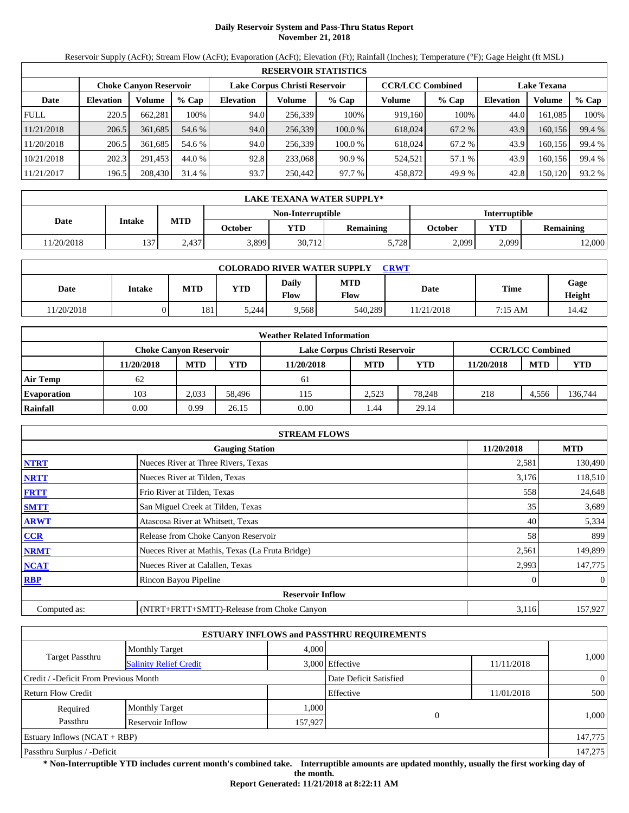# **Daily Reservoir System and Pass-Thru Status Report November 21, 2018**

Reservoir Supply (AcFt); Stream Flow (AcFt); Evaporation (AcFt); Elevation (Ft); Rainfall (Inches); Temperature (°F); Gage Height (ft MSL)

|             |                  |                               |         |                  |                               | <b>RESERVOIR STATISTICS</b> |                                               |         |                  |         |        |
|-------------|------------------|-------------------------------|---------|------------------|-------------------------------|-----------------------------|-----------------------------------------------|---------|------------------|---------|--------|
|             |                  | <b>Choke Canyon Reservoir</b> |         |                  | Lake Corpus Christi Reservoir |                             | <b>CCR/LCC Combined</b><br><b>Lake Texana</b> |         |                  |         |        |
| Date        | <b>Elevation</b> | Volume                        | $%$ Cap | <b>Elevation</b> | Volume                        | $%$ Cap                     | Volume                                        | $%$ Cap | <b>Elevation</b> | Volume  | % Cap  |
| <b>FULL</b> | 220.5            | 662.281                       | 100%    | 94.0             | 256,339                       | 100%                        | 919,160                                       | 100%    | 44.0             | 161.085 | 100%   |
| 11/21/2018  | 206.5            | 361,685                       | 54.6 %  | 94.0             | 256,339                       | 100.0 %                     | 618,024                                       | 67.2 %  | 43.9             | 160.156 | 99.4 % |
| 11/20/2018  | 206.5            | 361.685                       | 54.6 %  | 94.0             | 256.339                       | 100.0 %                     | 618,024                                       | 67.2 %  | 43.9             | 160.156 | 99.4 % |
| 10/21/2018  | 202.3            | 291,453                       | 44.0 %  | 92.8             | 233,068                       | 90.9%                       | 524,521                                       | 57.1 %  | 43.9             | 160,156 | 99.4 % |
| 11/21/2017  | 196.5            | 208,430                       | 31.4 %  | 93.7             | 250,442                       | 97.7 %                      | 458,872                                       | 49.9 %  | 42.8             | 150,120 | 93.2 % |

|            | LAKE TEXANA WATER SUPPLY* |                   |         |            |           |         |                      |                  |  |  |
|------------|---------------------------|-------------------|---------|------------|-----------|---------|----------------------|------------------|--|--|
|            |                           | Non-Interruptible |         |            |           |         | <b>Interruptible</b> |                  |  |  |
| Date       | Intake                    | <b>MTD</b>        | October | <b>YTD</b> | Remaining | October | YTD                  | <b>Remaining</b> |  |  |
| 11/20/2018 | 137                       | 2.437             | 3,899   | 30,712     | 5.728     | 2.099   | 2.099                | 12,000           |  |  |

| <b>COLORADO RIVER WATER SUPPLY</b><br><b>CRWT</b> |        |            |            |                             |                    |            |         |                |  |  |
|---------------------------------------------------|--------|------------|------------|-----------------------------|--------------------|------------|---------|----------------|--|--|
| Date                                              | Intake | <b>MTD</b> | <b>YTD</b> | <b>Daily</b><br><b>Flow</b> | <b>MTD</b><br>Flow | Date       | Time    | Gage<br>Height |  |  |
| 1/20/2018                                         |        | 181        | 5.244      | 9.568                       | 540,289            | 11/21/2018 | 7:15 AM | 14.42          |  |  |

|                    |            |                               |        | <b>Weather Related Information</b> |            |            |            |                         |            |
|--------------------|------------|-------------------------------|--------|------------------------------------|------------|------------|------------|-------------------------|------------|
|                    |            | <b>Choke Canvon Reservoir</b> |        | Lake Corpus Christi Reservoir      |            |            |            | <b>CCR/LCC Combined</b> |            |
|                    | 11/20/2018 | <b>MTD</b>                    | YTD    | 11/20/2018                         | <b>MTD</b> | <b>YTD</b> | 11/20/2018 | <b>MTD</b>              | <b>YTD</b> |
| <b>Air Temp</b>    | 62         |                               |        | -61                                |            |            |            |                         |            |
| <b>Evaporation</b> | 103        | 2.033                         | 58.496 | 115                                | 2.523      | 78.248     | 218        | 4.556                   | 136,744    |
| Rainfall           | 0.00       | 0.99                          | 26.15  | 0.00                               | .44        | 29.14      |            |                         |            |

|              | <b>STREAM FLOWS</b>                             |            |                |
|--------------|-------------------------------------------------|------------|----------------|
|              | <b>Gauging Station</b>                          | 11/20/2018 | <b>MTD</b>     |
| <b>NTRT</b>  | Nueces River at Three Rivers, Texas             | 2,581      | 130,490        |
| <b>NRTT</b>  | Nueces River at Tilden, Texas                   | 3,176      | 118,510        |
| <b>FRTT</b>  | Frio River at Tilden, Texas                     | 558        | 24,648         |
| <b>SMTT</b>  | San Miguel Creek at Tilden, Texas               | 35         | 3,689          |
| <b>ARWT</b>  | Atascosa River at Whitsett, Texas               | 40         | 5,334          |
| <b>CCR</b>   | Release from Choke Canyon Reservoir             | 58         | 899            |
| <b>NRMT</b>  | Nueces River at Mathis, Texas (La Fruta Bridge) | 2,561      | 149,899        |
| <b>NCAT</b>  | Nueces River at Calallen, Texas                 | 2,993      | 147,775        |
| <b>RBP</b>   | Rincon Bayou Pipeline                           |            | $\overline{0}$ |
|              | <b>Reservoir Inflow</b>                         |            |                |
| Computed as: | (NTRT+FRTT+SMTT)-Release from Choke Canyon      | 3,116      | 157,927        |

|                                       |                               |         | <b>ESTUARY INFLOWS and PASSTHRU REQUIREMENTS</b> |            |                |
|---------------------------------------|-------------------------------|---------|--------------------------------------------------|------------|----------------|
|                                       | <b>Monthly Target</b>         | 4,000   |                                                  |            |                |
| <b>Target Passthru</b>                | <b>Salinity Relief Credit</b> |         | 3,000 Effective                                  | 11/11/2018 | 1,000          |
| Credit / -Deficit From Previous Month |                               |         | Date Deficit Satisfied                           |            | $\overline{0}$ |
| Return Flow Credit                    |                               |         | Effective                                        | 11/01/2018 | 500            |
| Required                              | <b>Monthly Target</b>         | 1,000   |                                                  |            |                |
| Passthru                              | Reservoir Inflow              | 157,927 | $\theta$                                         |            | 1,000          |
| Estuary Inflows $(NCAT + RBP)$        |                               |         |                                                  |            | 147,775        |
| Passthru Surplus / -Deficit           |                               |         |                                                  |            | 147,275        |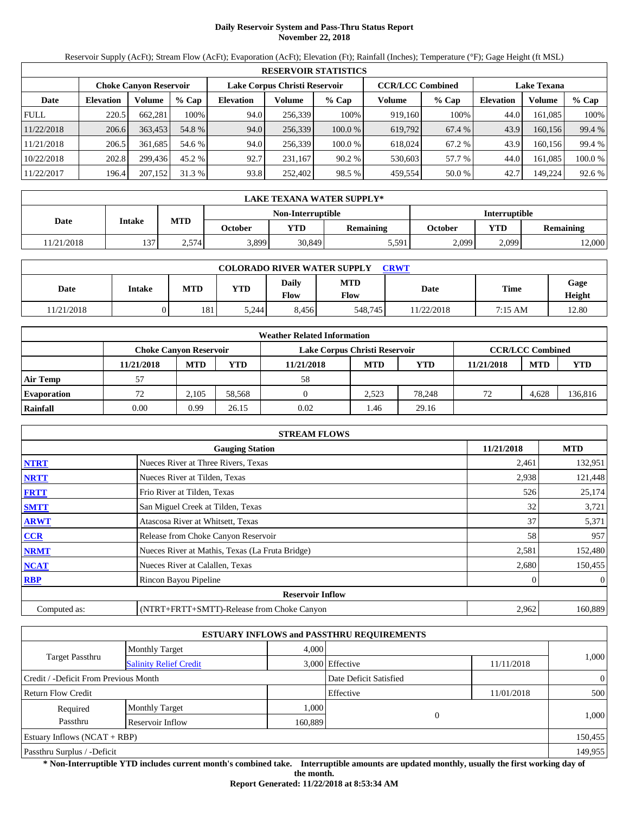# **Daily Reservoir System and Pass-Thru Status Report November 22, 2018**

Reservoir Supply (AcFt); Stream Flow (AcFt); Evaporation (AcFt); Elevation (Ft); Rainfall (Inches); Temperature (°F); Gage Height (ft MSL)

|             |                               |         |         |                  |                               | <b>RESERVOIR STATISTICS</b> |                         |         |                    |         |         |
|-------------|-------------------------------|---------|---------|------------------|-------------------------------|-----------------------------|-------------------------|---------|--------------------|---------|---------|
|             | <b>Choke Canvon Reservoir</b> |         |         |                  | Lake Corpus Christi Reservoir |                             | <b>CCR/LCC Combined</b> |         | <b>Lake Texana</b> |         |         |
| Date        | <b>Elevation</b>              | Volume  | $%$ Cap | <b>Elevation</b> | Volume                        | $%$ Cap                     | Volume                  | $%$ Cap | <b>Elevation</b>   | Volume  | $%$ Cap |
| <b>FULL</b> | 220.5                         | 662.281 | 100%    | 94.0             | 256,339                       | 100%                        | 919.160                 | 100%    | 44.0               | 161.085 | 100%    |
| 11/22/2018  | 206.6                         | 363,453 | 54.8 %  | 94.0             | 256,339                       | 100.0%                      | 619.792                 | 67.4 %  | 43.9               | 160.156 | 99.4 %  |
| 11/21/2018  | 206.5                         | 361.685 | 54.6 %  | 94.0             | 256,339                       | 100.0 %                     | 618,024                 | 67.2 %  | 43.9               | 160.156 | 99.4 %  |
| 10/22/2018  | 202.8                         | 299.436 | 45.2 %  | 92.7             | 231.167                       | 90.2%                       | 530,603                 | 57.7 %  | 44.0               | 161.085 | 100.0%  |
| 11/22/2017  | 196.4                         | 207,152 | 31.3 %  | 93.8             | 252,402                       | 98.5 %                      | 459,554                 | 50.0 %  | 42.7               | 149,224 | 92.6 %  |

|            |        |            |         |                   | LAKE TEXANA WATER SUPPLY* |         |                      |                  |
|------------|--------|------------|---------|-------------------|---------------------------|---------|----------------------|------------------|
|            |        |            |         | Non-Interruptible |                           |         | <b>Interruptible</b> |                  |
| Date       | Intake | <b>MTD</b> | October | <b>YTD</b>        | Remaining                 | October | <b>YTD</b>           | <b>Remaining</b> |
| 11/21/2018 | 137    | 2,574      | 3,899   | 30,849            | 5,591                     | 2,099   | 2,099                | 2,000            |

| <b>COLORADO RIVER WATER SUPPLY</b><br><b>CRWT</b> |        |            |            |                      |                    |           |         |                |  |  |  |
|---------------------------------------------------|--------|------------|------------|----------------------|--------------------|-----------|---------|----------------|--|--|--|
| Date                                              | Intake | <b>MTD</b> | <b>YTD</b> | <b>Daily</b><br>Flow | <b>MTD</b><br>Flow | Date      | Time    | Gage<br>Height |  |  |  |
| 11/21/2018                                        |        | 181        | 5.244      | 8.456                | 548,745            | 1/22/2018 | 7:15 AM | 12.80          |  |  |  |

|                    |                               |            |        | <b>Weather Related Information</b> |            |        |            |                         |            |
|--------------------|-------------------------------|------------|--------|------------------------------------|------------|--------|------------|-------------------------|------------|
|                    | <b>Choke Canvon Reservoir</b> |            |        | Lake Corpus Christi Reservoir      |            |        |            | <b>CCR/LCC Combined</b> |            |
|                    | 11/21/2018                    | <b>MTD</b> | YTD    | 11/21/2018                         | <b>MTD</b> | YTD    | 11/21/2018 | <b>MTD</b>              | <b>YTD</b> |
| <b>Air Temp</b>    | 57                            |            |        | 58                                 |            |        |            |                         |            |
| <b>Evaporation</b> | 72                            | 2.105      | 58,568 |                                    | 2.523      | 78.248 | 72         | 4,628                   | 136,816    |
| Rainfall           | 0.00                          | 0.99       | 26.15  | 0.02                               | . 46       | 29.16  |            |                         |            |

|              | <b>STREAM FLOWS</b>                             |            |                |
|--------------|-------------------------------------------------|------------|----------------|
|              | <b>Gauging Station</b>                          | 11/21/2018 | <b>MTD</b>     |
| <b>NTRT</b>  | Nueces River at Three Rivers, Texas             | 2,461      | 132,951        |
| <b>NRTT</b>  | Nueces River at Tilden, Texas                   | 2,938      | 121,448        |
| <b>FRTT</b>  | Frio River at Tilden, Texas                     | 526        | 25,174         |
| <b>SMTT</b>  | San Miguel Creek at Tilden, Texas               | 32         | 3,721          |
| <b>ARWT</b>  | Atascosa River at Whitsett, Texas               | 37         | 5,371          |
| <b>CCR</b>   | Release from Choke Canyon Reservoir             | 58         | 957            |
| <b>NRMT</b>  | Nueces River at Mathis, Texas (La Fruta Bridge) | 2,581      | 152,480        |
| <b>NCAT</b>  | Nueces River at Calallen, Texas                 | 2,680      | 150,455        |
| <b>RBP</b>   | Rincon Bayou Pipeline                           |            | $\overline{0}$ |
|              | <b>Reservoir Inflow</b>                         |            |                |
| Computed as: | (NTRT+FRTT+SMTT)-Release from Choke Canyon      | 2,962      | 160,889        |

|                                       |                               |         | <b>ESTUARY INFLOWS and PASSTHRU REQUIREMENTS</b> |            |                |
|---------------------------------------|-------------------------------|---------|--------------------------------------------------|------------|----------------|
|                                       | <b>Monthly Target</b>         | 4,000   |                                                  |            |                |
| <b>Target Passthru</b>                | <b>Salinity Relief Credit</b> |         | 3,000 Effective                                  | 11/11/2018 | 1,000          |
| Credit / -Deficit From Previous Month |                               |         | Date Deficit Satisfied                           |            | $\overline{0}$ |
| Return Flow Credit                    |                               |         | Effective                                        | 11/01/2018 | 500            |
| Required                              | <b>Monthly Target</b>         | 1,000   |                                                  |            |                |
| Passthru                              | Reservoir Inflow              | 160,889 | $\theta$                                         |            | 1,000          |
| Estuary Inflows $(NCAT + RBP)$        |                               |         |                                                  |            | 150,455        |
| Passthru Surplus / -Deficit           |                               |         |                                                  |            | 149,955        |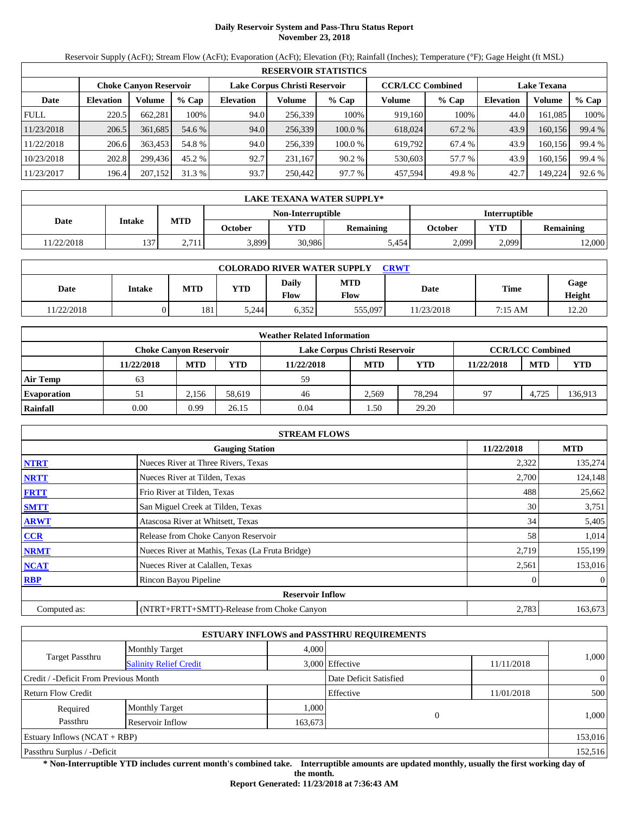# **Daily Reservoir System and Pass-Thru Status Report November 23, 2018**

Reservoir Supply (AcFt); Stream Flow (AcFt); Evaporation (AcFt); Elevation (Ft); Rainfall (Inches); Temperature (°F); Gage Height (ft MSL)

|             |                  |                               |         |                  |                               | <b>RESERVOIR STATISTICS</b> |                         |         |                  |                    |        |
|-------------|------------------|-------------------------------|---------|------------------|-------------------------------|-----------------------------|-------------------------|---------|------------------|--------------------|--------|
|             |                  | <b>Choke Canyon Reservoir</b> |         |                  | Lake Corpus Christi Reservoir |                             | <b>CCR/LCC Combined</b> |         |                  | <b>Lake Texana</b> |        |
| Date        | <b>Elevation</b> | Volume                        | $%$ Cap | <b>Elevation</b> | Volume                        | $%$ Cap                     | Volume                  | $%$ Cap | <b>Elevation</b> | Volume             | % Cap  |
| <b>FULL</b> | 220.5            | 662.281                       | 100%    | 94.0             | 256,339                       | 100%                        | 919,160                 | 100%    | 44.0             | 161.085            | 100%   |
| 11/23/2018  | 206.5            | 361,685                       | 54.6 %  | 94.0             | 256,339                       | 100.0 %                     | 618,024                 | 67.2 %  | 43.9             | 160.156            | 99.4 % |
| 11/22/2018  | 206.6            | 363,453                       | 54.8 %  | 94.0             | 256,339                       | 100.0 %                     | 619.792                 | 67.4 %  | 43.9             | 160.156            | 99.4 % |
| 10/23/2018  | 202.8            | 299.436                       | 45.2 %  | 92.7             | 231,167                       | 90.2%                       | 530,603                 | 57.7 %  | 43.9             | 160,156            | 99.4 % |
| 11/23/2017  | 196.4            | 207,152                       | 31.3 %  | 93.7             | 250,442                       | 97.7 %                      | 457,594                 | 49.8%   | 42.7             | 149,224            | 92.6 % |

|            | LAKE TEXANA WATER SUPPLY* |            |         |                   |           |                      |       |                  |  |  |
|------------|---------------------------|------------|---------|-------------------|-----------|----------------------|-------|------------------|--|--|
|            | Intake                    | <b>MTD</b> |         | Non-Interruptible |           | <b>Interruptible</b> |       |                  |  |  |
| Date       |                           |            | October | <b>YTD</b>        | Remaining | October              | YTD   | <b>Remaining</b> |  |  |
| 11/22/2018 | 137                       | 2.711      | 3,899   | 30,986            | 5.454     | 2,099                | 2.099 | 12,000           |  |  |

| <b>COLORADO RIVER WATER SUPPLY</b><br><b>CRWT</b> |        |            |            |                             |                    |             |         |                |  |  |  |
|---------------------------------------------------|--------|------------|------------|-----------------------------|--------------------|-------------|---------|----------------|--|--|--|
| Date                                              | Intake | <b>MTD</b> | <b>YTD</b> | <b>Daily</b><br><b>Flow</b> | <b>MTD</b><br>Flow | <b>Date</b> | Time    | Gage<br>Height |  |  |  |
| 1/22/2018                                         |        | 181        | 5,244      | 6,352                       | 555,097            | 11/23/2018  | 7:15 AM | 12.20          |  |  |  |

|                    |                               |            |        | <b>Weather Related Information</b> |            |            |            |                         |            |
|--------------------|-------------------------------|------------|--------|------------------------------------|------------|------------|------------|-------------------------|------------|
|                    | <b>Choke Canvon Reservoir</b> |            |        | Lake Corpus Christi Reservoir      |            |            |            | <b>CCR/LCC Combined</b> |            |
|                    | 11/22/2018                    | <b>MTD</b> | YTD    | 11/22/2018                         | <b>MTD</b> | <b>YTD</b> | 11/22/2018 | <b>MTD</b>              | <b>YTD</b> |
| <b>Air Temp</b>    | 63                            |            |        | 59                                 |            |            |            |                         |            |
| <b>Evaporation</b> | 51                            | 2.156      | 58.619 | 46                                 | 2.569      | 78.294     | 97         | 4.725                   | 136,913    |
| Rainfall           | 0.00                          | 0.99       | 26.15  | 0.04                               | . . 50     | 29.20      |            |                         |            |

|              | <b>STREAM FLOWS</b>                             |            |                |
|--------------|-------------------------------------------------|------------|----------------|
|              | <b>Gauging Station</b>                          | 11/22/2018 | <b>MTD</b>     |
| <b>NTRT</b>  | Nueces River at Three Rivers, Texas             | 2,322      | 135,274        |
| <b>NRTT</b>  | Nueces River at Tilden, Texas                   | 2,700      | 124,148        |
| <b>FRTT</b>  | Frio River at Tilden, Texas                     | 488        | 25,662         |
| <b>SMTT</b>  | San Miguel Creek at Tilden, Texas               | 30         | 3,751          |
| <b>ARWT</b>  | Atascosa River at Whitsett, Texas               | 34         | 5,405          |
| CCR          | Release from Choke Canyon Reservoir             | 58         | 1,014          |
| <b>NRMT</b>  | Nueces River at Mathis, Texas (La Fruta Bridge) | 2,719      | 155,199        |
| <b>NCAT</b>  | Nueces River at Calallen, Texas                 | 2,561      | 153,016        |
| <b>RBP</b>   | Rincon Bayou Pipeline                           |            | $\overline{0}$ |
|              | <b>Reservoir Inflow</b>                         |            |                |
| Computed as: | (NTRT+FRTT+SMTT)-Release from Choke Canyon      | 2,783      | 163,673        |

|                                       |                               |         | <b>ESTUARY INFLOWS and PASSTHRU REQUIREMENTS</b> |            |                |
|---------------------------------------|-------------------------------|---------|--------------------------------------------------|------------|----------------|
|                                       | <b>Monthly Target</b>         | 4,000   |                                                  |            |                |
| <b>Target Passthru</b>                | <b>Salinity Relief Credit</b> |         | 3,000 Effective                                  | 11/11/2018 | 1,000          |
| Credit / -Deficit From Previous Month |                               |         | Date Deficit Satisfied                           |            | $\overline{0}$ |
| <b>Return Flow Credit</b>             |                               |         | Effective                                        | 11/01/2018 | 500            |
| Required                              | <b>Monthly Target</b>         | 1,000   |                                                  |            |                |
| Passthru                              | Reservoir Inflow              | 163,673 |                                                  |            | 1,000          |
| Estuary Inflows $(NCAT + RBP)$        |                               |         |                                                  |            | 153,016        |
| Passthru Surplus / -Deficit           |                               |         |                                                  |            | 152,516        |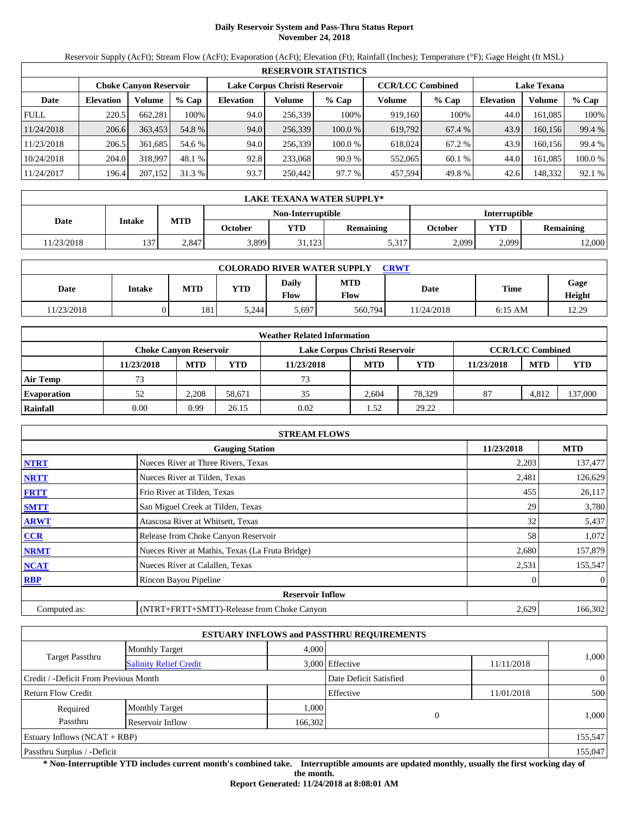# **Daily Reservoir System and Pass-Thru Status Report November 24, 2018**

Reservoir Supply (AcFt); Stream Flow (AcFt); Evaporation (AcFt); Elevation (Ft); Rainfall (Inches); Temperature (°F); Gage Height (ft MSL)

|             | <b>RESERVOIR STATISTICS</b> |                               |         |                               |         |         |                         |         |                    |         |         |  |
|-------------|-----------------------------|-------------------------------|---------|-------------------------------|---------|---------|-------------------------|---------|--------------------|---------|---------|--|
|             |                             | <b>Choke Canvon Reservoir</b> |         | Lake Corpus Christi Reservoir |         |         | <b>CCR/LCC Combined</b> |         | <b>Lake Texana</b> |         |         |  |
| Date        | <b>Elevation</b>            | Volume                        | $%$ Cap | <b>Elevation</b>              | Volume  | $%$ Cap | Volume                  | $%$ Cap | <b>Elevation</b>   | Volume  | % Cap   |  |
| <b>FULL</b> | 220.5                       | 662.281                       | 100%    | 94.0                          | 256,339 | 100%    | 919.160                 | 100%    | 44.0               | 161.085 | 100%    |  |
| 11/24/2018  | 206.6                       | 363,453                       | 54.8 %  | 94.0                          | 256,339 | 100.0 % | 619.792                 | 67.4 %  | 43.9               | 160.156 | 99.4 %  |  |
| 11/23/2018  | 206.5                       | 361.685                       | 54.6 %  | 94.0                          | 256,339 | 100.0 % | 618,024                 | 67.2 %  | 43.9               | 160.156 | 99.4 %  |  |
| 10/24/2018  | 204.0                       | 318,997                       | 48.1 %  | 92.8                          | 233,068 | 90.9%   | 552,065                 | 60.1%   | 44.0               | 161.085 | 100.0 % |  |
| 11/24/2017  | 196.4                       | 207,152                       | 31.3 %  | 93.7                          | 250,442 | 97.7 %  | 457,594                 | 49.8 %  | 42.6               | 148,332 | 92.1 %  |  |

|            | LAKE TEXANA WATER SUPPLY* |            |         |                   |                  |                      |            |                  |  |  |  |
|------------|---------------------------|------------|---------|-------------------|------------------|----------------------|------------|------------------|--|--|--|
|            | Intake                    |            |         | Non-Interruptible |                  | <b>Interruptible</b> |            |                  |  |  |  |
| Date       |                           | <b>MTD</b> | October | <b>YTD</b>        | <b>Remaining</b> | October              | <b>YTD</b> | <b>Remaining</b> |  |  |  |
| 11/23/2018 | 137                       | 2.847      | 3,899   | 31,123            | 5,317            | 2,099                | 2,099      | 12,000           |  |  |  |

| <b>COLORADO RIVER WATER SUPPLY</b><br><b>CRWT</b> |        |            |            |                             |                    |            |           |                |  |  |
|---------------------------------------------------|--------|------------|------------|-----------------------------|--------------------|------------|-----------|----------------|--|--|
| Date                                              | Intake | <b>MTD</b> | <b>YTD</b> | <b>Daily</b><br><b>Flow</b> | <b>MTD</b><br>Flow | Date       | Time      | Gage<br>Height |  |  |
| 1/23/2018                                         |        | 181        | 5.244      | 5,697                       | 560,794            | 11/24/2018 | $6:15$ AM | 12.29          |  |  |

|                    |                        |            |        | <b>Weather Related Information</b> |            |            |            |                         |            |
|--------------------|------------------------|------------|--------|------------------------------------|------------|------------|------------|-------------------------|------------|
|                    | Choke Canvon Reservoir |            |        | Lake Corpus Christi Reservoir      |            |            |            | <b>CCR/LCC Combined</b> |            |
|                    | 11/23/2018             | <b>MTD</b> | YTD    | 11/23/2018                         | <b>MTD</b> | <b>YTD</b> | 11/23/2018 | <b>MTD</b>              | <b>YTD</b> |
| <b>Air Temp</b>    | 73                     |            |        | 73                                 |            |            |            |                         |            |
| <b>Evaporation</b> | 52                     | 2.208      | 58.671 | 35                                 | 2.604      | 78.329     | 87         | 4.812                   | 137,000    |
| Rainfall           | 0.00                   | 0.99       | 26.15  | 0.02                               | .52        | 29.22      |            |                         |            |

|              | <b>STREAM FLOWS</b>                             |            |                |
|--------------|-------------------------------------------------|------------|----------------|
|              | <b>Gauging Station</b>                          | 11/23/2018 | <b>MTD</b>     |
| <b>NTRT</b>  | Nueces River at Three Rivers, Texas             | 2,203      | 137,477        |
| <b>NRTT</b>  | Nueces River at Tilden, Texas                   | 2,481      | 126,629        |
| <b>FRTT</b>  | Frio River at Tilden, Texas                     | 455        | 26,117         |
| <b>SMTT</b>  | San Miguel Creek at Tilden, Texas               | 29         | 3,780          |
| <b>ARWT</b>  | Atascosa River at Whitsett, Texas               | 32         | 5,437          |
| <b>CCR</b>   | Release from Choke Canyon Reservoir             | 58         | 1,072          |
| <b>NRMT</b>  | Nueces River at Mathis, Texas (La Fruta Bridge) | 2,680      | 157,879        |
| <b>NCAT</b>  | Nueces River at Calallen, Texas                 | 2,531      | 155,547        |
| <b>RBP</b>   | Rincon Bayou Pipeline                           |            | $\overline{0}$ |
|              | <b>Reservoir Inflow</b>                         |            |                |
| Computed as: | (NTRT+FRTT+SMTT)-Release from Choke Canyon      | 2,629      | 166,302        |

|                                       |                               |         | <b>ESTUARY INFLOWS and PASSTHRU REQUIREMENTS</b> |            |                |
|---------------------------------------|-------------------------------|---------|--------------------------------------------------|------------|----------------|
|                                       | <b>Monthly Target</b>         | 4,000   |                                                  |            |                |
| <b>Target Passthru</b>                | <b>Salinity Relief Credit</b> |         | 3,000 Effective                                  | 11/11/2018 | 1,000          |
| Credit / -Deficit From Previous Month |                               |         | Date Deficit Satisfied                           |            | $\overline{0}$ |
| <b>Return Flow Credit</b>             |                               |         | Effective                                        | 11/01/2018 | 500            |
| Required                              | <b>Monthly Target</b>         | 1,000   |                                                  |            |                |
| Passthru                              | Reservoir Inflow              | 166,302 | $\theta$                                         |            | 1,000          |
| Estuary Inflows $(NCAT + RBP)$        |                               |         |                                                  |            | 155,547        |
| Passthru Surplus / -Deficit           |                               |         |                                                  |            | 155,047        |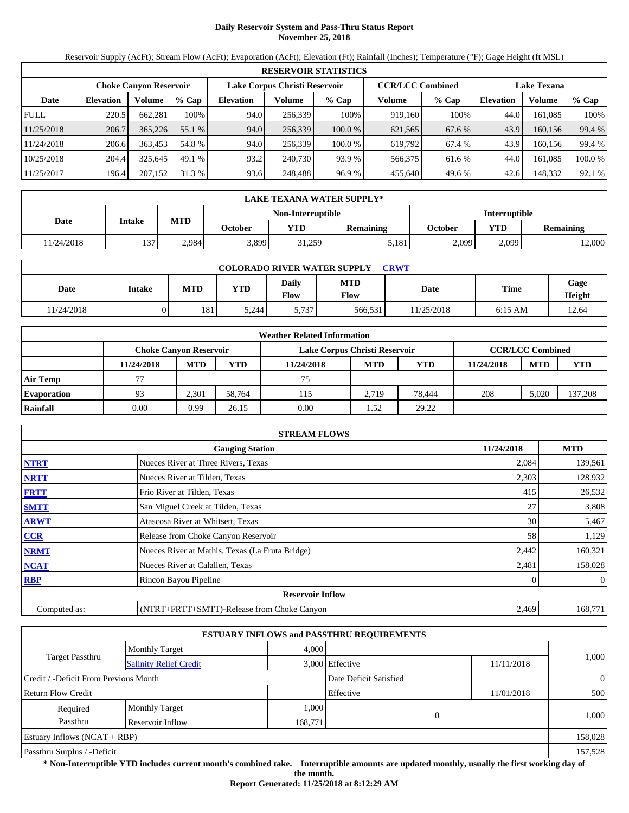# **Daily Reservoir System and Pass-Thru Status Report November 25, 2018**

Reservoir Supply (AcFt); Stream Flow (AcFt); Evaporation (AcFt); Elevation (Ft); Rainfall (Inches); Temperature (°F); Gage Height (ft MSL)

|             | <b>RESERVOIR STATISTICS</b>   |         |         |                  |                               |         |         |                         |                    |         |         |  |  |
|-------------|-------------------------------|---------|---------|------------------|-------------------------------|---------|---------|-------------------------|--------------------|---------|---------|--|--|
|             | <b>Choke Canvon Reservoir</b> |         |         |                  | Lake Corpus Christi Reservoir |         |         | <b>CCR/LCC Combined</b> | <b>Lake Texana</b> |         |         |  |  |
| Date        | <b>Elevation</b>              | Volume  | $%$ Cap | <b>Elevation</b> | Volume                        | $%$ Cap | Volume  | $%$ Cap                 | <b>Elevation</b>   | Volume  | $%$ Cap |  |  |
| <b>FULL</b> | 220.5                         | 662.281 | 100%    | 94.0             | 256.339                       | 100%    | 919.160 | 100%                    | 44.0               | 161.085 | 100%    |  |  |
| 11/25/2018  | 206.7                         | 365,226 | 55.1 %  | 94.0             | 256,339                       | 100.0%  | 621,565 | 67.6 %                  | 43.9               | 160.156 | 99.4 %  |  |  |
| 11/24/2018  | 206.6                         | 363,453 | 54.8 %  | 94.0             | 256,339                       | 100.0 % | 619.792 | 67.4 %                  | 43.9               | 160.156 | 99.4 %  |  |  |
| 10/25/2018  | 204.4                         | 325.645 | 49.1 %  | 93.2             | 240,730                       | 93.9 %  | 566,375 | 61.6 %                  | 44.0               | 161.085 | 100.0%  |  |  |
| 11/25/2017  | 196.4                         | 207,152 | 31.3 %  | 93.6             | 248,488                       | 96.9 %  | 455,640 | 49.6 %                  | 42.6               | 148,332 | 92.1 %  |  |  |

|            | LAKE TEXANA WATER SUPPLY* |            |         |                   |           |                      |       |                  |  |  |  |
|------------|---------------------------|------------|---------|-------------------|-----------|----------------------|-------|------------------|--|--|--|
|            | Intake                    |            |         | Non-Interruptible |           | <b>Interruptible</b> |       |                  |  |  |  |
| Date       |                           | <b>MTD</b> | October | <b>YTD</b>        | Remaining | October              | VTD   | <b>Remaining</b> |  |  |  |
| 11/24/2018 | 137                       | 2,984      | 3,899   | 31,259            | 5,181     | 2,099                | 2,099 | 2,000            |  |  |  |

| <b>COLORADO RIVER WATER SUPPLY</b><br><b>CRWT</b> |        |            |            |                             |                           |           |           |                |  |  |  |
|---------------------------------------------------|--------|------------|------------|-----------------------------|---------------------------|-----------|-----------|----------------|--|--|--|
| Date                                              | Intake | <b>MTD</b> | <b>YTD</b> | <b>Daily</b><br><b>Flow</b> | <b>MTD</b><br><b>Flow</b> | Date      | Time      | Gage<br>Height |  |  |  |
| 1/24/2018                                         |        | 181        | 5.244      | 5.737                       | 566,531                   | 1/25/2018 | $6:15$ AM | 12.64          |  |  |  |

|                    |                        |            |        | <b>Weather Related Information</b> |            |            |            |                         |            |
|--------------------|------------------------|------------|--------|------------------------------------|------------|------------|------------|-------------------------|------------|
|                    | Choke Canvon Reservoir |            |        | Lake Corpus Christi Reservoir      |            |            |            | <b>CCR/LCC Combined</b> |            |
|                    | 11/24/2018             | <b>MTD</b> | YTD    | 11/24/2018                         | <b>MTD</b> | <b>YTD</b> | 11/24/2018 | <b>MTD</b>              | <b>YTD</b> |
| <b>Air Temp</b>    |                        |            |        | 75                                 |            |            |            |                         |            |
| <b>Evaporation</b> | 93                     | 2.301      | 58.764 | 115                                | 2.719      | 78.444     | 208        | 5.020                   | 137,208    |
| Rainfall           | 0.00                   | 0.99       | 26.15  | 0.00                               | .52        | 29.22      |            |                         |            |

|              | <b>STREAM FLOWS</b>                             |            |                |
|--------------|-------------------------------------------------|------------|----------------|
|              | <b>Gauging Station</b>                          | 11/24/2018 | <b>MTD</b>     |
| <b>NTRT</b>  | Nueces River at Three Rivers, Texas             | 2,084      | 139,561        |
| <b>NRTT</b>  | Nueces River at Tilden, Texas                   | 2,303      | 128,932        |
| <b>FRTT</b>  | Frio River at Tilden, Texas                     | 415        | 26,532         |
| <b>SMTT</b>  | San Miguel Creek at Tilden, Texas               | 27         | 3,808          |
| <b>ARWT</b>  | Atascosa River at Whitsett, Texas               | 30         | 5,467          |
| CCR          | Release from Choke Canyon Reservoir             | 58         | 1,129          |
| <b>NRMT</b>  | Nueces River at Mathis, Texas (La Fruta Bridge) | 2,442      | 160,321        |
| <b>NCAT</b>  | Nueces River at Calallen, Texas                 | 2,481      | 158,028        |
| <b>RBP</b>   | Rincon Bayou Pipeline                           |            | $\overline{0}$ |
|              | <b>Reservoir Inflow</b>                         |            |                |
| Computed as: | (NTRT+FRTT+SMTT)-Release from Choke Canyon      | 2,469      | 168,771        |

|                                       |                               |         | <b>ESTUARY INFLOWS and PASSTHRU REQUIREMENTS</b> |            |                |  |
|---------------------------------------|-------------------------------|---------|--------------------------------------------------|------------|----------------|--|
|                                       | <b>Monthly Target</b>         | 4,000   |                                                  |            |                |  |
| <b>Target Passthru</b>                | <b>Salinity Relief Credit</b> |         | 3,000 Effective                                  | 11/11/2018 | 1,000          |  |
| Credit / -Deficit From Previous Month |                               |         | Date Deficit Satisfied                           |            | $\overline{0}$ |  |
| Return Flow Credit                    |                               |         | Effective                                        | 11/01/2018 | 500            |  |
| Required                              | <b>Monthly Target</b>         | 1,000   |                                                  |            |                |  |
| Passthru                              | Reservoir Inflow              | 168,771 | $\theta$                                         |            | 1,000          |  |
| Estuary Inflows $(NCAT + RBP)$        |                               |         |                                                  |            | 158,028        |  |
| Passthru Surplus / -Deficit           |                               |         |                                                  |            |                |  |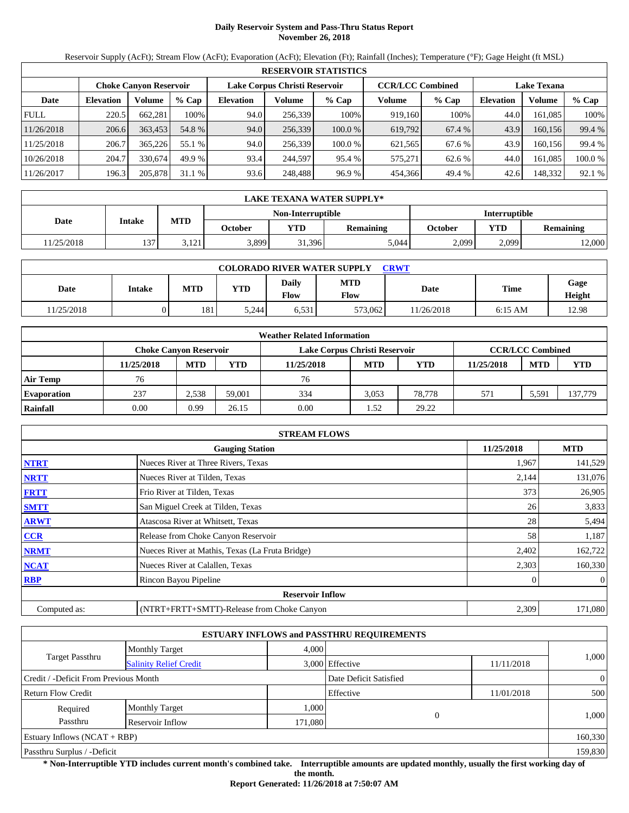# **Daily Reservoir System and Pass-Thru Status Report November 26, 2018**

Reservoir Supply (AcFt); Stream Flow (AcFt); Evaporation (AcFt); Elevation (Ft); Rainfall (Inches); Temperature (°F); Gage Height (ft MSL)

|             | <b>RESERVOIR STATISTICS</b>   |         |         |                  |                               |         |         |                         |                    |         |         |  |
|-------------|-------------------------------|---------|---------|------------------|-------------------------------|---------|---------|-------------------------|--------------------|---------|---------|--|
|             | <b>Choke Canvon Reservoir</b> |         |         |                  | Lake Corpus Christi Reservoir |         |         | <b>CCR/LCC Combined</b> | <b>Lake Texana</b> |         |         |  |
| Date        | <b>Elevation</b>              | Volume  | $%$ Cap | <b>Elevation</b> | Volume                        | $%$ Cap | Volume  | $%$ Cap                 | <b>Elevation</b>   | Volume  | % Cap   |  |
| <b>FULL</b> | 220.5                         | 662.281 | 100%    | 94.0             | 256,339                       | 100%    | 919,160 | 100%                    | 44.0               | 161.085 | 100%    |  |
| 11/26/2018  | 206.6                         | 363,453 | 54.8 %  | 94.0             | 256,339                       | 100.0 % | 619.792 | 67.4 %                  | 43.9               | 160,156 | 99.4 %  |  |
| 11/25/2018  | 206.7                         | 365,226 | 55.1 %  | 94.0             | 256,339                       | 100.0 % | 621.565 | 67.6 %                  | 43.9               | 160.156 | 99.4 %  |  |
| 10/26/2018  | 204.7                         | 330.674 | 49.9 %  | 93.4             | 244,597                       | 95.4 %  | 575.271 | 62.6 %                  | 44.0               | 161.085 | 100.0 % |  |
| 11/26/2017  | 196.3                         | 205,878 | 31.1 %  | 93.6             | 248,488                       | 96.9 %  | 454,366 | 49.4 %                  | 42.6               | 148,332 | 92.1 %  |  |

|            | LAKE TEXANA WATER SUPPLY* |            |         |                   |                  |                      |       |                  |  |  |  |
|------------|---------------------------|------------|---------|-------------------|------------------|----------------------|-------|------------------|--|--|--|
|            | Intake                    |            |         | Non-Interruptible |                  | <b>Interruptible</b> |       |                  |  |  |  |
| Date       |                           | <b>MTD</b> | October | <b>YTD</b>        | <b>Remaining</b> | October              | YTD   | <b>Remaining</b> |  |  |  |
| 11/25/2018 | 137                       | 3,121      | 3,899   | 31,396            | 5.044            | 2.099                | 2,099 | 12,000           |  |  |  |

| <b>COLORADO RIVER WATER SUPPLY</b><br><b>CRWT</b> |        |            |            |                      |                    |            |           |                |  |  |  |
|---------------------------------------------------|--------|------------|------------|----------------------|--------------------|------------|-----------|----------------|--|--|--|
| Date                                              | Intake | <b>MTD</b> | <b>YTD</b> | Daily<br><b>Flow</b> | <b>MTD</b><br>Flow | Date       | Time      | Gage<br>Height |  |  |  |
| 1/25/2018                                         |        | 181        | 5.244      | 6,531                | 573,062            | 11/26/2018 | $6:15$ AM | 12.98          |  |  |  |

|                    |                        |            |        | <b>Weather Related Information</b> |            |            |            |                         |            |
|--------------------|------------------------|------------|--------|------------------------------------|------------|------------|------------|-------------------------|------------|
|                    | Choke Canvon Reservoir |            |        | Lake Corpus Christi Reservoir      |            |            |            | <b>CCR/LCC Combined</b> |            |
|                    | 11/25/2018             | <b>MTD</b> | YTD    | 11/25/2018                         | <b>MTD</b> | <b>YTD</b> | 11/25/2018 | <b>MTD</b>              | <b>YTD</b> |
| <b>Air Temp</b>    | 76                     |            |        | 76                                 |            |            |            |                         |            |
| <b>Evaporation</b> | 237                    | 2.538      | 59,001 | 334                                | 3.053      | 78,778     | 571        | 5,591                   | 137,779    |
| Rainfall           | 0.00                   | 0.99       | 26.15  | 0.00                               | .52        | 29.22      |            |                         |            |

|              | <b>STREAM FLOWS</b>                             |            |                |
|--------------|-------------------------------------------------|------------|----------------|
|              | <b>Gauging Station</b>                          | 11/25/2018 | <b>MTD</b>     |
| <b>NTRT</b>  | Nueces River at Three Rivers, Texas             | 1,967      | 141,529        |
| <b>NRTT</b>  | Nueces River at Tilden, Texas                   | 2,144      | 131,076        |
| <b>FRTT</b>  | Frio River at Tilden, Texas                     | 373        | 26,905         |
| <b>SMTT</b>  | San Miguel Creek at Tilden, Texas               | 26         | 3,833          |
| <b>ARWT</b>  | Atascosa River at Whitsett, Texas               | 28         | 5,494          |
| CCR          | Release from Choke Canyon Reservoir             | 58         | 1,187          |
| <b>NRMT</b>  | Nueces River at Mathis, Texas (La Fruta Bridge) | 2,402      | 162,722        |
| <b>NCAT</b>  | Nueces River at Calallen, Texas                 | 2,303      | 160,330        |
| <b>RBP</b>   | Rincon Bayou Pipeline                           |            | $\overline{0}$ |
|              | <b>Reservoir Inflow</b>                         |            |                |
| Computed as: | (NTRT+FRTT+SMTT)-Release from Choke Canyon      | 2,309      | 171,080        |

|                                       |                               |         | <b>ESTUARY INFLOWS and PASSTHRU REQUIREMENTS</b> |            |                |  |
|---------------------------------------|-------------------------------|---------|--------------------------------------------------|------------|----------------|--|
|                                       | <b>Monthly Target</b>         | 4,000   |                                                  |            |                |  |
| <b>Target Passthru</b>                | <b>Salinity Relief Credit</b> |         | 3,000 Effective                                  | 11/11/2018 | 1,000          |  |
| Credit / -Deficit From Previous Month |                               |         | Date Deficit Satisfied                           |            | $\overline{0}$ |  |
| <b>Return Flow Credit</b>             |                               |         | Effective                                        | 11/01/2018 | 500            |  |
| Required                              | <b>Monthly Target</b>         | 1,000   |                                                  |            |                |  |
| Passthru                              | Reservoir Inflow              | 171,080 | $\theta$                                         |            | 1,000          |  |
| Estuary Inflows $(NCAT + RBP)$        |                               |         |                                                  |            | 160,330        |  |
| Passthru Surplus / -Deficit           |                               |         |                                                  |            |                |  |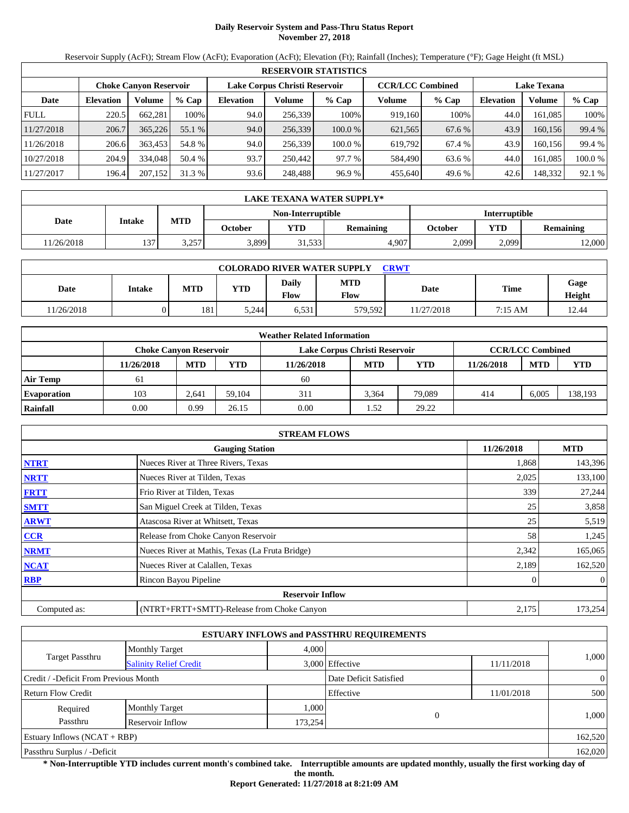# **Daily Reservoir System and Pass-Thru Status Report November 27, 2018**

Reservoir Supply (AcFt); Stream Flow (AcFt); Evaporation (AcFt); Elevation (Ft); Rainfall (Inches); Temperature (°F); Gage Height (ft MSL)

|             | <b>RESERVOIR STATISTICS</b> |                               |         |                  |                                                                                |         |         |         |                  |         |         |  |  |
|-------------|-----------------------------|-------------------------------|---------|------------------|--------------------------------------------------------------------------------|---------|---------|---------|------------------|---------|---------|--|--|
|             |                             | <b>Choke Canvon Reservoir</b> |         |                  | Lake Corpus Christi Reservoir<br><b>CCR/LCC Combined</b><br><b>Lake Texana</b> |         |         |         |                  |         |         |  |  |
| Date        | <b>Elevation</b>            | Volume                        | $%$ Cap | <b>Elevation</b> | Volume                                                                         | $%$ Cap | Volume  | $%$ Cap | <b>Elevation</b> | Volume  | $%$ Cap |  |  |
| <b>FULL</b> | 220.5                       | 662.281                       | 100%    | 94.0             | 256.339                                                                        | 100%    | 919.160 | 100%    | 44.0             | 161.085 | 100%    |  |  |
| 11/27/2018  | 206.7                       | 365,226                       | 55.1 %  | 94.0             | 256,339                                                                        | 100.0%  | 621,565 | 67.6 %  | 43.9             | 160.156 | 99.4 %  |  |  |
| 11/26/2018  | 206.6                       | 363,453                       | 54.8 %  | 94.0             | 256,339                                                                        | 100.0 % | 619.792 | 67.4 %  | 43.9             | 160.156 | 99.4 %  |  |  |
| 10/27/2018  | 204.9                       | 334,048                       | 50.4 %  | 93.7             | 250,442                                                                        | 97.7 %  | 584.490 | 63.6 %  | 44.0             | 161.085 | 100.0%  |  |  |
| 11/27/2017  | 196.4                       | 207,152                       | 31.3 %  | 93.6             | 248,488                                                                        | 96.9 %  | 455,640 | 49.6 %  | 42.6             | 148,332 | 92.1 %  |  |  |

|            | LAKE TEXANA WATER SUPPLY* |            |         |                   |           |         |                      |                  |  |  |
|------------|---------------------------|------------|---------|-------------------|-----------|---------|----------------------|------------------|--|--|
|            |                           |            |         | Non-Interruptible |           |         | <b>Interruptible</b> |                  |  |  |
| Date       | Intake                    | <b>MTD</b> | October | <b>YTD</b>        | Remaining | October | <b>YTD</b>           | <b>Remaining</b> |  |  |
| 11/26/2018 | 137                       | 3.257      | 3,899   | 31,533            | 4,907     | 2,099   | 2,099                | 2,000            |  |  |

| <b>COLORADO RIVER WATER SUPPLY</b><br><b>CRWT</b> |        |            |            |               |                    |            |         |                |  |  |  |
|---------------------------------------------------|--------|------------|------------|---------------|--------------------|------------|---------|----------------|--|--|--|
| Date                                              | Intake | <b>MTD</b> | <b>YTD</b> | Daily<br>Flow | <b>MTD</b><br>Flow | Date       | Time    | Gage<br>Height |  |  |  |
| 1/26/2018                                         |        | 181        | 5.244      | 6,531         | 579,592            | 11/27/2018 | 7:15 AM | 12.44          |  |  |  |

|                    | <b>Weather Related Information</b> |            |        |                               |            |        |            |                         |            |  |  |  |
|--------------------|------------------------------------|------------|--------|-------------------------------|------------|--------|------------|-------------------------|------------|--|--|--|
|                    | Choke Canvon Reservoir             |            |        | Lake Corpus Christi Reservoir |            |        |            | <b>CCR/LCC Combined</b> |            |  |  |  |
|                    | 11/26/2018                         | <b>MTD</b> | YTD    | 11/26/2018                    | <b>MTD</b> | YTD    | 11/26/2018 | <b>MTD</b>              | <b>YTD</b> |  |  |  |
| <b>Air Temp</b>    | 61                                 |            |        | 60                            |            |        |            |                         |            |  |  |  |
| <b>Evaporation</b> | 103                                | 2,641      | 59.104 | 311                           | 3.364      | 79,089 | 414        | 6,005                   | 138,193    |  |  |  |
| Rainfall           | 0.00                               | 0.99       | 26.15  | 0.00                          | 1.52       | 29.22  |            |                         |            |  |  |  |

|              | <b>STREAM FLOWS</b>                             |            |                |
|--------------|-------------------------------------------------|------------|----------------|
|              | <b>Gauging Station</b>                          | 11/26/2018 | <b>MTD</b>     |
| <b>NTRT</b>  | Nueces River at Three Rivers, Texas             | 1,868      | 143,396        |
| <b>NRTT</b>  | Nueces River at Tilden, Texas                   | 2,025      | 133,100        |
| <b>FRTT</b>  | Frio River at Tilden, Texas                     | 339        | 27,244         |
| <b>SMTT</b>  | San Miguel Creek at Tilden, Texas               | 25         | 3,858          |
| <b>ARWT</b>  | Atascosa River at Whitsett, Texas               | 25         | 5,519          |
| CCR          | Release from Choke Canyon Reservoir             | 58         | 1,245          |
| <b>NRMT</b>  | Nueces River at Mathis, Texas (La Fruta Bridge) | 2,342      | 165,065        |
| <b>NCAT</b>  | Nueces River at Calallen, Texas                 | 2,189      | 162,520        |
| <b>RBP</b>   | Rincon Bayou Pipeline                           |            | $\overline{0}$ |
|              | <b>Reservoir Inflow</b>                         |            |                |
| Computed as: | (NTRT+FRTT+SMTT)-Release from Choke Canyon      | 2,175      | 173,254        |

|                                       |                               |         | <b>ESTUARY INFLOWS and PASSTHRU REQUIREMENTS</b> |            |                |
|---------------------------------------|-------------------------------|---------|--------------------------------------------------|------------|----------------|
|                                       | <b>Monthly Target</b>         | 4,000   |                                                  |            |                |
| <b>Target Passthru</b>                | <b>Salinity Relief Credit</b> |         | 3,000 Effective                                  | 11/11/2018 | 1,000          |
| Credit / -Deficit From Previous Month |                               |         | Date Deficit Satisfied                           |            | $\overline{0}$ |
| <b>Return Flow Credit</b>             |                               |         | Effective                                        | 11/01/2018 | 500            |
| Required                              | <b>Monthly Target</b>         | 1,000   |                                                  |            |                |
| Passthru                              | Reservoir Inflow              | 173,254 |                                                  |            | 1,000          |
| Estuary Inflows $(NCAT + RBP)$        |                               |         |                                                  |            | 162,520        |
| Passthru Surplus / -Deficit           |                               |         |                                                  |            | 162,020        |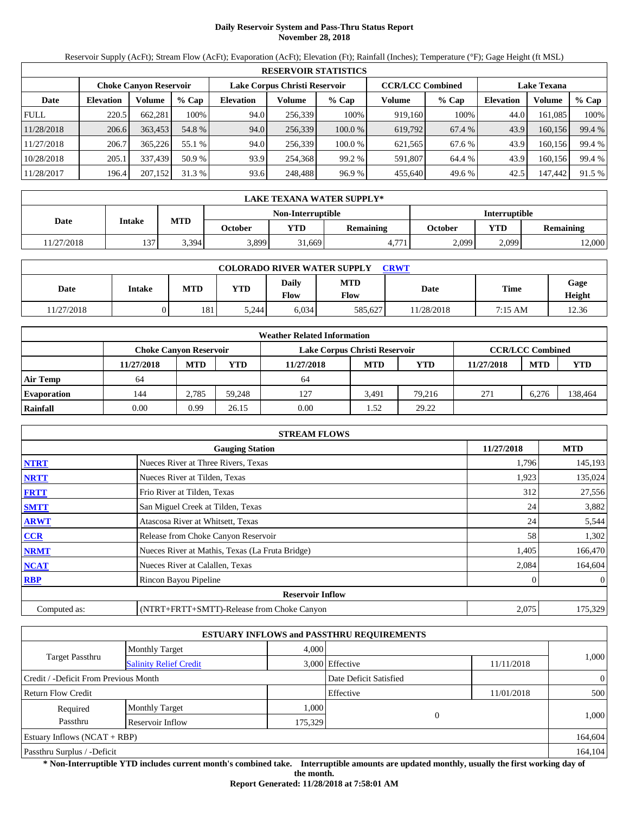# **Daily Reservoir System and Pass-Thru Status Report November 28, 2018**

Reservoir Supply (AcFt); Stream Flow (AcFt); Evaporation (AcFt); Elevation (Ft); Rainfall (Inches); Temperature (°F); Gage Height (ft MSL)

|             | <b>RESERVOIR STATISTICS</b> |                               |         |                  |                                                                                |         |         |         |                  |         |        |  |
|-------------|-----------------------------|-------------------------------|---------|------------------|--------------------------------------------------------------------------------|---------|---------|---------|------------------|---------|--------|--|
|             |                             | <b>Choke Canyon Reservoir</b> |         |                  | <b>CCR/LCC Combined</b><br>Lake Corpus Christi Reservoir<br><b>Lake Texana</b> |         |         |         |                  |         |        |  |
| Date        | <b>Elevation</b>            | Volume                        | $%$ Cap | <b>Elevation</b> | Volume                                                                         | $%$ Cap | Volume  | $%$ Cap | <b>Elevation</b> | Volume  | % Cap  |  |
| <b>FULL</b> | 220.5                       | 662,281                       | 100%    | 94.0             | 256,339                                                                        | 100%    | 919,160 | 100%    | 44.0             | 161.085 | 100%   |  |
| 11/28/2018  | 206.6                       | 363,453                       | 54.8 %  | 94.0             | 256,339                                                                        | 100.0%  | 619,792 | 67.4 %  | 43.9             | 160.156 | 99.4 % |  |
| 11/27/2018  | 206.7                       | 365,226                       | 55.1 %  | 94.0             | 256,339                                                                        | 100.0 % | 621,565 | 67.6 %  | 43.9             | 160.156 | 99.4 % |  |
| 10/28/2018  | 205.1                       | 337.439                       | 50.9 %  | 93.9             | 254,368                                                                        | 99.2 %  | 591,807 | 64.4 %  | 43.9             | 160,156 | 99.4 % |  |
| 11/28/2017  | 196.4                       | 207,152                       | 31.3 %  | 93.6             | 248,488                                                                        | 96.9 %  | 455,640 | 49.6 %  | 42.5             | 147,442 | 91.5 % |  |

|            | <b>LAKE TEXANA WATER SUPPLY*</b> |            |         |                   |           |         |                      |                  |  |  |
|------------|----------------------------------|------------|---------|-------------------|-----------|---------|----------------------|------------------|--|--|
|            |                                  |            |         | Non-Interruptible |           |         | <b>Interruptible</b> |                  |  |  |
| Date       | Intake                           | <b>MTD</b> | October | <b>YTD</b>        | Remaining | October | <b>VTD</b>           | <b>Remaining</b> |  |  |
| 11/27/2018 | 137                              | 3.394      | 3,899   | 31,669            | 4.771     | 2.099   | 2,099                | 12,000           |  |  |

| <b>COLORADO RIVER WATER SUPPLY</b><br>CRWT |        |            |            |               |                    |             |         |                |  |  |  |
|--------------------------------------------|--------|------------|------------|---------------|--------------------|-------------|---------|----------------|--|--|--|
| Date                                       | Intake | <b>MTD</b> | <b>YTD</b> | Daily<br>Flow | <b>MTD</b><br>Flow | <b>Date</b> | Time    | Gage<br>Height |  |  |  |
| 11/27/2018                                 |        | 181        | 5.244      | 6.034         | 585.627            | 11/28/2018  | 7:15 AM | 12.36          |  |  |  |

|                    |                               |            |        | <b>Weather Related Information</b> |            |            |            |                         |            |
|--------------------|-------------------------------|------------|--------|------------------------------------|------------|------------|------------|-------------------------|------------|
|                    | <b>Choke Canvon Reservoir</b> |            |        | Lake Corpus Christi Reservoir      |            |            |            | <b>CCR/LCC Combined</b> |            |
|                    | 11/27/2018                    | <b>MTD</b> | YTD    | 11/27/2018                         | <b>MTD</b> | <b>YTD</b> | 11/27/2018 | <b>MTD</b>              | <b>YTD</b> |
| <b>Air Temp</b>    | 64                            |            |        | 64                                 |            |            |            |                         |            |
| <b>Evaporation</b> | 144                           | 2.785      | 59.248 | 127                                | 3.491      | 79.216     | 271        | 6.276                   | 138,464    |
| Rainfall           | 0.00                          | 0.99       | 26.15  | 0.00                               | 1.52       | 29.22      |            |                         |            |

|              | <b>STREAM FLOWS</b>                             |            |                |
|--------------|-------------------------------------------------|------------|----------------|
|              | <b>Gauging Station</b>                          | 11/27/2018 | <b>MTD</b>     |
| <b>NTRT</b>  | Nueces River at Three Rivers, Texas             | 1,796      | 145,193        |
| <b>NRTT</b>  | Nueces River at Tilden, Texas                   | 1,923      | 135,024        |
| <b>FRTT</b>  | Frio River at Tilden, Texas                     | 312        | 27,556         |
| <b>SMTT</b>  | San Miguel Creek at Tilden, Texas               | 24         | 3,882          |
| <b>ARWT</b>  | Atascosa River at Whitsett, Texas               | 24         | 5,544          |
| <b>CCR</b>   | Release from Choke Canyon Reservoir             | 58         | 1,302          |
| <b>NRMT</b>  | Nueces River at Mathis, Texas (La Fruta Bridge) | 1,405      | 166,470        |
| <b>NCAT</b>  | Nueces River at Calallen, Texas                 | 2,084      | 164,604        |
| <b>RBP</b>   | Rincon Bayou Pipeline                           |            | $\overline{0}$ |
|              | <b>Reservoir Inflow</b>                         |            |                |
| Computed as: | (NTRT+FRTT+SMTT)-Release from Choke Canyon      | 2,075      | 175,329        |

|                                                         |                       |         | <b>ESTUARY INFLOWS and PASSTHRU REQUIREMENTS</b> |            |                |
|---------------------------------------------------------|-----------------------|---------|--------------------------------------------------|------------|----------------|
|                                                         | <b>Monthly Target</b> | 4.000   |                                                  |            |                |
| <b>Target Passthru</b><br><b>Salinity Relief Credit</b> |                       |         | 3,000 Effective                                  | 11/11/2018 | 1,000          |
| Credit / -Deficit From Previous Month                   |                       |         | Date Deficit Satisfied                           |            | $\overline{0}$ |
| <b>Return Flow Credit</b>                               |                       |         | Effective                                        | 11/01/2018 | 500            |
| Required                                                | <b>Monthly Target</b> | 1,000   |                                                  |            |                |
| Passthru                                                | Reservoir Inflow      | 175,329 | $\overline{0}$                                   |            | 1,000          |
| Estuary Inflows $(NCAT + RBP)$                          |                       |         |                                                  |            | 164,604        |
| Passthru Surplus / -Deficit                             |                       |         |                                                  |            | 164,104        |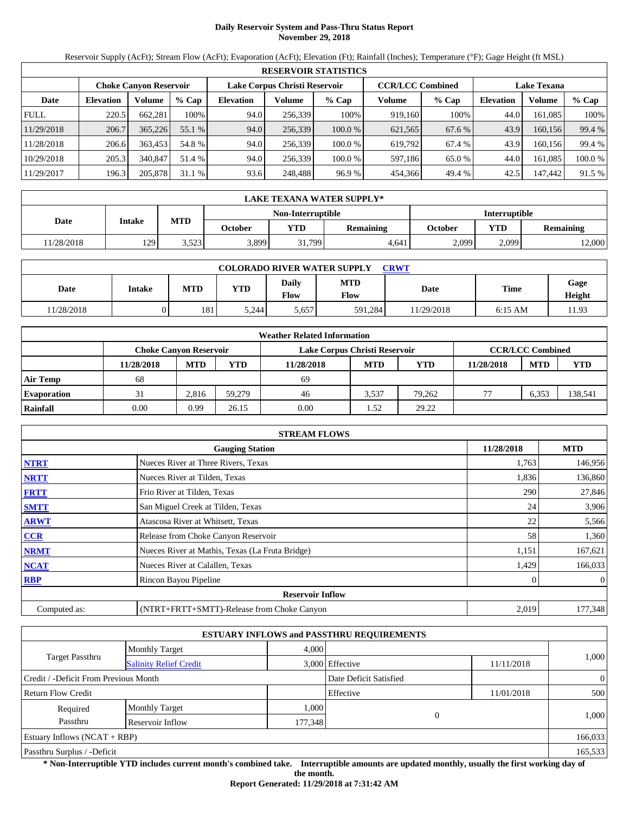# **Daily Reservoir System and Pass-Thru Status Report November 29, 2018**

Reservoir Supply (AcFt); Stream Flow (AcFt); Evaporation (AcFt); Elevation (Ft); Rainfall (Inches); Temperature (°F); Gage Height (ft MSL)

|             | <b>RESERVOIR STATISTICS</b>   |         |         |                  |                               |         |                         |         |                    |         |        |  |
|-------------|-------------------------------|---------|---------|------------------|-------------------------------|---------|-------------------------|---------|--------------------|---------|--------|--|
|             | <b>Choke Canvon Reservoir</b> |         |         |                  | Lake Corpus Christi Reservoir |         | <b>CCR/LCC Combined</b> |         | <b>Lake Texana</b> |         |        |  |
| Date        | <b>Elevation</b>              | Volume  | $%$ Cap | <b>Elevation</b> | Volume                        | $%$ Cap | Volume                  | $%$ Cap | <b>Elevation</b>   | Volume  | % Cap  |  |
| <b>FULL</b> | 220.5                         | 662.281 | 100%    | 94.0             | 256.339                       | 100%    | 919.160                 | 100%    | 44.0               | 161.085 | 100%   |  |
| 11/29/2018  | 206.7                         | 365,226 | 55.1 %  | 94.0             | 256,339                       | 100.0%  | 621,565                 | 67.6 %  | 43.9               | 160,156 | 99.4 % |  |
| 11/28/2018  | 206.6                         | 363.453 | 54.8 %  | 94.0             | 256.339                       | 100.0 % | 619.792                 | 67.4 %  | 43.9               | 160.156 | 99.4 % |  |
| 10/29/2018  | 205.3                         | 340,847 | 51.4 %  | 94.0             | 256,339                       | 100.0 % | 597,186                 | 65.0 %  | 44.0               | 161.085 | 100.0% |  |
| 11/29/2017  | 196.3                         | 205,878 | 31.1 %  | 93.6             | 248,488                       | 96.9 %  | 454,366                 | 49.4 %  | 42.5               | 147,442 | 91.5 % |  |

|            | LAKE TEXANA WATER SUPPLY* |            |         |                   |                      |         |            |                  |  |  |
|------------|---------------------------|------------|---------|-------------------|----------------------|---------|------------|------------------|--|--|
|            |                           |            |         | Non-Interruptible | <b>Interruptible</b> |         |            |                  |  |  |
| Date       | Intake                    | <b>MTD</b> | October | <b>YTD</b>        | Remaining            | October | <b>YTD</b> | <b>Remaining</b> |  |  |
| 11/28/2018 | 129                       | 3.523      | 3,899   | 31,799            | 4,641                | 2,099   | 2,099      | 2,000            |  |  |

| <b>COLORADO RIVER WATER SUPPLY</b><br><b>CRWT</b> |        |            |            |                             |                           |             |           |                |  |  |  |
|---------------------------------------------------|--------|------------|------------|-----------------------------|---------------------------|-------------|-----------|----------------|--|--|--|
| Date                                              | Intake | <b>MTD</b> | <b>YTD</b> | <b>Daily</b><br><b>Flow</b> | <b>MTD</b><br><b>Flow</b> | <b>Date</b> | Time      | Gage<br>Height |  |  |  |
| 1/28/2018                                         |        | 181        | 5.244      | 5.657                       | 591.284                   | 11/29/2018  | $6:15$ AM | 11.93          |  |  |  |

|                    |                        |            |        | <b>Weather Related Information</b> |            |            |            |                         |            |
|--------------------|------------------------|------------|--------|------------------------------------|------------|------------|------------|-------------------------|------------|
|                    | Choke Canvon Reservoir |            |        | Lake Corpus Christi Reservoir      |            |            |            | <b>CCR/LCC Combined</b> |            |
|                    | 11/28/2018             | <b>MTD</b> | YTD    | 11/28/2018                         | <b>MTD</b> | <b>YTD</b> | 11/28/2018 | <b>MTD</b>              | <b>YTD</b> |
| <b>Air Temp</b>    | 68                     |            |        | 69                                 |            |            |            |                         |            |
| <b>Evaporation</b> | 31                     | 2.816      | 59.279 | 46                                 | 3.537      | 79.262     | 77         | 6,353                   | 138,541    |
| Rainfall           | 0.00                   | 0.99       | 26.15  | 0.00                               | .52        | 29.22      |            |                         |            |

|              | <b>STREAM FLOWS</b>                             |            |                |
|--------------|-------------------------------------------------|------------|----------------|
|              | <b>Gauging Station</b>                          | 11/28/2018 | <b>MTD</b>     |
| <b>NTRT</b>  | Nueces River at Three Rivers, Texas             | 1,763      | 146,956        |
| <b>NRTT</b>  | Nueces River at Tilden, Texas                   | 1,836      | 136,860        |
| <b>FRTT</b>  | Frio River at Tilden, Texas                     | 290        | 27,846         |
| <b>SMTT</b>  | San Miguel Creek at Tilden, Texas               | 24         | 3,906          |
| <b>ARWT</b>  | Atascosa River at Whitsett, Texas               | 22         | 5,566          |
| <b>CCR</b>   | Release from Choke Canyon Reservoir             | 58         | 1,360          |
| <b>NRMT</b>  | Nueces River at Mathis, Texas (La Fruta Bridge) | 1,151      | 167,621        |
| <b>NCAT</b>  | Nueces River at Calallen, Texas                 | 1,429      | 166,033        |
| <b>RBP</b>   | Rincon Bayou Pipeline                           |            | $\overline{0}$ |
|              | <b>Reservoir Inflow</b>                         |            |                |
| Computed as: | (NTRT+FRTT+SMTT)-Release from Choke Canyon      | 2,019      | 177,348        |

|                                       |                               |         | <b>ESTUARY INFLOWS and PASSTHRU REQUIREMENTS</b> |            |                |
|---------------------------------------|-------------------------------|---------|--------------------------------------------------|------------|----------------|
|                                       | <b>Monthly Target</b>         | 4,000   |                                                  |            |                |
| <b>Target Passthru</b>                | <b>Salinity Relief Credit</b> |         | 3,000 Effective                                  | 11/11/2018 | 1,000          |
| Credit / -Deficit From Previous Month |                               |         | Date Deficit Satisfied                           |            | $\overline{0}$ |
| <b>Return Flow Credit</b>             |                               |         | Effective                                        | 11/01/2018 | 500            |
| Required                              | <b>Monthly Target</b>         | 1,000   |                                                  |            |                |
| Passthru                              | Reservoir Inflow              | 177,348 |                                                  |            | 1,000          |
| Estuary Inflows $(NCAT + RBP)$        |                               |         |                                                  |            | 166,033        |
| Passthru Surplus / -Deficit           |                               |         |                                                  |            | 165,533        |